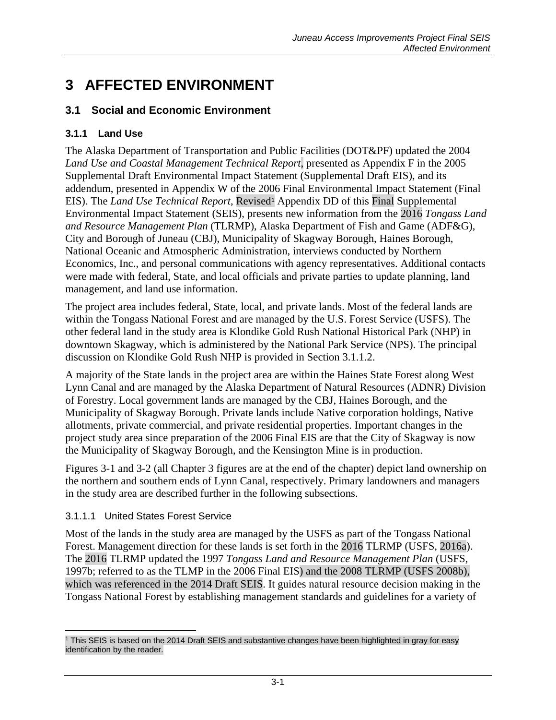# **3 AFFECTED ENVIRONMENT**

# **3.1 Social and Economic Environment**

## **3.1.1 Land Use**

The Alaska Department of Transportation and Public Facilities (DOT&PF) updated the 2004 *Land Use and Coastal Management Technical Report,* presented as Appendix F in the 2005 Supplemental Draft Environmental Impact Statement (Supplemental Draft EIS), and its addendum, presented in Appendix W of the 2006 Final Environmental Impact Statement (Final EIS). The *Land Use Technical Report*, Revised<sup>[1](#page-0-0)</sup> Appendix DD of this Final Supplemental Environmental Impact Statement (SEIS), presents new information from the 2016 *Tongass Land and Resource Management Plan* (TLRMP), Alaska Department of Fish and Game (ADF&G), City and Borough of Juneau (CBJ), Municipality of Skagway Borough, Haines Borough, National Oceanic and Atmospheric Administration, interviews conducted by Northern Economics, Inc., and personal communications with agency representatives. Additional contacts were made with federal, State, and local officials and private parties to update planning, land management, and land use information.

The project area includes federal, State, local, and private lands. Most of the federal lands are within the Tongass National Forest and are managed by the U.S. Forest Service (USFS). The other federal land in the study area is Klondike Gold Rush National Historical Park (NHP) in downtown Skagway, which is administered by the National Park Service (NPS). The principal discussion on Klondike Gold Rush NHP is provided in Section [3.1.1.2.](#page-7-0)

A majority of the State lands in the project area are within the Haines State Forest along West Lynn Canal and are managed by the Alaska Department of Natural Resources (ADNR) Division of Forestry. Local government lands are managed by the CBJ, Haines Borough, and the Municipality of Skagway Borough. Private lands include Native corporation holdings, Native allotments, private commercial, and private residential properties. Important changes in the project study area since preparation of the 2006 Final EIS are that the City of Skagway is now the Municipality of Skagway Borough, and the Kensington Mine is in production.

Figures 3-1 and 3-2 (all Chapter 3 figures are at the end of the chapter) depict land ownership on the northern and southern ends of Lynn Canal, respectively. Primary landowners and managers in the study area are described further in the following subsections.

#### <span id="page-0-1"></span>3.1.1.1 United States Forest Service

Most of the lands in the study area are managed by the USFS as part of the Tongass National Forest. Management direction for these lands is set forth in the 2016 TLRMP (USFS, 2016a). The 2016 TLRMP updated the 1997 *Tongass Land and Resource Management Plan* (USFS, 1997b; referred to as the TLMP in the 2006 Final EIS) and the 2008 TLRMP (USFS 2008b), which was referenced in the 2014 Draft SEIS. It guides natural resource decision making in the Tongass National Forest by establishing management standards and guidelines for a variety of

<span id="page-0-0"></span> $\overline{a}$ <sup>1</sup> This SEIS is based on the 2014 Draft SEIS and substantive changes have been highlighted in gray for easy identification by the reader.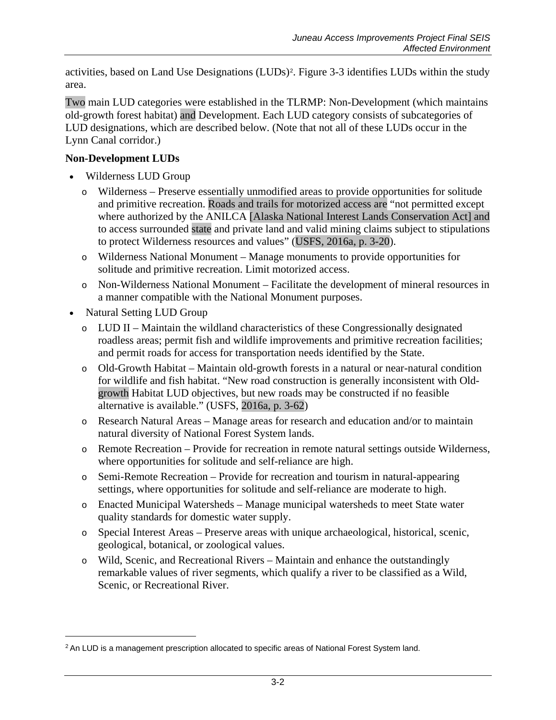activities, based on Land Use Designations (LUDs)[2](#page-1-0). Figure 3-3 identifies LUDs within the study area.

Two main LUD categories were established in the TLRMP: Non-Development (which maintains old-growth forest habitat) and Development. Each LUD category consists of subcategories of LUD designations, which are described below. (Note that not all of these LUDs occur in the Lynn Canal corridor.)

#### **Non-Development LUDs**

- Wilderness LUD Group
	- o Wilderness Preserve essentially unmodified areas to provide opportunities for solitude and primitive recreation. Roads and trails for motorized access are "not permitted except where authorized by the ANILCA [Alaska National Interest Lands Conservation Act] and to access surrounded state and private land and valid mining claims subject to stipulations to protect Wilderness resources and values" (USFS, 2016a, p. 3-20).
	- o Wilderness National Monument Manage monuments to provide opportunities for solitude and primitive recreation. Limit motorized access.
	- o Non-Wilderness National Monument Facilitate the development of mineral resources in a manner compatible with the National Monument purposes.
- Natural Setting LUD Group

 $\overline{a}$ 

- o LUD II Maintain the wildland characteristics of these Congressionally designated roadless areas; permit fish and wildlife improvements and primitive recreation facilities; and permit roads for access for transportation needs identified by the State.
- o Old-Growth Habitat Maintain old-growth forests in a natural or near-natural condition for wildlife and fish habitat. "New road construction is generally inconsistent with Oldgrowth Habitat LUD objectives, but new roads may be constructed if no feasible alternative is available." (USFS, 2016a, p. 3-62)
- o Research Natural Areas Manage areas for research and education and/or to maintain natural diversity of National Forest System lands.
- o Remote Recreation Provide for recreation in remote natural settings outside Wilderness, where opportunities for solitude and self-reliance are high.
- o Semi-Remote Recreation Provide for recreation and tourism in natural-appearing settings, where opportunities for solitude and self-reliance are moderate to high.
- o Enacted Municipal Watersheds Manage municipal watersheds to meet State water quality standards for domestic water supply.
- o Special Interest Areas Preserve areas with unique archaeological, historical, scenic, geological, botanical, or zoological values.
- o Wild, Scenic, and Recreational Rivers Maintain and enhance the outstandingly remarkable values of river segments, which qualify a river to be classified as a Wild, Scenic, or Recreational River.

<span id="page-1-0"></span><sup>&</sup>lt;sup>2</sup> An LUD is a management prescription allocated to specific areas of National Forest System land.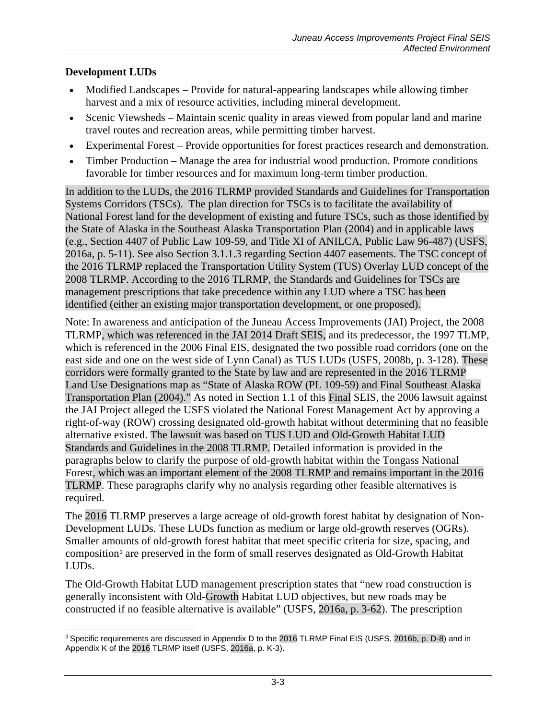#### **Development LUDs**

- Modified Landscapes Provide for natural-appearing landscapes while allowing timber harvest and a mix of resource activities, including mineral development.
- Scenic Viewsheds Maintain scenic quality in areas viewed from popular land and marine travel routes and recreation areas, while permitting timber harvest.
- Experimental Forest Provide opportunities for forest practices research and demonstration.
- Timber Production Manage the area for industrial wood production. Promote conditions favorable for timber resources and for maximum long-term timber production.

In addition to the LUDs, the 2016 TLRMP provided Standards and Guidelines for Transportation Systems Corridors (TSCs). The plan direction for TSCs is to facilitate the availability of National Forest land for the development of existing and future TSCs, such as those identified by the State of Alaska in the Southeast Alaska Transportation Plan (2004) and in applicable laws (e.g., Section 4407 of Public Law 109-59, and Title XI of ANILCA, Public Law 96-487) (USFS, 2016a, p. 5-11). See also Section [3.1.1.3](#page-8-0) regarding Section 4407 easements. The TSC concept of the 2016 TLRMP replaced the Transportation Utility System (TUS) Overlay LUD concept of the 2008 TLRMP. According to the 2016 TLRMP, the Standards and Guidelines for TSCs are management prescriptions that take precedence within any LUD where a TSC has been identified (either an existing major transportation development, or one proposed).

Note: In awareness and anticipation of the Juneau Access Improvements (JAI) Project, the 2008 TLRMP, which was referenced in the JAI 2014 Draft SEIS, and its predecessor, the 1997 TLMP, which is referenced in the 2006 Final EIS, designated the two possible road corridors (one on the east side and one on the west side of Lynn Canal) as TUS LUDs (USFS, 2008b, p. 3-128). These corridors were formally granted to the State by law and are represented in the 2016 TLRMP Land Use Designations map as "State of Alaska ROW (PL 109-59) and Final Southeast Alaska Transportation Plan (2004)." As noted in Section 1.1 of this Final SEIS, the 2006 lawsuit against the JAI Project alleged the USFS violated the National Forest Management Act by approving a right-of-way (ROW) crossing designated old-growth habitat without determining that no feasible alternative existed. The lawsuit was based on TUS LUD and Old-Growth Habitat LUD Standards and Guidelines in the 2008 TLRMP. Detailed information is provided in the paragraphs below to clarify the purpose of old-growth habitat within the Tongass National Forest, which was an important element of the 2008 TLRMP and remains important in the 2016 TLRMP. These paragraphs clarify why no analysis regarding other feasible alternatives is required.

The 2016 TLRMP preserves a large acreage of old-growth forest habitat by designation of Non-Development LUDs. These LUDs function as medium or large old-growth reserves (OGRs). Smaller amounts of old-growth forest habitat that meet specific criteria for size, spacing, and composition[3](#page-2-0) are preserved in the form of small reserves designated as Old-Growth Habitat LUDs.

The Old-Growth Habitat LUD management prescription states that "new road construction is generally inconsistent with Old-Growth Habitat LUD objectives, but new roads may be constructed if no feasible alternative is available" (USFS, 2016a, p. 3-62). The prescription

<span id="page-2-0"></span> $\overline{a}$  $3$  Specific requirements are discussed in Appendix D to the 2016 TLRMP Final EIS (USFS, 2016b, p. D-8) and in Appendix K of the 2016 TLRMP itself (USFS, 2016a, p. K-3).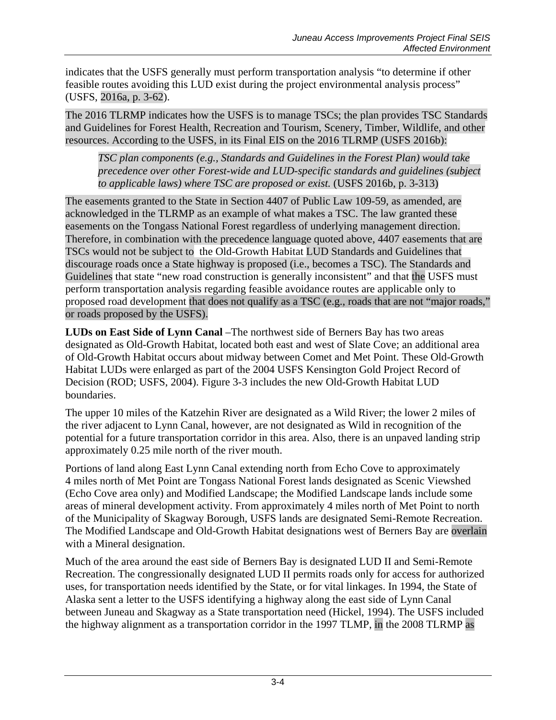indicates that the USFS generally must perform transportation analysis "to determine if other feasible routes avoiding this LUD exist during the project environmental analysis process" (USFS, 2016a, p. 3-62).

The 2016 TLRMP indicates how the USFS is to manage TSCs; the plan provides TSC Standards and Guidelines for Forest Health, Recreation and Tourism, Scenery, Timber, Wildlife, and other resources. According to the USFS, in its Final EIS on the 2016 TLRMP (USFS 2016b):

*TSC plan components (e.g., Standards and Guidelines in the Forest Plan) would take precedence over other Forest-wide and LUD-specific standards and guidelines (subject to applicable laws) where TSC are proposed or exist.* (USFS 2016b, p. 3-313)

The easements granted to the State in Section 4407 of Public Law 109-59, as amended, are acknowledged in the TLRMP as an example of what makes a TSC. The law granted these easements on the Tongass National Forest regardless of underlying management direction. Therefore, in combination with the precedence language quoted above, 4407 easements that are TSCs would not be subject to the Old-Growth Habitat LUD Standards and Guidelines that discourage roads once a State highway is proposed (i.e., becomes a TSC). The Standards and Guidelines that state "new road construction is generally inconsistent" and that the USFS must perform transportation analysis regarding feasible avoidance routes are applicable only to proposed road development that does not qualify as a TSC (e.g., roads that are not "major roads," or roads proposed by the USFS).

**LUDs on East Side of Lynn Canal** –The northwest side of Berners Bay has two areas designated as Old-Growth Habitat, located both east and west of Slate Cove; an additional area of Old-Growth Habitat occurs about midway between Comet and Met Point. These Old-Growth Habitat LUDs were enlarged as part of the 2004 USFS Kensington Gold Project Record of Decision (ROD; USFS, 2004). Figure 3-3 includes the new Old-Growth Habitat LUD boundaries.

The upper 10 miles of the Katzehin River are designated as a Wild River; the lower 2 miles of the river adjacent to Lynn Canal, however, are not designated as Wild in recognition of the potential for a future transportation corridor in this area. Also, there is an unpaved landing strip approximately 0.25 mile north of the river mouth.

Portions of land along East Lynn Canal extending north from Echo Cove to approximately 4 miles north of Met Point are Tongass National Forest lands designated as Scenic Viewshed (Echo Cove area only) and Modified Landscape; the Modified Landscape lands include some areas of mineral development activity. From approximately 4 miles north of Met Point to north of the Municipality of Skagway Borough, USFS lands are designated Semi-Remote Recreation. The Modified Landscape and Old-Growth Habitat designations west of Berners Bay are overlain with a Mineral designation.

Much of the area around the east side of Berners Bay is designated LUD II and Semi-Remote Recreation. The congressionally designated LUD II permits roads only for access for authorized uses, for transportation needs identified by the State, or for vital linkages. In 1994, the State of Alaska sent a letter to the USFS identifying a highway along the east side of Lynn Canal between Juneau and Skagway as a State transportation need (Hickel, 1994). The USFS included the highway alignment as a transportation corridor in the 1997 TLMP, in the 2008 TLRMP as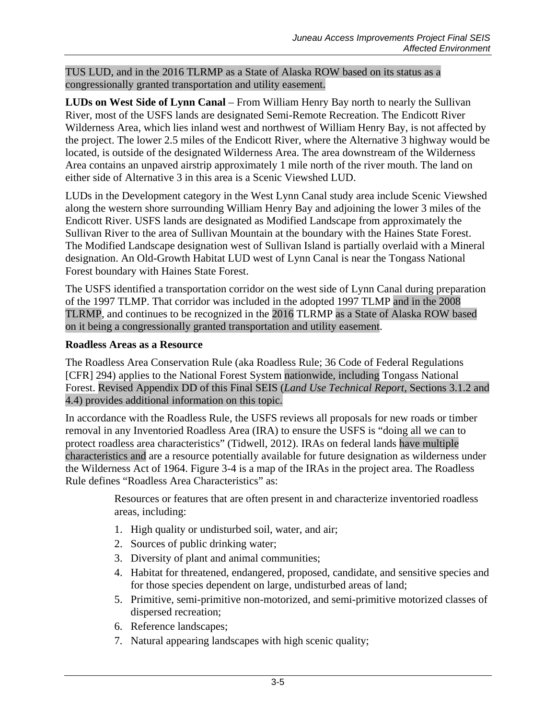TUS LUD, and in the 2016 TLRMP as a State of Alaska ROW based on its status as a congressionally granted transportation and utility easement.

**LUDs on West Side of Lynn Canal** – From William Henry Bay north to nearly the Sullivan River, most of the USFS lands are designated Semi-Remote Recreation. The Endicott River Wilderness Area, which lies inland west and northwest of William Henry Bay, is not affected by the project. The lower 2.5 miles of the Endicott River, where the Alternative 3 highway would be located, is outside of the designated Wilderness Area. The area downstream of the Wilderness Area contains an unpaved airstrip approximately 1 mile north of the river mouth. The land on either side of Alternative 3 in this area is a Scenic Viewshed LUD.

LUDs in the Development category in the West Lynn Canal study area include Scenic Viewshed along the western shore surrounding William Henry Bay and adjoining the lower 3 miles of the Endicott River. USFS lands are designated as Modified Landscape from approximately the Sullivan River to the area of Sullivan Mountain at the boundary with the Haines State Forest. The Modified Landscape designation west of Sullivan Island is partially overlaid with a Mineral designation. An Old-Growth Habitat LUD west of Lynn Canal is near the Tongass National Forest boundary with Haines State Forest.

The USFS identified a transportation corridor on the west side of Lynn Canal during preparation of the 1997 TLMP. That corridor was included in the adopted 1997 TLMP and in the 2008 TLRMP, and continues to be recognized in the 2016 TLRMP as a State of Alaska ROW based on it being a congressionally granted transportation and utility easement.

#### **Roadless Areas as a Resource**

The Roadless Area Conservation Rule (aka Roadless Rule; 36 Code of Federal Regulations [CFR] 294) applies to the National Forest System nationwide, including Tongass National Forest. Revised Appendix DD of this Final SEIS (*Land Use Technical Report*, Sections 3.1.2 and 4.4) provides additional information on this topic.

In accordance with the Roadless Rule, the USFS reviews all proposals for new roads or timber removal in any Inventoried Roadless Area (IRA) to ensure the USFS is "doing all we can to protect roadless area characteristics" (Tidwell, 2012). IRAs on federal lands have multiple characteristics and are a resource potentially available for future designation as wilderness under the Wilderness Act of 1964. Figure 3-4 is a map of the IRAs in the project area. The Roadless Rule defines "Roadless Area Characteristics" as:

> Resources or features that are often present in and characterize inventoried roadless areas, including:

- 1. High quality or undisturbed soil, water, and air;
- 2. Sources of public drinking water;
- 3. Diversity of plant and animal communities;
- 4. Habitat for threatened, endangered, proposed, candidate, and sensitive species and for those species dependent on large, undisturbed areas of land;
- 5. Primitive, semi-primitive non-motorized, and semi-primitive motorized classes of dispersed recreation;
- 6. Reference landscapes;
- 7. Natural appearing landscapes with high scenic quality;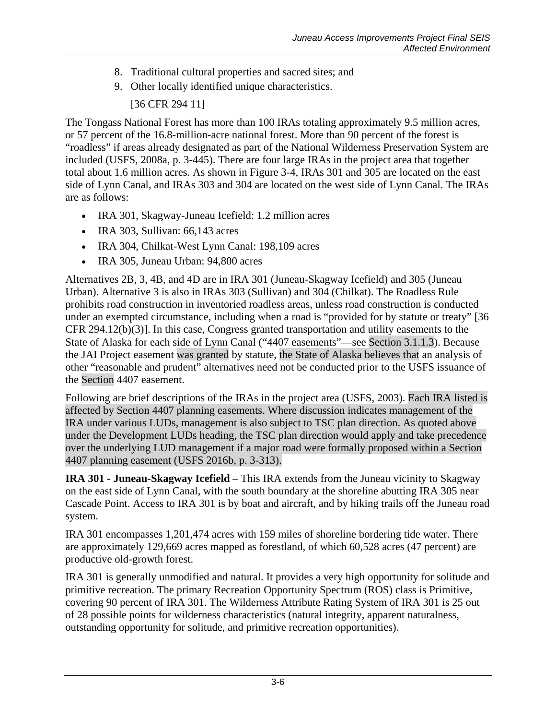- 8. Traditional cultural properties and sacred sites; and
- 9. Other locally identified unique characteristics.

## [36 CFR 294 11]

The Tongass National Forest has more than 100 IRAs totaling approximately 9.5 million acres, or 57 percent of the 16.8-million-acre national forest. More than 90 percent of the forest is "roadless" if areas already designated as part of the National Wilderness Preservation System are included (USFS, 2008a, p. 3-445). There are four large IRAs in the project area that together total about 1.6 million acres. As shown in Figure 3-4, IRAs 301 and 305 are located on the east side of Lynn Canal, and IRAs 303 and 304 are located on the west side of Lynn Canal. The IRAs are as follows:

- IRA 301, Skagway-Juneau Icefield: 1.2 million acres
- IRA 303, Sullivan: 66,143 acres
- IRA 304, Chilkat-West Lynn Canal: 198,109 acres
- IRA 305, Juneau Urban: 94,800 acres

Alternatives 2B, 3, 4B, and 4D are in IRA 301 (Juneau-Skagway Icefield) and 305 (Juneau Urban). Alternative 3 is also in IRAs 303 (Sullivan) and 304 (Chilkat). The Roadless Rule prohibits road construction in inventoried roadless areas, unless road construction is conducted under an exempted circumstance, including when a road is "provided for by statute or treaty" [36 CFR 294.12(b)(3)]. In this case, Congress granted transportation and utility easements to the State of Alaska for each side of Lynn Canal ("4407 easements"—see Section [3.1.1.3\)](#page-8-0). Because the JAI Project easement was granted by statute, the State of Alaska believes that an analysis of other "reasonable and prudent" alternatives need not be conducted prior to the USFS issuance of the Section 4407 easement.

Following are brief descriptions of the IRAs in the project area (USFS, 2003). Each IRA listed is affected by Section 4407 planning easements. Where discussion indicates management of the IRA under various LUDs, management is also subject to TSC plan direction. As quoted above under the Development LUDs heading, the TSC plan direction would apply and take precedence over the underlying LUD management if a major road were formally proposed within a Section 4407 planning easement (USFS 2016b, p. 3-313).

**IRA 301 - Juneau-Skagway Icefield** – This IRA extends from the Juneau vicinity to Skagway on the east side of Lynn Canal, with the south boundary at the shoreline abutting IRA 305 near Cascade Point. Access to IRA 301 is by boat and aircraft, and by hiking trails off the Juneau road system.

IRA 301 encompasses 1,201,474 acres with 159 miles of shoreline bordering tide water. There are approximately 129,669 acres mapped as forestland, of which 60,528 acres (47 percent) are productive old-growth forest.

IRA 301 is generally unmodified and natural. It provides a very high opportunity for solitude and primitive recreation. The primary Recreation Opportunity Spectrum (ROS) class is Primitive, covering 90 percent of IRA 301. The Wilderness Attribute Rating System of IRA 301 is 25 out of 28 possible points for wilderness characteristics (natural integrity, apparent naturalness, outstanding opportunity for solitude, and primitive recreation opportunities).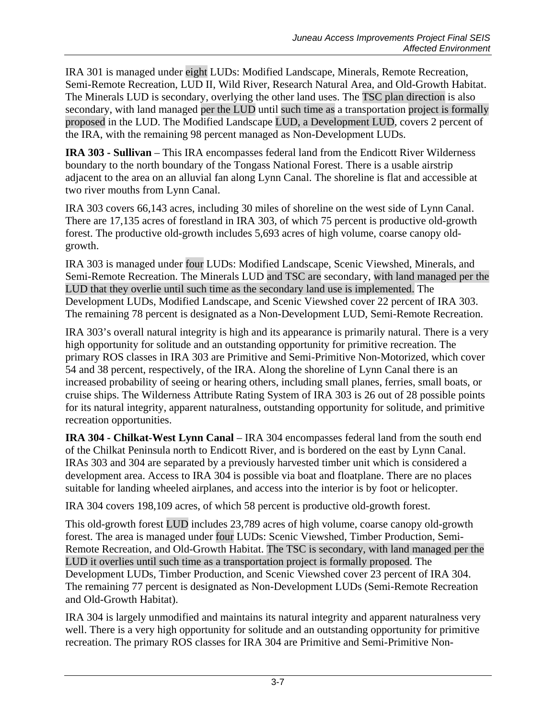IRA 301 is managed under eight LUDs: Modified Landscape, Minerals, Remote Recreation, Semi-Remote Recreation, LUD II, Wild River, Research Natural Area, and Old-Growth Habitat. The Minerals LUD is secondary, overlying the other land uses. The TSC plan direction is also secondary, with land managed per the LUD until such time as a transportation project is formally proposed in the LUD. The Modified Landscape LUD, a Development LUD, covers 2 percent of the IRA, with the remaining 98 percent managed as Non-Development LUDs.

**IRA 303 - Sullivan** – This IRA encompasses federal land from the Endicott River Wilderness boundary to the north boundary of the Tongass National Forest. There is a usable airstrip adjacent to the area on an alluvial fan along Lynn Canal. The shoreline is flat and accessible at two river mouths from Lynn Canal.

IRA 303 covers 66,143 acres, including 30 miles of shoreline on the west side of Lynn Canal. There are 17,135 acres of forestland in IRA 303, of which 75 percent is productive old-growth forest. The productive old-growth includes 5,693 acres of high volume, coarse canopy oldgrowth.

IRA 303 is managed under four LUDs: Modified Landscape, Scenic Viewshed, Minerals, and Semi-Remote Recreation. The Minerals LUD and TSC are secondary, with land managed per the LUD that they overlie until such time as the secondary land use is implemented. The Development LUDs, Modified Landscape, and Scenic Viewshed cover 22 percent of IRA 303. The remaining 78 percent is designated as a Non-Development LUD, Semi-Remote Recreation.

IRA 303's overall natural integrity is high and its appearance is primarily natural. There is a very high opportunity for solitude and an outstanding opportunity for primitive recreation. The primary ROS classes in IRA 303 are Primitive and Semi-Primitive Non-Motorized, which cover 54 and 38 percent, respectively, of the IRA. Along the shoreline of Lynn Canal there is an increased probability of seeing or hearing others, including small planes, ferries, small boats, or cruise ships. The Wilderness Attribute Rating System of IRA 303 is 26 out of 28 possible points for its natural integrity, apparent naturalness, outstanding opportunity for solitude, and primitive recreation opportunities.

**IRA 304 - Chilkat-West Lynn Canal** – IRA 304 encompasses federal land from the south end of the Chilkat Peninsula north to Endicott River, and is bordered on the east by Lynn Canal. IRAs 303 and 304 are separated by a previously harvested timber unit which is considered a development area. Access to IRA 304 is possible via boat and floatplane. There are no places suitable for landing wheeled airplanes, and access into the interior is by foot or helicopter.

IRA 304 covers 198,109 acres, of which 58 percent is productive old-growth forest.

This old-growth forest LUD includes 23,789 acres of high volume, coarse canopy old-growth forest. The area is managed under four LUDs: Scenic Viewshed, Timber Production, Semi-Remote Recreation, and Old-Growth Habitat. The TSC is secondary, with land managed per the LUD it overlies until such time as a transportation project is formally proposed. The Development LUDs, Timber Production, and Scenic Viewshed cover 23 percent of IRA 304. The remaining 77 percent is designated as Non-Development LUDs (Semi-Remote Recreation and Old-Growth Habitat).

IRA 304 is largely unmodified and maintains its natural integrity and apparent naturalness very well. There is a very high opportunity for solitude and an outstanding opportunity for primitive recreation. The primary ROS classes for IRA 304 are Primitive and Semi-Primitive Non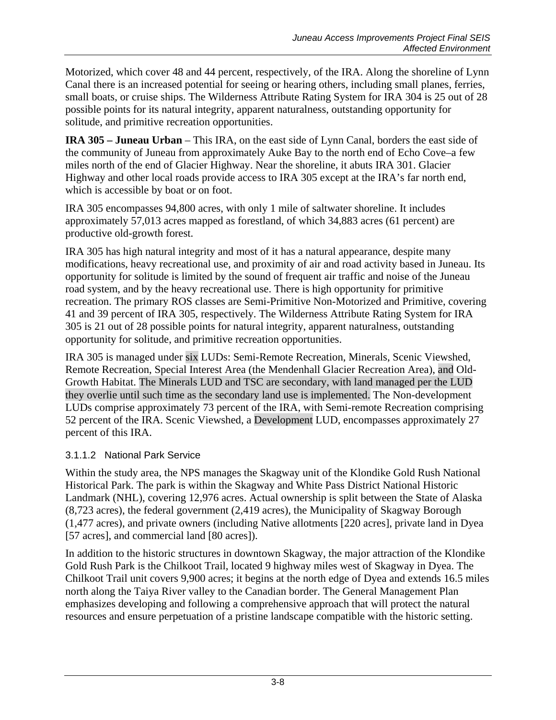Motorized, which cover 48 and 44 percent, respectively, of the IRA. Along the shoreline of Lynn Canal there is an increased potential for seeing or hearing others, including small planes, ferries, small boats, or cruise ships. The Wilderness Attribute Rating System for IRA 304 is 25 out of 28 possible points for its natural integrity, apparent naturalness, outstanding opportunity for solitude, and primitive recreation opportunities.

**IRA 305 – Juneau Urban** – This IRA, on the east side of Lynn Canal, borders the east side of the community of Juneau from approximately Auke Bay to the north end of Echo Cove–a few miles north of the end of Glacier Highway. Near the shoreline, it abuts IRA 301. Glacier Highway and other local roads provide access to IRA 305 except at the IRA's far north end, which is accessible by boat or on foot.

IRA 305 encompasses 94,800 acres, with only 1 mile of saltwater shoreline. It includes approximately 57,013 acres mapped as forestland, of which 34,883 acres (61 percent) are productive old-growth forest.

IRA 305 has high natural integrity and most of it has a natural appearance, despite many modifications, heavy recreational use, and proximity of air and road activity based in Juneau. Its opportunity for solitude is limited by the sound of frequent air traffic and noise of the Juneau road system, and by the heavy recreational use. There is high opportunity for primitive recreation. The primary ROS classes are Semi-Primitive Non-Motorized and Primitive, covering 41 and 39 percent of IRA 305, respectively. The Wilderness Attribute Rating System for IRA 305 is 21 out of 28 possible points for natural integrity, apparent naturalness, outstanding opportunity for solitude, and primitive recreation opportunities.

IRA 305 is managed under six LUDs: Semi-Remote Recreation, Minerals, Scenic Viewshed, Remote Recreation, Special Interest Area (the Mendenhall Glacier Recreation Area), and Old-Growth Habitat. The Minerals LUD and TSC are secondary, with land managed per the LUD they overlie until such time as the secondary land use is implemented. The Non-development LUDs comprise approximately 73 percent of the IRA, with Semi-remote Recreation comprising 52 percent of the IRA. Scenic Viewshed, a Development LUD, encompasses approximately 27 percent of this IRA.

## <span id="page-7-0"></span>3.1.1.2 National Park Service

Within the study area, the NPS manages the Skagway unit of the Klondike Gold Rush National Historical Park. The park is within the Skagway and White Pass District National Historic Landmark (NHL), covering 12,976 acres. Actual ownership is split between the State of Alaska (8,723 acres), the federal government (2,419 acres), the Municipality of Skagway Borough (1,477 acres), and private owners (including Native allotments [220 acres], private land in Dyea [57 acres], and commercial land [80 acres]).

In addition to the historic structures in downtown Skagway, the major attraction of the Klondike Gold Rush Park is the Chilkoot Trail, located 9 highway miles west of Skagway in Dyea. The Chilkoot Trail unit covers 9,900 acres; it begins at the north edge of Dyea and extends 16.5 miles north along the Taiya River valley to the Canadian border. The General Management Plan emphasizes developing and following a comprehensive approach that will protect the natural resources and ensure perpetuation of a pristine landscape compatible with the historic setting.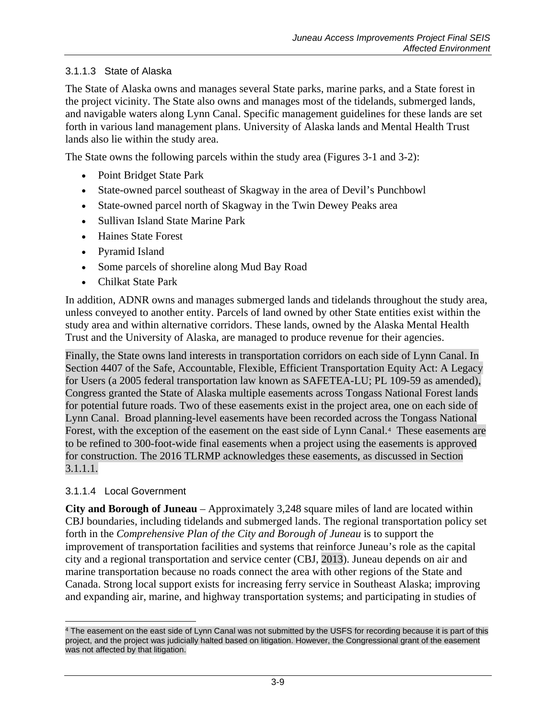## <span id="page-8-0"></span>3.1.1.3 State of Alaska

The State of Alaska owns and manages several State parks, marine parks, and a State forest in the project vicinity. The State also owns and manages most of the tidelands, submerged lands, and navigable waters along Lynn Canal. Specific management guidelines for these lands are set forth in various land management plans. University of Alaska lands and Mental Health Trust lands also lie within the study area.

The State owns the following parcels within the study area (Figures 3-1 and 3-2):

- Point Bridget State Park
- State-owned parcel southeast of Skagway in the area of Devil's Punchbowl
- State-owned parcel north of Skagway in the Twin Dewey Peaks area
- Sullivan Island State Marine Park
- Haines State Forest
- Pyramid Island
- Some parcels of shoreline along Mud Bay Road
- Chilkat State Park

In addition, ADNR owns and manages submerged lands and tidelands throughout the study area, unless conveyed to another entity. Parcels of land owned by other State entities exist within the study area and within alternative corridors. These lands, owned by the Alaska Mental Health Trust and the University of Alaska, are managed to produce revenue for their agencies.

Finally, the State owns land interests in transportation corridors on each side of Lynn Canal. In Section 4407 of the Safe, Accountable, Flexible, Efficient Transportation Equity Act: A Legacy for Users (a 2005 federal transportation law known as SAFETEA-LU; PL 109-59 as amended), Congress granted the State of Alaska multiple easements across Tongass National Forest lands for potential future roads. Two of these easements exist in the project area, one on each side of Lynn Canal. Broad planning-level easements have been recorded across the Tongass National Forest, with the exception of the easement on the east side of Lynn Canal.[4](#page-8-1) These easements are to be refined to 300-foot-wide final easements when a project using the easements is approved for construction. The 2016 TLRMP acknowledges these easements, as discussed in Section [3.1.1.1.](#page-0-1)

#### 3.1.1.4 Local Government

**City and Borough of Juneau** – Approximately 3,248 square miles of land are located within CBJ boundaries, including tidelands and submerged lands. The regional transportation policy set forth in the *Comprehensive Plan of the City and Borough of Juneau* is to support the improvement of transportation facilities and systems that reinforce Juneau's role as the capital city and a regional transportation and service center (CBJ, 2013). Juneau depends on air and marine transportation because no roads connect the area with other regions of the State and Canada. Strong local support exists for increasing ferry service in Southeast Alaska; improving and expanding air, marine, and highway transportation systems; and participating in studies of

<span id="page-8-1"></span> $\overline{a}$ <sup>4</sup> The easement on the east side of Lynn Canal was not submitted by the USFS for recording because it is part of this project, and the project was judicially halted based on litigation. However, the Congressional grant of the easement was not affected by that litigation.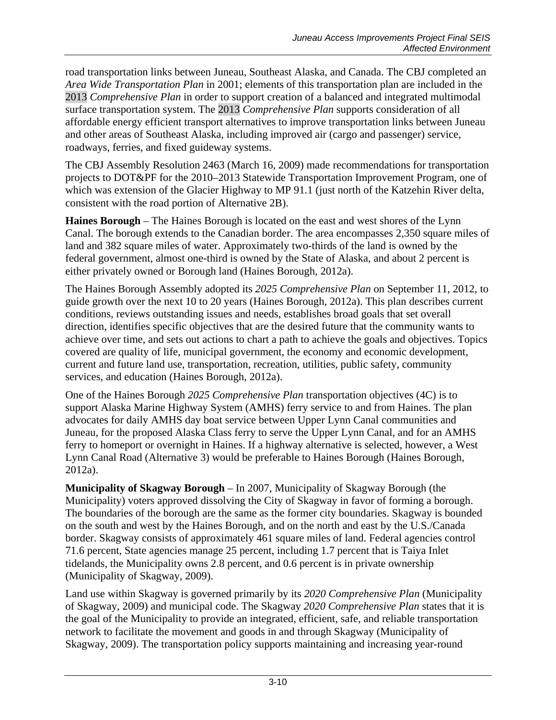road transportation links between Juneau, Southeast Alaska, and Canada. The CBJ completed an *Area Wide Transportation Plan* in 2001; elements of this transportation plan are included in the 2013 *Comprehensive Plan* in order to support creation of a balanced and integrated multimodal surface transportation system. The 2013 *Comprehensive Plan* supports consideration of all affordable energy efficient transport alternatives to improve transportation links between Juneau and other areas of Southeast Alaska, including improved air (cargo and passenger) service, roadways, ferries, and fixed guideway systems.

The CBJ Assembly Resolution 2463 (March 16, 2009) made recommendations for transportation projects to DOT&PF for the 2010–2013 Statewide Transportation Improvement Program, one of which was extension of the Glacier Highway to MP 91.1 (just north of the Katzehin River delta, consistent with the road portion of Alternative 2B).

**Haines Borough** – The Haines Borough is located on the east and west shores of the Lynn Canal. The borough extends to the Canadian border. The area encompasses 2,350 square miles of land and 382 square miles of water. Approximately two-thirds of the land is owned by the federal government, almost one-third is owned by the State of Alaska, and about 2 percent is either privately owned or Borough land (Haines Borough, 2012a).

The Haines Borough Assembly adopted its *2025 Comprehensive Plan* on September 11, 2012, to guide growth over the next 10 to 20 years (Haines Borough, 2012a). This plan describes current conditions, reviews outstanding issues and needs, establishes broad goals that set overall direction, identifies specific objectives that are the desired future that the community wants to achieve over time, and sets out actions to chart a path to achieve the goals and objectives. Topics covered are quality of life, municipal government, the economy and economic development, current and future land use, transportation, recreation, utilities, public safety, community services, and education (Haines Borough, 2012a).

One of the Haines Borough *2025 Comprehensive Plan* transportation objectives (4C) is to support Alaska Marine Highway System (AMHS) ferry service to and from Haines. The plan advocates for daily AMHS day boat service between Upper Lynn Canal communities and Juneau, for the proposed Alaska Class ferry to serve the Upper Lynn Canal, and for an AMHS ferry to homeport or overnight in Haines. If a highway alternative is selected, however, a West Lynn Canal Road (Alternative 3) would be preferable to Haines Borough (Haines Borough, 2012a).

**Municipality of Skagway Borough** – In 2007, Municipality of Skagway Borough (the Municipality) voters approved dissolving the City of Skagway in favor of forming a borough. The boundaries of the borough are the same as the former city boundaries. Skagway is bounded on the south and west by the Haines Borough, and on the north and east by the U.S./Canada border. Skagway consists of approximately 461 square miles of land. Federal agencies control 71.6 percent, State agencies manage 25 percent, including 1.7 percent that is Taiya Inlet tidelands, the Municipality owns 2.8 percent, and 0.6 percent is in private ownership (Municipality of Skagway, 2009).

Land use within Skagway is governed primarily by its *2020 Comprehensive Plan* (Municipality of Skagway, 2009) and municipal code. The Skagway *2020 Comprehensive Plan* states that it is the goal of the Municipality to provide an integrated, efficient, safe, and reliable transportation network to facilitate the movement and goods in and through Skagway (Municipality of Skagway, 2009). The transportation policy supports maintaining and increasing year-round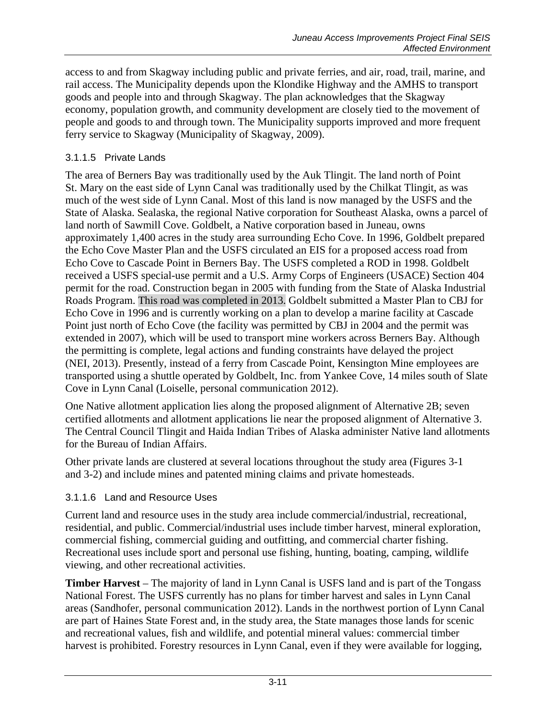access to and from Skagway including public and private ferries, and air, road, trail, marine, and rail access. The Municipality depends upon the Klondike Highway and the AMHS to transport goods and people into and through Skagway. The plan acknowledges that the Skagway economy, population growth, and community development are closely tied to the movement of people and goods to and through town. The Municipality supports improved and more frequent ferry service to Skagway (Municipality of Skagway, 2009).

## 3.1.1.5 Private Lands

The area of Berners Bay was traditionally used by the Auk Tlingit. The land north of Point St. Mary on the east side of Lynn Canal was traditionally used by the Chilkat Tlingit, as was much of the west side of Lynn Canal. Most of this land is now managed by the USFS and the State of Alaska. Sealaska, the regional Native corporation for Southeast Alaska, owns a parcel of land north of Sawmill Cove. Goldbelt, a Native corporation based in Juneau, owns approximately 1,400 acres in the study area surrounding Echo Cove. In 1996, Goldbelt prepared the Echo Cove Master Plan and the USFS circulated an EIS for a proposed access road from Echo Cove to Cascade Point in Berners Bay. The USFS completed a ROD in 1998. Goldbelt received a USFS special-use permit and a U.S. Army Corps of Engineers (USACE) Section 404 permit for the road. Construction began in 2005 with funding from the State of Alaska Industrial Roads Program. This road was completed in 2013. Goldbelt submitted a Master Plan to CBJ for Echo Cove in 1996 and is currently working on a plan to develop a marine facility at Cascade Point just north of Echo Cove (the facility was permitted by CBJ in 2004 and the permit was extended in 2007), which will be used to transport mine workers across Berners Bay. Although the permitting is complete, legal actions and funding constraints have delayed the project (NEI, 2013). Presently, instead of a ferry from Cascade Point, Kensington Mine employees are transported using a shuttle operated by Goldbelt, Inc. from Yankee Cove, 14 miles south of Slate Cove in Lynn Canal (Loiselle, personal communication 2012).

One Native allotment application lies along the proposed alignment of Alternative 2B; seven certified allotments and allotment applications lie near the proposed alignment of Alternative 3. The Central Council Tlingit and Haida Indian Tribes of Alaska administer Native land allotments for the Bureau of Indian Affairs.

Other private lands are clustered at several locations throughout the study area (Figures 3-1 and 3-2) and include mines and patented mining claims and private homesteads.

#### 3.1.1.6 Land and Resource Uses

Current land and resource uses in the study area include commercial/industrial, recreational, residential, and public. Commercial/industrial uses include timber harvest, mineral exploration, commercial fishing, commercial guiding and outfitting, and commercial charter fishing. Recreational uses include sport and personal use fishing, hunting, boating, camping, wildlife viewing, and other recreational activities.

**Timber Harvest** – The majority of land in Lynn Canal is USFS land and is part of the Tongass National Forest. The USFS currently has no plans for timber harvest and sales in Lynn Canal areas (Sandhofer, personal communication 2012). Lands in the northwest portion of Lynn Canal are part of Haines State Forest and, in the study area, the State manages those lands for scenic and recreational values, fish and wildlife, and potential mineral values: commercial timber harvest is prohibited. Forestry resources in Lynn Canal, even if they were available for logging,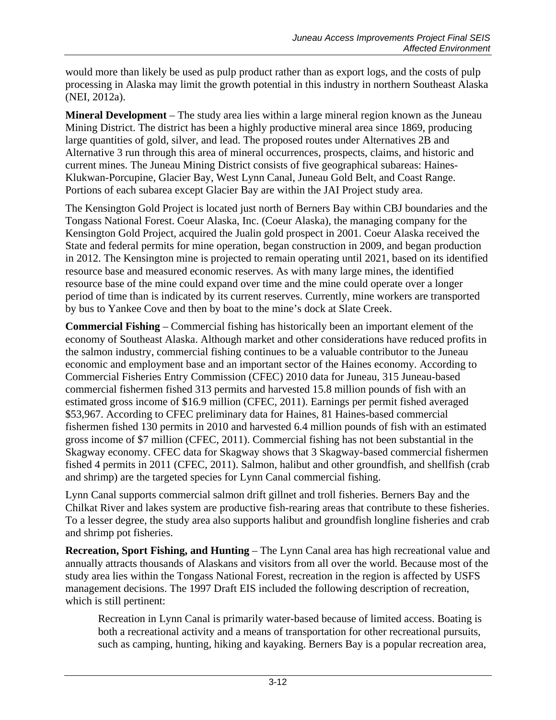would more than likely be used as pulp product rather than as export logs, and the costs of pulp processing in Alaska may limit the growth potential in this industry in northern Southeast Alaska (NEI, 2012a).

**Mineral Development** – The study area lies within a large mineral region known as the Juneau Mining District. The district has been a highly productive mineral area since 1869, producing large quantities of gold, silver, and lead. The proposed routes under Alternatives 2B and Alternative 3 run through this area of mineral occurrences, prospects, claims, and historic and current mines. The Juneau Mining District consists of five geographical subareas: Haines-Klukwan-Porcupine, Glacier Bay, West Lynn Canal, Juneau Gold Belt, and Coast Range. Portions of each subarea except Glacier Bay are within the JAI Project study area.

The Kensington Gold Project is located just north of Berners Bay within CBJ boundaries and the Tongass National Forest. Coeur Alaska, Inc. (Coeur Alaska), the managing company for the Kensington Gold Project, acquired the Jualin gold prospect in 2001. Coeur Alaska received the State and federal permits for mine operation, began construction in 2009, and began production in 2012. The Kensington mine is projected to remain operating until 2021, based on its identified resource base and measured economic reserves. As with many large mines, the identified resource base of the mine could expand over time and the mine could operate over a longer period of time than is indicated by its current reserves. Currently, mine workers are transported by bus to Yankee Cove and then by boat to the mine's dock at Slate Creek.

**Commercial Fishing** – Commercial fishing has historically been an important element of the economy of Southeast Alaska. Although market and other considerations have reduced profits in the salmon industry, commercial fishing continues to be a valuable contributor to the Juneau economic and employment base and an important sector of the Haines economy. According to Commercial Fisheries Entry Commission (CFEC) 2010 data for Juneau, 315 Juneau-based commercial fishermen fished 313 permits and harvested 15.8 million pounds of fish with an estimated gross income of \$16.9 million (CFEC, 2011). Earnings per permit fished averaged \$53,967. According to CFEC preliminary data for Haines, 81 Haines-based commercial fishermen fished 130 permits in 2010 and harvested 6.4 million pounds of fish with an estimated gross income of \$7 million (CFEC, 2011). Commercial fishing has not been substantial in the Skagway economy. CFEC data for Skagway shows that 3 Skagway-based commercial fishermen fished 4 permits in 2011 (CFEC, 2011). Salmon, halibut and other groundfish, and shellfish (crab and shrimp) are the targeted species for Lynn Canal commercial fishing.

Lynn Canal supports commercial salmon drift gillnet and troll fisheries. Berners Bay and the Chilkat River and lakes system are productive fish-rearing areas that contribute to these fisheries. To a lesser degree, the study area also supports halibut and groundfish longline fisheries and crab and shrimp pot fisheries.

**Recreation, Sport Fishing, and Hunting** – The Lynn Canal area has high recreational value and annually attracts thousands of Alaskans and visitors from all over the world. Because most of the study area lies within the Tongass National Forest, recreation in the region is affected by USFS management decisions. The 1997 Draft EIS included the following description of recreation, which is still pertinent:

Recreation in Lynn Canal is primarily water-based because of limited access. Boating is both a recreational activity and a means of transportation for other recreational pursuits, such as camping, hunting, hiking and kayaking. Berners Bay is a popular recreation area,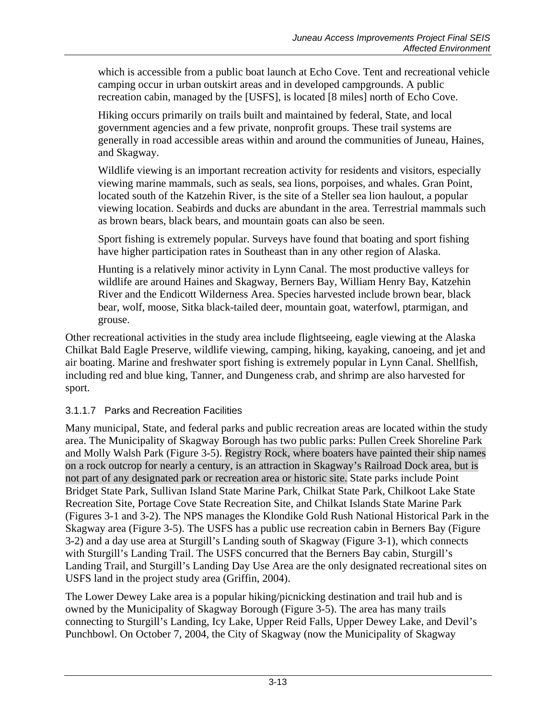which is accessible from a public boat launch at Echo Cove. Tent and recreational vehicle camping occur in urban outskirt areas and in developed campgrounds. A public recreation cabin, managed by the [USFS], is located [8 miles] north of Echo Cove.

Hiking occurs primarily on trails built and maintained by federal, State, and local government agencies and a few private, nonprofit groups. These trail systems are generally in road accessible areas within and around the communities of Juneau, Haines, and Skagway.

Wildlife viewing is an important recreation activity for residents and visitors, especially viewing marine mammals, such as seals, sea lions, porpoises, and whales. Gran Point, located south of the Katzehin River, is the site of a Steller sea lion haulout, a popular viewing location. Seabirds and ducks are abundant in the area. Terrestrial mammals such as brown bears, black bears, and mountain goats can also be seen.

Sport fishing is extremely popular. Surveys have found that boating and sport fishing have higher participation rates in Southeast than in any other region of Alaska.

Hunting is a relatively minor activity in Lynn Canal. The most productive valleys for wildlife are around Haines and Skagway, Berners Bay, William Henry Bay, Katzehin River and the Endicott Wilderness Area. Species harvested include brown bear, black bear, wolf, moose, Sitka black-tailed deer, mountain goat, waterfowl, ptarmigan, and grouse.

Other recreational activities in the study area include flightseeing, eagle viewing at the Alaska Chilkat Bald Eagle Preserve, wildlife viewing, camping, hiking, kayaking, canoeing, and jet and air boating. Marine and freshwater sport fishing is extremely popular in Lynn Canal. Shellfish, including red and blue king, Tanner, and Dungeness crab, and shrimp are also harvested for sport.

## 3.1.1.7 Parks and Recreation Facilities

Many municipal, State, and federal parks and public recreation areas are located within the study area. The Municipality of Skagway Borough has two public parks: Pullen Creek Shoreline Park and Molly Walsh Park (Figure 3-5). Registry Rock, where boaters have painted their ship names on a rock outcrop for nearly a century, is an attraction in Skagway's Railroad Dock area, but is not part of any designated park or recreation area or historic site. State parks include Point Bridget State Park, Sullivan Island State Marine Park, Chilkat State Park, Chilkoot Lake State Recreation Site, Portage Cove State Recreation Site, and Chilkat Islands State Marine Park (Figures 3-1 and 3-2). The NPS manages the Klondike Gold Rush National Historical Park in the Skagway area (Figure 3-5). The USFS has a public use recreation cabin in Berners Bay (Figure 3-2) and a day use area at Sturgill's Landing south of Skagway (Figure 3-1), which connects with Sturgill's Landing Trail. The USFS concurred that the Berners Bay cabin, Sturgill's Landing Trail, and Sturgill's Landing Day Use Area are the only designated recreational sites on USFS land in the project study area (Griffin, 2004).

The Lower Dewey Lake area is a popular hiking/picnicking destination and trail hub and is owned by the Municipality of Skagway Borough (Figure 3-5). The area has many trails connecting to Sturgill's Landing, Icy Lake, Upper Reid Falls, Upper Dewey Lake, and Devil's Punchbowl. On October 7, 2004, the City of Skagway (now the Municipality of Skagway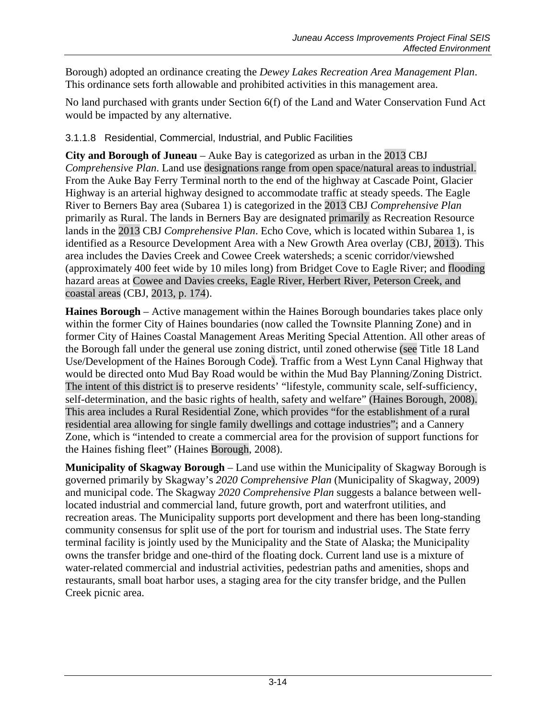Borough) adopted an ordinance creating the *Dewey Lakes Recreation Area Management Plan*. This ordinance sets forth allowable and prohibited activities in this management area.

No land purchased with grants under Section 6(f) of the Land and Water Conservation Fund Act would be impacted by any alternative.

# 3.1.1.8 Residential, Commercial, Industrial, and Public Facilities

**City and Borough of Juneau** – Auke Bay is categorized as urban in the 2013 CBJ *Comprehensive Plan*. Land use designations range from open space/natural areas to industrial. From the Auke Bay Ferry Terminal north to the end of the highway at Cascade Point, Glacier Highway is an arterial highway designed to accommodate traffic at steady speeds. The Eagle River to Berners Bay area (Subarea 1) is categorized in the 2013 CBJ *Comprehensive Plan* primarily as Rural. The lands in Berners Bay are designated primarily as Recreation Resource lands in the 2013 CBJ *Comprehensive Plan*. Echo Cove, which is located within Subarea 1, is identified as a Resource Development Area with a New Growth Area overlay (CBJ, 2013). This area includes the Davies Creek and Cowee Creek watersheds; a scenic corridor/viewshed (approximately 400 feet wide by 10 miles long) from Bridget Cove to Eagle River; and flooding hazard areas at Cowee and Davies creeks, Eagle River, Herbert River, Peterson Creek, and coastal areas (CBJ, 2013, p. 174).

**Haines Borough** – Active management within the Haines Borough boundaries takes place only within the former City of Haines boundaries (now called the Townsite Planning Zone) and in former City of Haines Coastal Management Areas Meriting Special Attention. All other areas of the Borough fall under the general use zoning district, until zoned otherwise (see Title 18 Land Use/Development of the Haines Borough Code). Traffic from a West Lynn Canal Highway that would be directed onto Mud Bay Road would be within the Mud Bay Planning/Zoning District. The intent of this district is to preserve residents' "lifestyle, community scale, self-sufficiency, self-determination, and the basic rights of health, safety and welfare" (Haines Borough, 2008). This area includes a Rural Residential Zone, which provides "for the establishment of a rural residential area allowing for single family dwellings and cottage industries"; and a Cannery Zone, which is "intended to create a commercial area for the provision of support functions for the Haines fishing fleet" (Haines Borough, 2008).

**Municipality of Skagway Borough** – Land use within the Municipality of Skagway Borough is governed primarily by Skagway's *2020 Comprehensive Plan* (Municipality of Skagway, 2009) and municipal code. The Skagway *2020 Comprehensive Plan* suggests a balance between welllocated industrial and commercial land, future growth, port and waterfront utilities, and recreation areas. The Municipality supports port development and there has been long-standing community consensus for split use of the port for tourism and industrial uses. The State ferry terminal facility is jointly used by the Municipality and the State of Alaska; the Municipality owns the transfer bridge and one-third of the floating dock. Current land use is a mixture of water-related commercial and industrial activities, pedestrian paths and amenities, shops and restaurants, small boat harbor uses, a staging area for the city transfer bridge, and the Pullen Creek picnic area.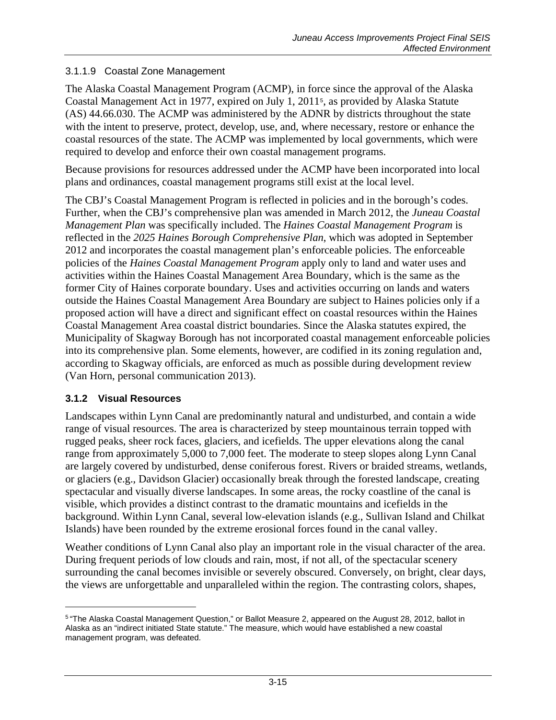#### 3.1.1.9 Coastal Zone Management

The Alaska Coastal Management Program (ACMP), in force since the approval of the Alaska Coastal Management Act in 1977, expired on July 1, 2011[5](#page-14-0), as provided by Alaska Statute (AS) 44.66.030. The ACMP was administered by the ADNR by districts throughout the state with the intent to preserve, protect, develop, use, and, where necessary, restore or enhance the coastal resources of the state. The ACMP was implemented by local governments, which were required to develop and enforce their own coastal management programs.

Because provisions for resources addressed under the ACMP have been incorporated into local plans and ordinances, coastal management programs still exist at the local level.

The CBJ's Coastal Management Program is reflected in policies and in the borough's codes. Further, when the CBJ's comprehensive plan was amended in March 2012, the *Juneau Coastal Management Plan* was specifically included. The *Haines Coastal Management Program* is reflected in the *2025 Haines Borough Comprehensive Plan*, which was adopted in September 2012 and incorporates the coastal management plan's enforceable policies. The enforceable policies of the *Haines Coastal Management Program* apply only to land and water uses and activities within the Haines Coastal Management Area Boundary, which is the same as the former City of Haines corporate boundary. Uses and activities occurring on lands and waters outside the Haines Coastal Management Area Boundary are subject to Haines policies only if a proposed action will have a direct and significant effect on coastal resources within the Haines Coastal Management Area coastal district boundaries. Since the Alaska statutes expired, the Municipality of Skagway Borough has not incorporated coastal management enforceable policies into its comprehensive plan. Some elements, however, are codified in its zoning regulation and, according to Skagway officials, are enforced as much as possible during development review (Van Horn, personal communication 2013).

#### **3.1.2 Visual Resources**

 $\overline{a}$ 

Landscapes within Lynn Canal are predominantly natural and undisturbed, and contain a wide range of visual resources. The area is characterized by steep mountainous terrain topped with rugged peaks, sheer rock faces, glaciers, and icefields. The upper elevations along the canal range from approximately 5,000 to 7,000 feet. The moderate to steep slopes along Lynn Canal are largely covered by undisturbed, dense coniferous forest. Rivers or braided streams, wetlands, or glaciers (e.g., Davidson Glacier) occasionally break through the forested landscape, creating spectacular and visually diverse landscapes. In some areas, the rocky coastline of the canal is visible, which provides a distinct contrast to the dramatic mountains and icefields in the background. Within Lynn Canal, several low-elevation islands (e.g., Sullivan Island and Chilkat Islands) have been rounded by the extreme erosional forces found in the canal valley.

Weather conditions of Lynn Canal also play an important role in the visual character of the area. During frequent periods of low clouds and rain, most, if not all, of the spectacular scenery surrounding the canal becomes invisible or severely obscured. Conversely, on bright, clear days, the views are unforgettable and unparalleled within the region. The contrasting colors, shapes,

<span id="page-14-0"></span><sup>5</sup> "The Alaska Coastal Management Question," or Ballot Measure 2, appeared on the August 28, 2012, ballot in Alaska as an "indirect initiated State statute." The measure, which would have established a new coastal management program, was defeated.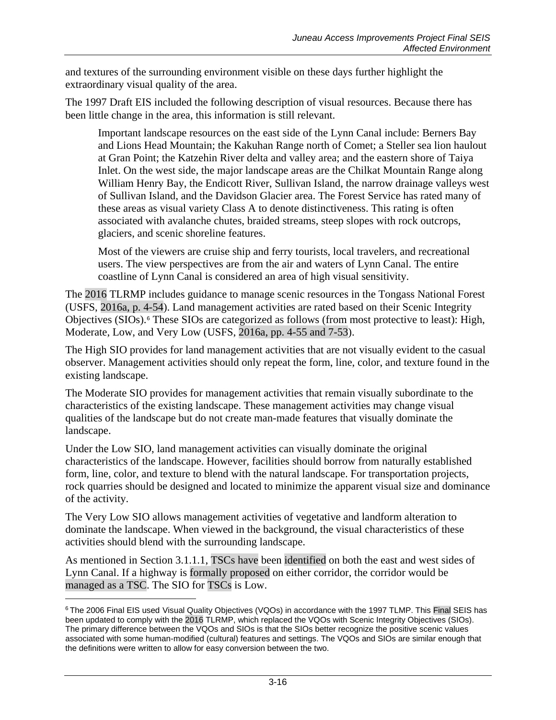and textures of the surrounding environment visible on these days further highlight the extraordinary visual quality of the area.

The 1997 Draft EIS included the following description of visual resources. Because there has been little change in the area, this information is still relevant.

Important landscape resources on the east side of the Lynn Canal include: Berners Bay and Lions Head Mountain; the Kakuhan Range north of Comet; a Steller sea lion haulout at Gran Point; the Katzehin River delta and valley area; and the eastern shore of Taiya Inlet. On the west side, the major landscape areas are the Chilkat Mountain Range along William Henry Bay, the Endicott River, Sullivan Island, the narrow drainage valleys west of Sullivan Island, and the Davidson Glacier area. The Forest Service has rated many of these areas as visual variety Class A to denote distinctiveness. This rating is often associated with avalanche chutes, braided streams, steep slopes with rock outcrops, glaciers, and scenic shoreline features.

Most of the viewers are cruise ship and ferry tourists, local travelers, and recreational users. The view perspectives are from the air and waters of Lynn Canal. The entire coastline of Lynn Canal is considered an area of high visual sensitivity.

The 2016 TLRMP includes guidance to manage scenic resources in the Tongass National Forest (USFS, 2016a, p. 4-54). Land management activities are rated based on their Scenic Integrity Objectives (SIOs).[6](#page-15-0) These SIOs are categorized as follows (from most protective to least): High, Moderate, Low, and Very Low (USFS, 2016a, pp. 4-55 and 7-53).

The High SIO provides for land management activities that are not visually evident to the casual observer. Management activities should only repeat the form, line, color, and texture found in the existing landscape.

The Moderate SIO provides for management activities that remain visually subordinate to the characteristics of the existing landscape. These management activities may change visual qualities of the landscape but do not create man-made features that visually dominate the landscape.

Under the Low SIO, land management activities can visually dominate the original characteristics of the landscape. However, facilities should borrow from naturally established form, line, color, and texture to blend with the natural landscape. For transportation projects, rock quarries should be designed and located to minimize the apparent visual size and dominance of the activity.

The Very Low SIO allows management activities of vegetative and landform alteration to dominate the landscape. When viewed in the background, the visual characteristics of these activities should blend with the surrounding landscape.

As mentioned in Section [3.1.1.1,](#page-0-1) TSCs have been identified on both the east and west sides of Lynn Canal. If a highway is formally proposed on either corridor, the corridor would be managed as a TSC. The SIO for TSCs is Low.

 $\overline{a}$ 

<span id="page-15-0"></span><sup>6</sup> The 2006 Final EIS used Visual Quality Objectives (VQOs) in accordance with the 1997 TLMP. This Final SEIS has been updated to comply with the 2016 TLRMP, which replaced the VQOs with Scenic Integrity Objectives (SIOs). The primary difference between the VQOs and SIOs is that the SIOs better recognize the positive scenic values associated with some human-modified (cultural) features and settings. The VQOs and SIOs are similar enough that the definitions were written to allow for easy conversion between the two.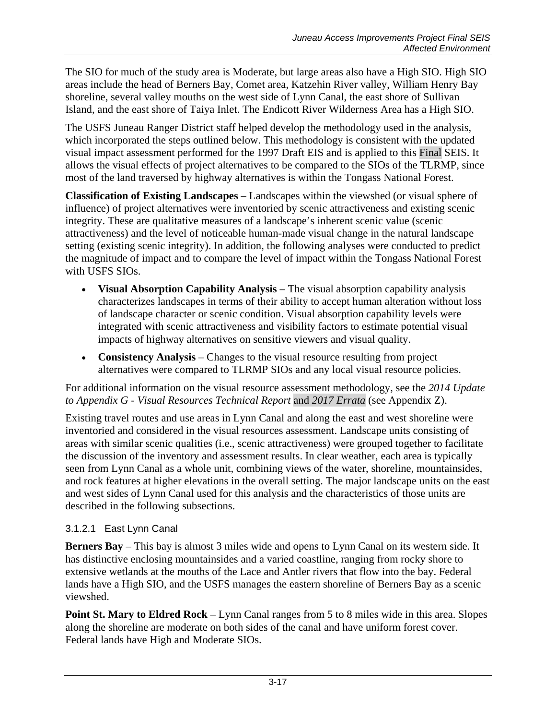The SIO for much of the study area is Moderate, but large areas also have a High SIO. High SIO areas include the head of Berners Bay, Comet area, Katzehin River valley, William Henry Bay shoreline, several valley mouths on the west side of Lynn Canal, the east shore of Sullivan Island, and the east shore of Taiya Inlet. The Endicott River Wilderness Area has a High SIO.

The USFS Juneau Ranger District staff helped develop the methodology used in the analysis, which incorporated the steps outlined below. This methodology is consistent with the updated visual impact assessment performed for the 1997 Draft EIS and is applied to this Final SEIS. It allows the visual effects of project alternatives to be compared to the SIOs of the TLRMP, since most of the land traversed by highway alternatives is within the Tongass National Forest.

**Classification of Existing Landscapes** – Landscapes within the viewshed (or visual sphere of influence) of project alternatives were inventoried by scenic attractiveness and existing scenic integrity. These are qualitative measures of a landscape's inherent scenic value (scenic attractiveness) and the level of noticeable human-made visual change in the natural landscape setting (existing scenic integrity). In addition, the following analyses were conducted to predict the magnitude of impact and to compare the level of impact within the Tongass National Forest with USFS SIOs.

- **Visual Absorption Capability Analysis** The visual absorption capability analysis characterizes landscapes in terms of their ability to accept human alteration without loss of landscape character or scenic condition. Visual absorption capability levels were integrated with scenic attractiveness and visibility factors to estimate potential visual impacts of highway alternatives on sensitive viewers and visual quality.
- **Consistency Analysis** Changes to the visual resource resulting from project alternatives were compared to TLRMP SIOs and any local visual resource policies.

#### For additional information on the visual resource assessment methodology, see the *2014 Update to Appendix G - Visual Resources Technical Report* and *2017 Errata* (see Appendix Z).

Existing travel routes and use areas in Lynn Canal and along the east and west shoreline were inventoried and considered in the visual resources assessment. Landscape units consisting of areas with similar scenic qualities (i.e., scenic attractiveness) were grouped together to facilitate the discussion of the inventory and assessment results. In clear weather, each area is typically seen from Lynn Canal as a whole unit, combining views of the water, shoreline, mountainsides, and rock features at higher elevations in the overall setting. The major landscape units on the east and west sides of Lynn Canal used for this analysis and the characteristics of those units are described in the following subsections.

## 3.1.2.1 East Lynn Canal

**Berners Bay** – This bay is almost 3 miles wide and opens to Lynn Canal on its western side. It has distinctive enclosing mountainsides and a varied coastline, ranging from rocky shore to extensive wetlands at the mouths of the Lace and Antler rivers that flow into the bay. Federal lands have a High SIO, and the USFS manages the eastern shoreline of Berners Bay as a scenic viewshed.

**Point St. Mary to Eldred Rock** – Lynn Canal ranges from 5 to 8 miles wide in this area. Slopes along the shoreline are moderate on both sides of the canal and have uniform forest cover. Federal lands have High and Moderate SIOs.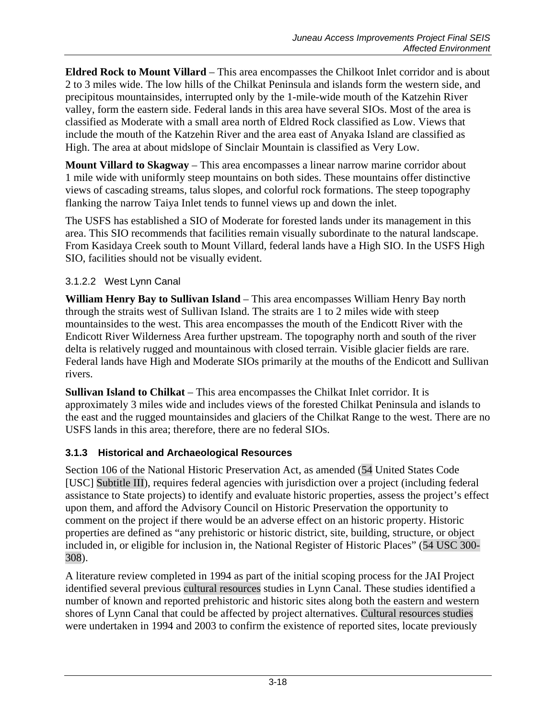**Eldred Rock to Mount Villard** – This area encompasses the Chilkoot Inlet corridor and is about 2 to 3 miles wide. The low hills of the Chilkat Peninsula and islands form the western side, and precipitous mountainsides, interrupted only by the 1-mile-wide mouth of the Katzehin River valley, form the eastern side. Federal lands in this area have several SIOs. Most of the area is classified as Moderate with a small area north of Eldred Rock classified as Low. Views that include the mouth of the Katzehin River and the area east of Anyaka Island are classified as High. The area at about midslope of Sinclair Mountain is classified as Very Low.

**Mount Villard to Skagway** – This area encompasses a linear narrow marine corridor about 1 mile wide with uniformly steep mountains on both sides. These mountains offer distinctive views of cascading streams, talus slopes, and colorful rock formations. The steep topography flanking the narrow Taiya Inlet tends to funnel views up and down the inlet.

The USFS has established a SIO of Moderate for forested lands under its management in this area. This SIO recommends that facilities remain visually subordinate to the natural landscape. From Kasidaya Creek south to Mount Villard, federal lands have a High SIO. In the USFS High SIO, facilities should not be visually evident.

## 3.1.2.2 West Lynn Canal

**William Henry Bay to Sullivan Island** – This area encompasses William Henry Bay north through the straits west of Sullivan Island. The straits are 1 to 2 miles wide with steep mountainsides to the west. This area encompasses the mouth of the Endicott River with the Endicott River Wilderness Area further upstream. The topography north and south of the river delta is relatively rugged and mountainous with closed terrain. Visible glacier fields are rare. Federal lands have High and Moderate SIOs primarily at the mouths of the Endicott and Sullivan rivers.

**Sullivan Island to Chilkat** – This area encompasses the Chilkat Inlet corridor. It is approximately 3 miles wide and includes views of the forested Chilkat Peninsula and islands to the east and the rugged mountainsides and glaciers of the Chilkat Range to the west. There are no USFS lands in this area; therefore, there are no federal SIOs.

## **3.1.3 Historical and Archaeological Resources**

Section 106 of the National Historic Preservation Act, as amended (54 United States Code [USC] Subtitle III), requires federal agencies with jurisdiction over a project (including federal assistance to State projects) to identify and evaluate historic properties, assess the project's effect upon them, and afford the Advisory Council on Historic Preservation the opportunity to comment on the project if there would be an adverse effect on an historic property. Historic properties are defined as "any prehistoric or historic district, site, building, structure, or object included in, or eligible for inclusion in, the National Register of Historic Places" (54 USC 300- 308).

A literature review completed in 1994 as part of the initial scoping process for the JAI Project identified several previous cultural resources studies in Lynn Canal. These studies identified a number of known and reported prehistoric and historic sites along both the eastern and western shores of Lynn Canal that could be affected by project alternatives. Cultural resources studies were undertaken in 1994 and 2003 to confirm the existence of reported sites, locate previously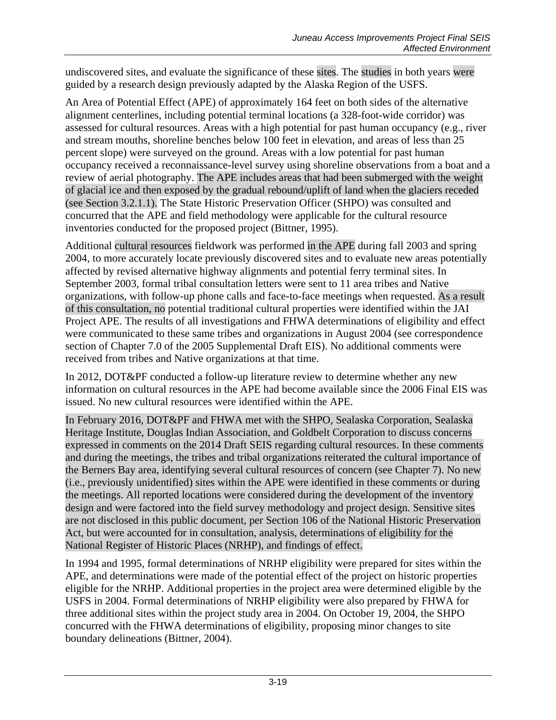undiscovered sites, and evaluate the significance of these sites. The studies in both years were guided by a research design previously adapted by the Alaska Region of the USFS.

An Area of Potential Effect (APE) of approximately 164 feet on both sides of the alternative alignment centerlines, including potential terminal locations (a 328-foot-wide corridor) was assessed for cultural resources. Areas with a high potential for past human occupancy (e.g., river and stream mouths, shoreline benches below 100 feet in elevation, and areas of less than 25 percent slope) were surveyed on the ground. Areas with a low potential for past human occupancy received a reconnaissance-level survey using shoreline observations from a boat and a review of aerial photography. The APE includes areas that had been submerged with the weight of glacial ice and then exposed by the gradual rebound/uplift of land when the glaciers receded (see Section [3.2.1.1\)](#page-33-0). The State Historic Preservation Officer (SHPO) was consulted and concurred that the APE and field methodology were applicable for the cultural resource inventories conducted for the proposed project (Bittner, 1995).

Additional cultural resources fieldwork was performed in the APE during fall 2003 and spring 2004, to more accurately locate previously discovered sites and to evaluate new areas potentially affected by revised alternative highway alignments and potential ferry terminal sites. In September 2003, formal tribal consultation letters were sent to 11 area tribes and Native organizations, with follow-up phone calls and face-to-face meetings when requested. As a result of this consultation, no potential traditional cultural properties were identified within the JAI Project APE. The results of all investigations and FHWA determinations of eligibility and effect were communicated to these same tribes and organizations in August 2004 (see correspondence section of Chapter 7.0 of the 2005 Supplemental Draft EIS). No additional comments were received from tribes and Native organizations at that time.

In 2012, DOT&PF conducted a follow-up literature review to determine whether any new information on cultural resources in the APE had become available since the 2006 Final EIS was issued. No new cultural resources were identified within the APE.

In February 2016, DOT&PF and FHWA met with the SHPO, Sealaska Corporation, Sealaska Heritage Institute, Douglas Indian Association, and Goldbelt Corporation to discuss concerns expressed in comments on the 2014 Draft SEIS regarding cultural resources. In these comments and during the meetings, the tribes and tribal organizations reiterated the cultural importance of the Berners Bay area, identifying several cultural resources of concern (see Chapter 7). No new (i.e., previously unidentified) sites within the APE were identified in these comments or during the meetings. All reported locations were considered during the development of the inventory design and were factored into the field survey methodology and project design. Sensitive sites are not disclosed in this public document, per Section 106 of the National Historic Preservation Act, but were accounted for in consultation, analysis, determinations of eligibility for the National Register of Historic Places (NRHP), and findings of effect.

In 1994 and 1995, formal determinations of NRHP eligibility were prepared for sites within the APE, and determinations were made of the potential effect of the project on historic properties eligible for the NRHP. Additional properties in the project area were determined eligible by the USFS in 2004. Formal determinations of NRHP eligibility were also prepared by FHWA for three additional sites within the project study area in 2004. On October 19, 2004, the SHPO concurred with the FHWA determinations of eligibility, proposing minor changes to site boundary delineations (Bittner, 2004).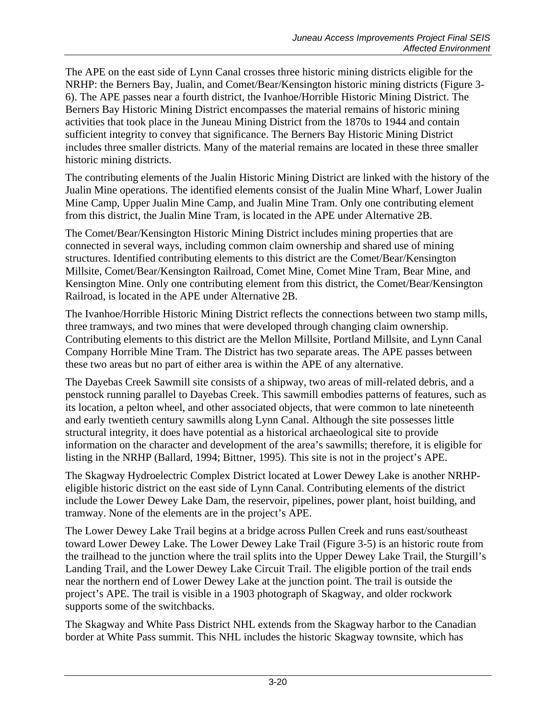The APE on the east side of Lynn Canal crosses three historic mining districts eligible for the NRHP: the Berners Bay, Jualin, and Comet/Bear/Kensington historic mining districts (Figure 3- 6). The APE passes near a fourth district, the Ivanhoe/Horrible Historic Mining District. The Berners Bay Historic Mining District encompasses the material remains of historic mining activities that took place in the Juneau Mining District from the 1870s to 1944 and contain sufficient integrity to convey that significance. The Berners Bay Historic Mining District includes three smaller districts. Many of the material remains are located in these three smaller historic mining districts.

The contributing elements of the Jualin Historic Mining District are linked with the history of the Jualin Mine operations. The identified elements consist of the Jualin Mine Wharf, Lower Jualin Mine Camp, Upper Jualin Mine Camp, and Jualin Mine Tram. Only one contributing element from this district, the Jualin Mine Tram, is located in the APE under Alternative 2B.

The Comet/Bear/Kensington Historic Mining District includes mining properties that are connected in several ways, including common claim ownership and shared use of mining structures. Identified contributing elements to this district are the Comet/Bear/Kensington Millsite, Comet/Bear/Kensington Railroad, Comet Mine, Comet Mine Tram, Bear Mine, and Kensington Mine. Only one contributing element from this district, the Comet/Bear/Kensington Railroad, is located in the APE under Alternative 2B.

The Ivanhoe/Horrible Historic Mining District reflects the connections between two stamp mills, three tramways, and two mines that were developed through changing claim ownership. Contributing elements to this district are the Mellon Millsite, Portland Millsite, and Lynn Canal Company Horrible Mine Tram. The District has two separate areas. The APE passes between these two areas but no part of either area is within the APE of any alternative.

The Dayebas Creek Sawmill site consists of a shipway, two areas of mill-related debris, and a penstock running parallel to Dayebas Creek. This sawmill embodies patterns of features, such as its location, a pelton wheel, and other associated objects, that were common to late nineteenth and early twentieth century sawmills along Lynn Canal. Although the site possesses little structural integrity, it does have potential as a historical archaeological site to provide information on the character and development of the area's sawmills; therefore, it is eligible for listing in the NRHP (Ballard, 1994; Bittner, 1995). This site is not in the project's APE.

The Skagway Hydroelectric Complex District located at Lower Dewey Lake is another NRHPeligible historic district on the east side of Lynn Canal. Contributing elements of the district include the Lower Dewey Lake Dam, the reservoir, pipelines, power plant, hoist building, and tramway. None of the elements are in the project's APE.

The Lower Dewey Lake Trail begins at a bridge across Pullen Creek and runs east/southeast toward Lower Dewey Lake. The Lower Dewey Lake Trail (Figure 3-5) is an historic route from the trailhead to the junction where the trail splits into the Upper Dewey Lake Trail, the Sturgill's Landing Trail, and the Lower Dewey Lake Circuit Trail. The eligible portion of the trail ends near the northern end of Lower Dewey Lake at the junction point. The trail is outside the project's APE. The trail is visible in a 1903 photograph of Skagway, and older rockwork supports some of the switchbacks.

The Skagway and White Pass District NHL extends from the Skagway harbor to the Canadian border at White Pass summit. This NHL includes the historic Skagway townsite, which has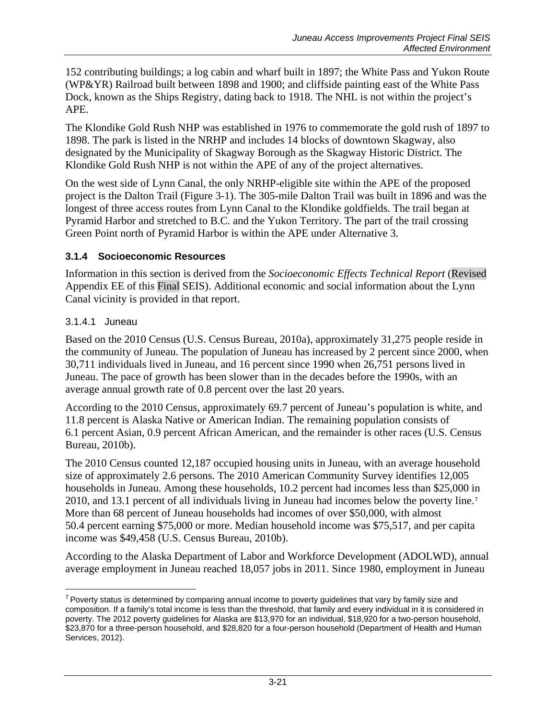152 contributing buildings; a log cabin and wharf built in 1897; the White Pass and Yukon Route (WP&YR) Railroad built between 1898 and 1900; and cliffside painting east of the White Pass Dock, known as the Ships Registry, dating back to 1918. The NHL is not within the project's APE.

The Klondike Gold Rush NHP was established in 1976 to commemorate the gold rush of 1897 to 1898. The park is listed in the NRHP and includes 14 blocks of downtown Skagway, also designated by the Municipality of Skagway Borough as the Skagway Historic District. The Klondike Gold Rush NHP is not within the APE of any of the project alternatives.

On the west side of Lynn Canal, the only NRHP-eligible site within the APE of the proposed project is the Dalton Trail (Figure 3-1). The 305-mile Dalton Trail was built in 1896 and was the longest of three access routes from Lynn Canal to the Klondike goldfields. The trail began at Pyramid Harbor and stretched to B.C. and the Yukon Territory. The part of the trail crossing Green Point north of Pyramid Harbor is within the APE under Alternative 3.

#### **3.1.4 Socioeconomic Resources**

Information in this section is derived from the *Socioeconomic Effects Technical Report* (Revised Appendix EE of this Final SEIS). Additional economic and social information about the Lynn Canal vicinity is provided in that report.

#### 3.1.4.1 Juneau

Based on the 2010 Census (U.S. Census Bureau, 2010a), approximately 31,275 people reside in the community of Juneau. The population of Juneau has increased by 2 percent since 2000, when 30,711 individuals lived in Juneau, and 16 percent since 1990 when 26,751 persons lived in Juneau. The pace of growth has been slower than in the decades before the 1990s, with an average annual growth rate of 0.8 percent over the last 20 years.

According to the 2010 Census, approximately 69.7 percent of Juneau's population is white, and 11.8 percent is Alaska Native or American Indian. The remaining population consists of 6.1 percent Asian, 0.9 percent African American, and the remainder is other races (U.S. Census Bureau, 2010b).

The 2010 Census counted 12,187 occupied housing units in Juneau, with an average household size of approximately 2.6 persons. The 2010 American Community Survey identifies 12,005 households in Juneau. Among these households, 10.2 percent had incomes less than \$25,000 in 2010, and 13.1 percent of all individuals living in Juneau had incomes below the poverty line.[7](#page-20-0) More than 68 percent of Juneau households had incomes of over \$50,000, with almost 50.4 percent earning \$75,000 or more. Median household income was \$75,517, and per capita income was \$49,458 (U.S. Census Bureau, 2010b).

According to the Alaska Department of Labor and Workforce Development (ADOLWD), annual average employment in Juneau reached 18,057 jobs in 2011. Since 1980, employment in Juneau

<span id="page-20-0"></span> $\overline{a}$  $7$  Poverty status is determined by comparing annual income to poverty guidelines that vary by family size and composition. If a family's total income is less than the threshold, that family and every individual in it is considered in poverty. The 2012 poverty guidelines for Alaska are \$13,970 for an individual, \$18,920 for a two-person household, \$23,870 for a three-person household, and \$28,820 for a four-person household (Department of Health and Human Services, 2012).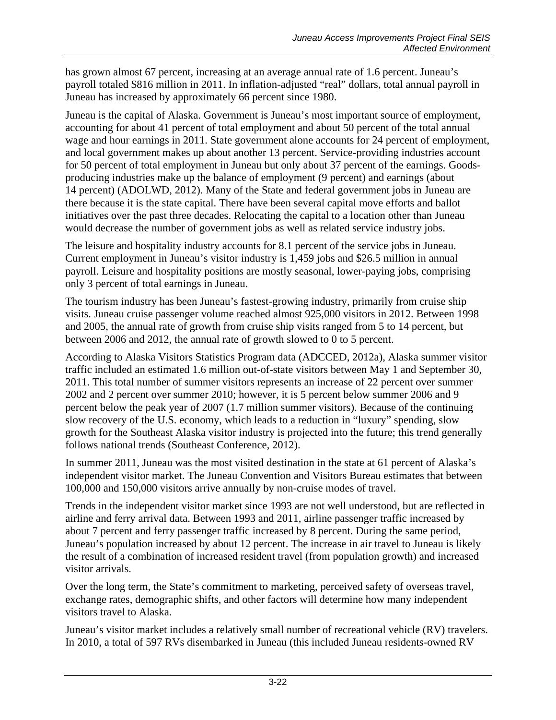has grown almost 67 percent, increasing at an average annual rate of 1.6 percent. Juneau's payroll totaled \$816 million in 2011. In inflation-adjusted "real" dollars, total annual payroll in Juneau has increased by approximately 66 percent since 1980.

Juneau is the capital of Alaska. Government is Juneau's most important source of employment, accounting for about 41 percent of total employment and about 50 percent of the total annual wage and hour earnings in 2011. State government alone accounts for 24 percent of employment, and local government makes up about another 13 percent. Service-providing industries account for 50 percent of total employment in Juneau but only about 37 percent of the earnings. Goodsproducing industries make up the balance of employment (9 percent) and earnings (about 14 percent) (ADOLWD, 2012). Many of the State and federal government jobs in Juneau are there because it is the state capital. There have been several capital move efforts and ballot initiatives over the past three decades. Relocating the capital to a location other than Juneau would decrease the number of government jobs as well as related service industry jobs.

The leisure and hospitality industry accounts for 8.1 percent of the service jobs in Juneau. Current employment in Juneau's visitor industry is 1,459 jobs and \$26.5 million in annual payroll. Leisure and hospitality positions are mostly seasonal, lower-paying jobs, comprising only 3 percent of total earnings in Juneau.

The tourism industry has been Juneau's fastest-growing industry, primarily from cruise ship visits. Juneau cruise passenger volume reached almost 925,000 visitors in 2012. Between 1998 and 2005, the annual rate of growth from cruise ship visits ranged from 5 to 14 percent, but between 2006 and 2012, the annual rate of growth slowed to 0 to 5 percent.

According to Alaska Visitors Statistics Program data (ADCCED, 2012a), Alaska summer visitor traffic included an estimated 1.6 million out-of-state visitors between May 1 and September 30, 2011. This total number of summer visitors represents an increase of 22 percent over summer 2002 and 2 percent over summer 2010; however, it is 5 percent below summer 2006 and 9 percent below the peak year of 2007 (1.7 million summer visitors). Because of the continuing slow recovery of the U.S. economy, which leads to a reduction in "luxury" spending, slow growth for the Southeast Alaska visitor industry is projected into the future; this trend generally follows national trends (Southeast Conference, 2012).

In summer 2011, Juneau was the most visited destination in the state at 61 percent of Alaska's independent visitor market. The Juneau Convention and Visitors Bureau estimates that between 100,000 and 150,000 visitors arrive annually by non-cruise modes of travel.

Trends in the independent visitor market since 1993 are not well understood, but are reflected in airline and ferry arrival data. Between 1993 and 2011, airline passenger traffic increased by about 7 percent and ferry passenger traffic increased by 8 percent. During the same period, Juneau's population increased by about 12 percent. The increase in air travel to Juneau is likely the result of a combination of increased resident travel (from population growth) and increased visitor arrivals.

Over the long term, the State's commitment to marketing, perceived safety of overseas travel, exchange rates, demographic shifts, and other factors will determine how many independent visitors travel to Alaska.

Juneau's visitor market includes a relatively small number of recreational vehicle (RV) travelers. In 2010, a total of 597 RVs disembarked in Juneau (this included Juneau residents-owned RV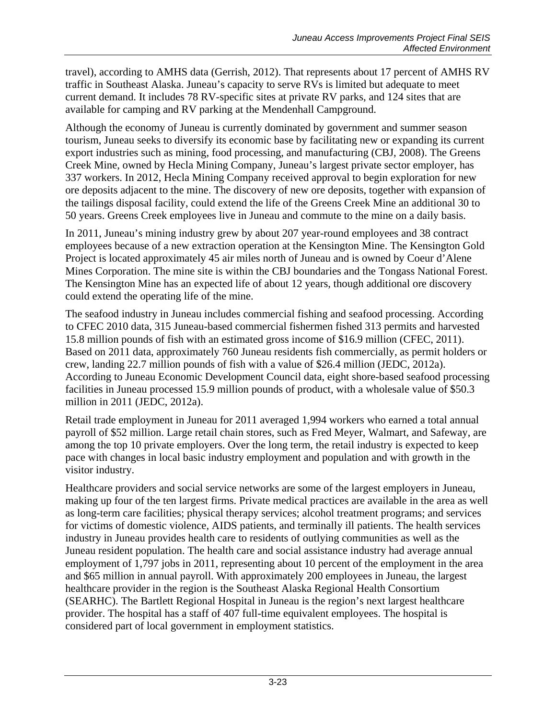travel), according to AMHS data (Gerrish, 2012). That represents about 17 percent of AMHS RV traffic in Southeast Alaska. Juneau's capacity to serve RVs is limited but adequate to meet current demand. It includes 78 RV-specific sites at private RV parks, and 124 sites that are available for camping and RV parking at the Mendenhall Campground.

Although the economy of Juneau is currently dominated by government and summer season tourism, Juneau seeks to diversify its economic base by facilitating new or expanding its current export industries such as mining, food processing, and manufacturing (CBJ, 2008). The Greens Creek Mine, owned by Hecla Mining Company, Juneau's largest private sector employer, has 337 workers. In 2012, Hecla Mining Company received approval to begin exploration for new ore deposits adjacent to the mine. The discovery of new ore deposits, together with expansion of the tailings disposal facility, could extend the life of the Greens Creek Mine an additional 30 to 50 years. Greens Creek employees live in Juneau and commute to the mine on a daily basis.

In 2011, Juneau's mining industry grew by about 207 year-round employees and 38 contract employees because of a new extraction operation at the Kensington Mine. The Kensington Gold Project is located approximately 45 air miles north of Juneau and is owned by Coeur d'Alene Mines Corporation. The mine site is within the CBJ boundaries and the Tongass National Forest. The Kensington Mine has an expected life of about 12 years, though additional ore discovery could extend the operating life of the mine.

The seafood industry in Juneau includes commercial fishing and seafood processing. According to CFEC 2010 data, 315 Juneau-based commercial fishermen fished 313 permits and harvested 15.8 million pounds of fish with an estimated gross income of \$16.9 million (CFEC, 2011). Based on 2011 data, approximately 760 Juneau residents fish commercially, as permit holders or crew, landing 22.7 million pounds of fish with a value of \$26.4 million (JEDC, 2012a). According to Juneau Economic Development Council data, eight shore-based seafood processing facilities in Juneau processed 15.9 million pounds of product, with a wholesale value of \$50.3 million in 2011 (JEDC, 2012a).

Retail trade employment in Juneau for 2011 averaged 1,994 workers who earned a total annual payroll of \$52 million. Large retail chain stores, such as Fred Meyer, Walmart, and Safeway, are among the top 10 private employers. Over the long term, the retail industry is expected to keep pace with changes in local basic industry employment and population and with growth in the visitor industry.

Healthcare providers and social service networks are some of the largest employers in Juneau, making up four of the ten largest firms. Private medical practices are available in the area as well as long-term care facilities; physical therapy services; alcohol treatment programs; and services for victims of domestic violence, AIDS patients, and terminally ill patients. The health services industry in Juneau provides health care to residents of outlying communities as well as the Juneau resident population. The health care and social assistance industry had average annual employment of 1,797 jobs in 2011, representing about 10 percent of the employment in the area and \$65 million in annual payroll. With approximately 200 employees in Juneau, the largest healthcare provider in the region is the Southeast Alaska Regional Health Consortium (SEARHC). The Bartlett Regional Hospital in Juneau is the region's next largest healthcare provider. The hospital has a staff of 407 full-time equivalent employees. The hospital is considered part of local government in employment statistics.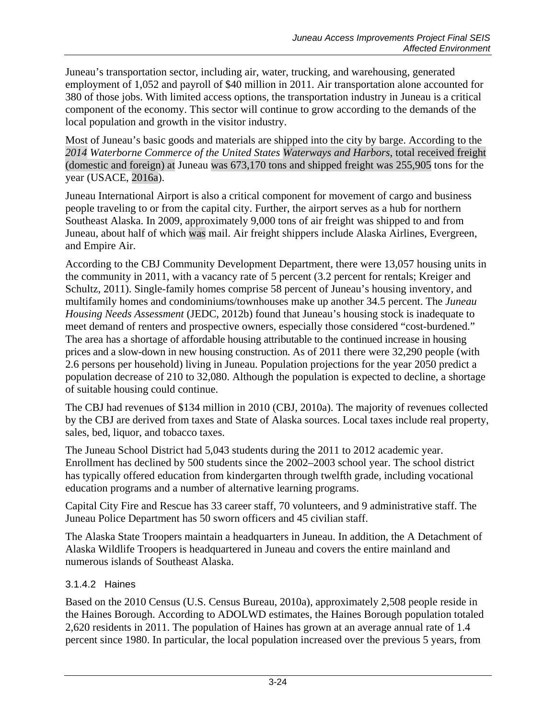Juneau's transportation sector, including air, water, trucking, and warehousing, generated employment of 1,052 and payroll of \$40 million in 2011. Air transportation alone accounted for 380 of those jobs. With limited access options, the transportation industry in Juneau is a critical component of the economy. This sector will continue to grow according to the demands of the local population and growth in the visitor industry.

Most of Juneau's basic goods and materials are shipped into the city by barge. According to the *2014 Waterborne Commerce of the United States Waterways and Harbors*, total received freight (domestic and foreign) at Juneau was 673,170 tons and shipped freight was 255,905 tons for the year (USACE, 2016a).

Juneau International Airport is also a critical component for movement of cargo and business people traveling to or from the capital city. Further, the airport serves as a hub for northern Southeast Alaska. In 2009, approximately 9,000 tons of air freight was shipped to and from Juneau, about half of which was mail. Air freight shippers include Alaska Airlines, Evergreen, and Empire Air.

According to the CBJ Community Development Department, there were 13,057 housing units in the community in 2011, with a vacancy rate of 5 percent (3.2 percent for rentals; Kreiger and Schultz, 2011). Single-family homes comprise 58 percent of Juneau's housing inventory, and multifamily homes and condominiums/townhouses make up another 34.5 percent. The *Juneau Housing Needs Assessment* (JEDC, 2012b) found that Juneau's housing stock is inadequate to meet demand of renters and prospective owners, especially those considered "cost-burdened." The area has a shortage of affordable housing attributable to the continued increase in housing prices and a slow-down in new housing construction. As of 2011 there were 32,290 people (with 2.6 persons per household) living in Juneau. Population projections for the year 2050 predict a population decrease of 210 to 32,080. Although the population is expected to decline, a shortage of suitable housing could continue.

The CBJ had revenues of \$134 million in 2010 (CBJ, 2010a). The majority of revenues collected by the CBJ are derived from taxes and State of Alaska sources. Local taxes include real property, sales, bed, liquor, and tobacco taxes.

The Juneau School District had 5,043 students during the 2011 to 2012 academic year. Enrollment has declined by 500 students since the 2002–2003 school year. The school district has typically offered education from kindergarten through twelfth grade, including vocational education programs and a number of alternative learning programs.

Capital City Fire and Rescue has 33 career staff, 70 volunteers, and 9 administrative staff. The Juneau Police Department has 50 sworn officers and 45 civilian staff.

The Alaska State Troopers maintain a headquarters in Juneau. In addition, the A Detachment of Alaska Wildlife Troopers is headquartered in Juneau and covers the entire mainland and numerous islands of Southeast Alaska.

## 3.1.4.2 Haines

Based on the 2010 Census (U.S. Census Bureau, 2010a), approximately 2,508 people reside in the Haines Borough. According to ADOLWD estimates, the Haines Borough population totaled 2,620 residents in 2011. The population of Haines has grown at an average annual rate of 1.4 percent since 1980. In particular, the local population increased over the previous 5 years, from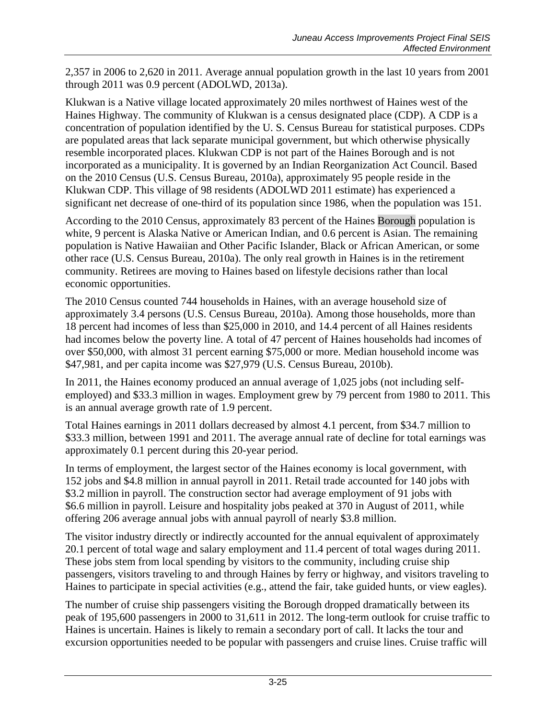2,357 in 2006 to 2,620 in 2011. Average annual population growth in the last 10 years from 2001 through 2011 was 0.9 percent (ADOLWD, 2013a).

Klukwan is a Native village located approximately 20 miles northwest of Haines west of the Haines Highway. The community of Klukwan is a census designated place (CDP). A CDP is a [concentration of population](http://en.wikipedia.org/wiki/Place_(United_States_Census_Bureau)) identified by the [U. S. Census Bureau](http://en.wikipedia.org/wiki/United_States_Census_Bureau) for statistical purposes. CDPs are populated areas that lack separate municipal government, but which otherwise physically resemble [incorporated](http://en.wikipedia.org/wiki/Municipal_corporation) places. Klukwan CDP is not part of the Haines Borough and is not incorporated as a municipality. It is governed by an Indian Reorganization Act Council. Based on the 2010 Census (U.S. Census Bureau, 2010a), approximately 95 people reside in the Klukwan CDP. This village of 98 residents (ADOLWD 2011 estimate) has experienced a significant net decrease of one-third of its population since 1986, when the population was 151.

According to the 2010 Census, approximately 83 percent of the Haines Borough population is white, 9 percent is Alaska Native or American Indian, and 0.6 percent is Asian. The remaining population is Native Hawaiian and Other Pacific Islander, Black or African American, or some other race (U.S. Census Bureau, 2010a). The only real growth in Haines is in the retirement community. Retirees are moving to Haines based on lifestyle decisions rather than local economic opportunities.

The 2010 Census counted 744 households in Haines, with an average household size of approximately 3.4 persons (U.S. Census Bureau, 2010a). Among those households, more than 18 percent had incomes of less than \$25,000 in 2010, and 14.4 percent of all Haines residents had incomes below the poverty line. A total of 47 percent of Haines households had incomes of over \$50,000, with almost 31 percent earning \$75,000 or more. Median household income was \$47,981, and per capita income was \$27,979 (U.S. Census Bureau, 2010b).

In 2011, the Haines economy produced an annual average of 1,025 jobs (not including selfemployed) and \$33.3 million in wages. Employment grew by 79 percent from 1980 to 2011. This is an annual average growth rate of 1.9 percent.

Total Haines earnings in 2011 dollars decreased by almost 4.1 percent, from \$34.7 million to \$33.3 million, between 1991 and 2011. The average annual rate of decline for total earnings was approximately 0.1 percent during this 20-year period.

In terms of employment, the largest sector of the Haines economy is local government, with 152 jobs and \$4.8 million in annual payroll in 2011. Retail trade accounted for 140 jobs with \$3.2 million in payroll. The construction sector had average employment of 91 jobs with \$6.6 million in payroll. Leisure and hospitality jobs peaked at 370 in August of 2011, while offering 206 average annual jobs with annual payroll of nearly \$3.8 million.

The visitor industry directly or indirectly accounted for the annual equivalent of approximately 20.1 percent of total wage and salary employment and 11.4 percent of total wages during 2011. These jobs stem from local spending by visitors to the community, including cruise ship passengers, visitors traveling to and through Haines by ferry or highway, and visitors traveling to Haines to participate in special activities (e.g., attend the fair, take guided hunts, or view eagles).

The number of cruise ship passengers visiting the Borough dropped dramatically between its peak of 195,600 passengers in 2000 to 31,611 in 2012. The long-term outlook for cruise traffic to Haines is uncertain. Haines is likely to remain a secondary port of call. It lacks the tour and excursion opportunities needed to be popular with passengers and cruise lines. Cruise traffic will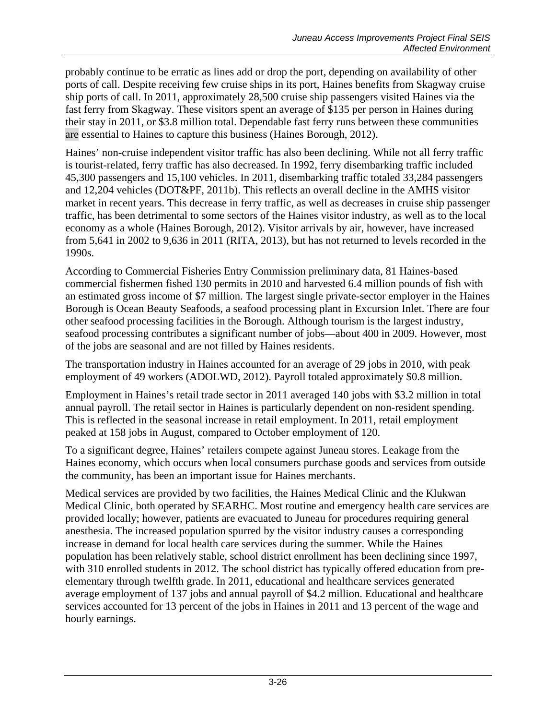probably continue to be erratic as lines add or drop the port, depending on availability of other ports of call. Despite receiving few cruise ships in its port, Haines benefits from Skagway cruise ship ports of call. In 2011, approximately 28,500 cruise ship passengers visited Haines via the fast ferry from Skagway. These visitors spent an average of \$135 per person in Haines during their stay in 2011, or \$3.8 million total. Dependable fast ferry runs between these communities are essential to Haines to capture this business (Haines Borough, 2012).

Haines' non-cruise independent visitor traffic has also been declining. While not all ferry traffic is tourist-related, ferry traffic has also decreased. In 1992, ferry disembarking traffic included 45,300 passengers and 15,100 vehicles. In 2011, disembarking traffic totaled 33,284 passengers and 12,204 vehicles (DOT&PF, 2011b). This reflects an overall decline in the AMHS visitor market in recent years. This decrease in ferry traffic, as well as decreases in cruise ship passenger traffic, has been detrimental to some sectors of the Haines visitor industry, as well as to the local economy as a whole (Haines Borough, 2012). Visitor arrivals by air, however, have increased from 5,641 in 2002 to 9,636 in 2011 (RITA, 2013), but has not returned to levels recorded in the 1990s.

According to Commercial Fisheries Entry Commission preliminary data, 81 Haines-based commercial fishermen fished 130 permits in 2010 and harvested 6.4 million pounds of fish with an estimated gross income of \$7 million. The largest single private-sector employer in the Haines Borough is Ocean Beauty Seafoods, a seafood processing plant in Excursion Inlet. There are four other seafood processing facilities in the Borough. Although tourism is the largest industry, seafood processing contributes a significant number of jobs—about 400 in 2009. However, most of the jobs are seasonal and are not filled by Haines residents.

The transportation industry in Haines accounted for an average of 29 jobs in 2010, with peak employment of 49 workers (ADOLWD, 2012). Payroll totaled approximately \$0.8 million.

Employment in Haines's retail trade sector in 2011 averaged 140 jobs with \$3.2 million in total annual payroll. The retail sector in Haines is particularly dependent on non-resident spending. This is reflected in the seasonal increase in retail employment. In 2011, retail employment peaked at 158 jobs in August, compared to October employment of 120.

To a significant degree, Haines' retailers compete against Juneau stores. Leakage from the Haines economy, which occurs when local consumers purchase goods and services from outside the community, has been an important issue for Haines merchants.

Medical services are provided by two facilities, the Haines Medical Clinic and the Klukwan Medical Clinic, both operated by SEARHC. Most routine and emergency health care services are provided locally; however, patients are evacuated to Juneau for procedures requiring general anesthesia. The increased population spurred by the visitor industry causes a corresponding increase in demand for local health care services during the summer. While the Haines population has been relatively stable, school district enrollment has been declining since 1997, with 310 enrolled students in 2012. The school district has typically offered education from preelementary through twelfth grade. In 2011, educational and healthcare services generated average employment of 137 jobs and annual payroll of \$4.2 million. Educational and healthcare services accounted for 13 percent of the jobs in Haines in 2011 and 13 percent of the wage and hourly earnings.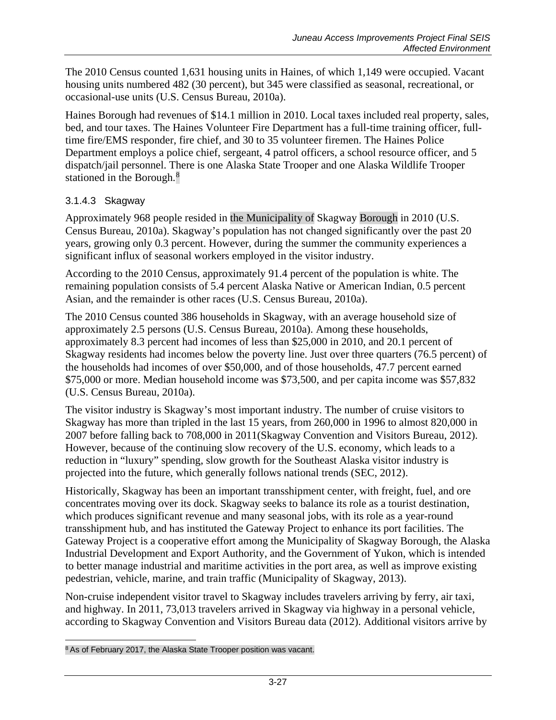The 2010 Census counted 1,631 housing units in Haines, of which 1,149 were occupied. Vacant housing units numbered 482 (30 percent), but 345 were classified as seasonal, recreational, or occasional-use units (U.S. Census Bureau, 2010a).

Haines Borough had revenues of \$14.1 million in 2010. Local taxes included real property, sales, bed, and tour taxes. The Haines Volunteer Fire Department has a full-time training officer, fulltime fire/EMS responder, fire chief, and 30 to 35 volunteer firemen. The Haines Police Department employs a police chief, sergeant, 4 patrol officers, a school resource officer, and 5 dispatch/jail personnel. There is one Alaska State Trooper and one Alaska Wildlife Trooper stationed in the Borough.<sup>[8](#page-26-0)</sup>

## 3.1.4.3 Skagway

Approximately 968 people resided in the Municipality of Skagway Borough in 2010 (U.S. Census Bureau, 2010a). Skagway's population has not changed significantly over the past 20 years, growing only 0.3 percent. However, during the summer the community experiences a significant influx of seasonal workers employed in the visitor industry.

According to the 2010 Census, approximately 91.4 percent of the population is white. The remaining population consists of 5.4 percent Alaska Native or American Indian, 0.5 percent Asian, and the remainder is other races (U.S. Census Bureau, 2010a).

The 2010 Census counted 386 households in Skagway, with an average household size of approximately 2.5 persons (U.S. Census Bureau, 2010a). Among these households, approximately 8.3 percent had incomes of less than \$25,000 in 2010, and 20.1 percent of Skagway residents had incomes below the poverty line. Just over three quarters (76.5 percent) of the households had incomes of over \$50,000, and of those households, 47.7 percent earned \$75,000 or more. Median household income was \$73,500, and per capita income was \$57,832 (U.S. Census Bureau, 2010a).

The visitor industry is Skagway's most important industry. The number of cruise visitors to Skagway has more than tripled in the last 15 years, from 260,000 in 1996 to almost 820,000 in 2007 before falling back to 708,000 in 2011(Skagway Convention and Visitors Bureau, 2012). However, because of the continuing slow recovery of the U.S. economy, which leads to a reduction in "luxury" spending, slow growth for the Southeast Alaska visitor industry is projected into the future, which generally follows national trends (SEC, 2012).

Historically, Skagway has been an important transshipment center, with freight, fuel, and ore concentrates moving over its dock. Skagway seeks to balance its role as a tourist destination, which produces significant revenue and many seasonal jobs, with its role as a year-round transshipment hub, and has instituted the Gateway Project to enhance its port facilities. The Gateway Project is a cooperative effort among the Municipality of Skagway Borough, the Alaska Industrial Development and Export Authority, and the Government of Yukon, which is intended to better manage industrial and maritime activities in the port area, as well as improve existing pedestrian, vehicle, marine, and train traffic (Municipality of Skagway, 2013).

Non-cruise independent visitor travel to Skagway includes travelers arriving by ferry, air taxi, and highway. In 2011, 73,013 travelers arrived in Skagway via highway in a personal vehicle, according to Skagway Convention and Visitors Bureau data (2012). Additional visitors arrive by

<span id="page-26-0"></span> $\overline{a}$ <sup>8</sup> As of February 2017, the Alaska State Trooper position was vacant.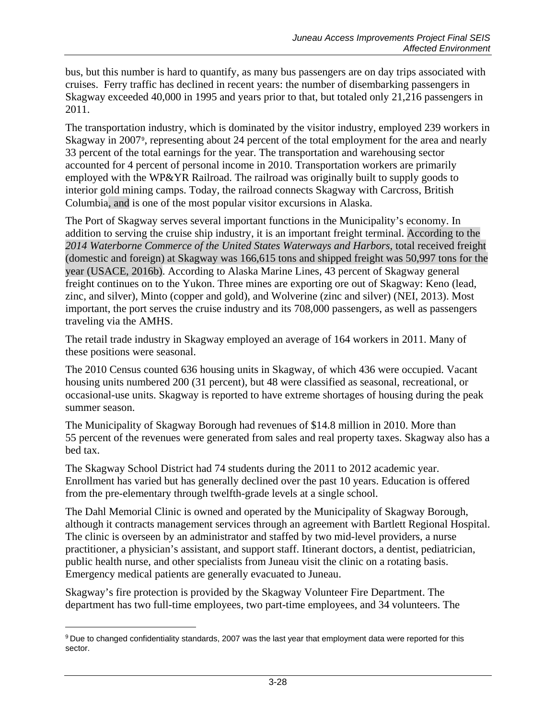bus, but this number is hard to quantify, as many bus passengers are on day trips associated with cruises. Ferry traffic has declined in recent years: the number of disembarking passengers in Skagway exceeded 40,000 in 1995 and years prior to that, but totaled only 21,216 passengers in 2011.

The transportation industry, which is dominated by the visitor industry, employed 239 workers in Skagway in 2007[9](#page-27-0), representing about 24 percent of the total employment for the area and nearly 33 percent of the total earnings for the year. The transportation and warehousing sector accounted for 4 percent of personal income in 2010. Transportation workers are primarily employed with the WP&YR Railroad. The railroad was originally built to supply goods to interior gold mining camps. Today, the railroad connects Skagway with Carcross, British Columbia, and is one of the most popular visitor excursions in Alaska.

The Port of Skagway serves several important functions in the Municipality's economy. In addition to serving the cruise ship industry, it is an important freight terminal. According to the *2014 Waterborne Commerce of the United States Waterways and Harbors*, total received freight (domestic and foreign) at Skagway was 166,615 tons and shipped freight was 50,997 tons for the year (USACE, 2016b). According to Alaska Marine Lines, 43 percent of Skagway general freight continues on to the Yukon. Three mines are exporting ore out of Skagway: Keno (lead, zinc, and silver), Minto (copper and gold), and Wolverine (zinc and silver) (NEI, 2013). Most important, the port serves the cruise industry and its 708,000 passengers, as well as passengers traveling via the AMHS.

The retail trade industry in Skagway employed an average of 164 workers in 2011. Many of these positions were seasonal.

The 2010 Census counted 636 housing units in Skagway, of which 436 were occupied. Vacant housing units numbered 200 (31 percent), but 48 were classified as seasonal, recreational, or occasional-use units. Skagway is reported to have extreme shortages of housing during the peak summer season.

The Municipality of Skagway Borough had revenues of \$14.8 million in 2010. More than 55 percent of the revenues were generated from sales and real property taxes. Skagway also has a bed tax.

The Skagway School District had 74 students during the 2011 to 2012 academic year. Enrollment has varied but has generally declined over the past 10 years. Education is offered from the pre-elementary through twelfth-grade levels at a single school.

The Dahl Memorial Clinic is owned and operated by the Municipality of Skagway Borough, although it contracts management services through an agreement with Bartlett Regional Hospital. The clinic is overseen by an administrator and staffed by two mid-level providers, a nurse practitioner, a physician's assistant, and support staff. Itinerant doctors, a dentist, pediatrician, public health nurse, and other specialists from Juneau visit the clinic on a rotating basis. Emergency medical patients are generally evacuated to Juneau.

Skagway's fire protection is provided by the Skagway Volunteer Fire Department. The department has two full-time employees, two part-time employees, and 34 volunteers. The

 $\overline{a}$ 

<span id="page-27-0"></span><sup>9</sup> Due to changed confidentiality standards, 2007 was the last year that employment data were reported for this sector.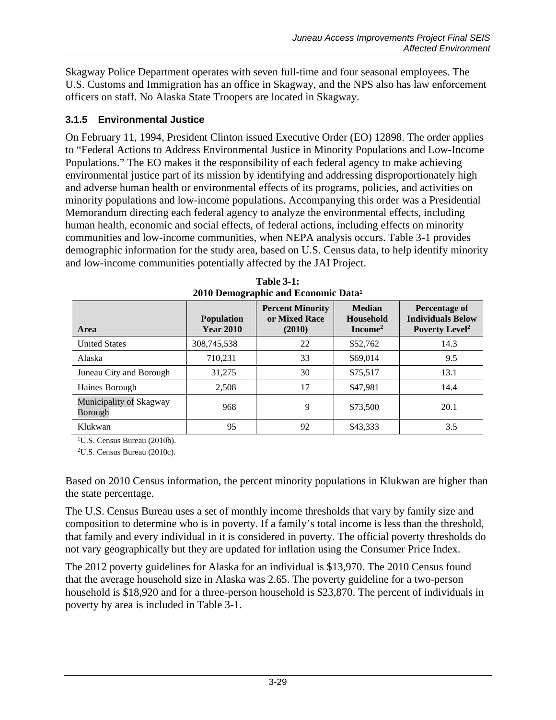Skagway Police Department operates with seven full-time and four seasonal employees. The U.S. Customs and Immigration has an office in Skagway, and the NPS also has law enforcement officers on staff. No Alaska State Troopers are located in Skagway.

## **3.1.5 Environmental Justice**

On February 11, 1994, President Clinton issued Executive Order (EO) 12898. The order applies to "Federal Actions to Address Environmental Justice in Minority Populations and Low-Income Populations." The EO makes it the responsibility of each federal agency to make achieving environmental justice part of its mission by identifying and addressing disproportionately high and adverse human health or environmental effects of its programs, policies, and activities on minority populations and low-income populations. Accompanying this order was a Presidential Memorandum directing each federal agency to analyze the environmental effects, including human health, economic and social effects, of federal actions, including effects on minority communities and low-income communities, when NEPA analysis occurs. [Table 3-1](#page-28-0) provides demographic information for the study area, based on U.S. Census data, to help identify minority and low-income communities potentially affected by the JAI Project.

<span id="page-28-0"></span>

| Area                               | <b>Population</b><br><b>Year 2010</b> | <b>Percent Minority</b><br>or Mixed Race<br>(2010) | <b>Median</b><br><b>Household</b><br>$Income2$ | <b>Percentage of</b><br><b>Individuals Below</b><br>Poverty Level <sup>2</sup> |
|------------------------------------|---------------------------------------|----------------------------------------------------|------------------------------------------------|--------------------------------------------------------------------------------|
| <b>United States</b>               | 308,745,538                           | 22                                                 | \$52,762                                       | 14.3                                                                           |
| Alaska                             | 710,231                               | 33                                                 | \$69,014                                       | 9.5                                                                            |
| Juneau City and Borough            | 31,275                                | 30                                                 | \$75,517                                       | 13.1                                                                           |
| Haines Borough                     | 2,508                                 | 17                                                 | \$47,981                                       | 14.4                                                                           |
| Municipality of Skagway<br>Borough | 968                                   | 9                                                  | \$73,500                                       | 20.1                                                                           |
| Klukwan                            | 95                                    | 92                                                 | \$43,333                                       | 3.5                                                                            |

**Table 3-1: 2010 Demographic and Economic Data<sup>1</sup>**

<sup>1</sup>U.S. Census Bureau (2010b).

2U.S. Census Bureau (2010c).

Based on 2010 Census information, the percent minority populations in Klukwan are higher than the state percentage.

The U.S. Census Bureau uses a set of monthly income thresholds that vary by family size and composition to determine who is in poverty. If a family's total income is less than the threshold, that family and every individual in it is considered in poverty. The official poverty thresholds do not vary geographically but they are updated for inflation using the Consumer Price Index.

The 2012 poverty guidelines for Alaska for an individual is \$13,970. The 2010 Census found that the average household size in Alaska was 2.65. The poverty guideline for a two-person household is \$18,920 and for a three-person household is \$23,870. The percent of individuals in poverty by area is included in [Table 3-1.](#page-28-0)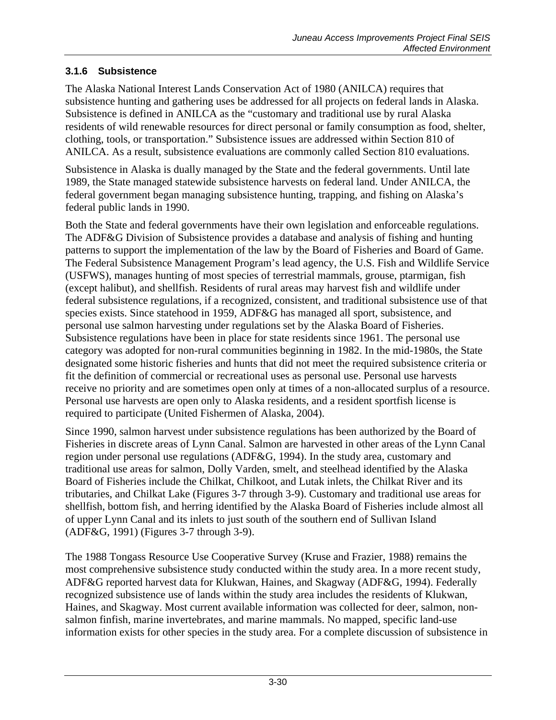## **3.1.6 Subsistence**

The Alaska National Interest Lands Conservation Act of 1980 (ANILCA) requires that subsistence hunting and gathering uses be addressed for all projects on federal lands in Alaska. Subsistence is defined in ANILCA as the "customary and traditional use by rural Alaska residents of wild renewable resources for direct personal or family consumption as food, shelter, clothing, tools, or transportation." Subsistence issues are addressed within Section 810 of ANILCA. As a result, subsistence evaluations are commonly called Section 810 evaluations.

Subsistence in Alaska is dually managed by the State and the federal governments. Until late 1989, the State managed statewide subsistence harvests on federal land. Under ANILCA, the federal government began managing subsistence hunting, trapping, and fishing on Alaska's federal public lands in 1990.

Both the State and federal governments have their own legislation and enforceable regulations. The ADF&G Division of Subsistence provides a database and analysis of fishing and hunting patterns to support the implementation of the law by the Board of Fisheries and Board of Game. The Federal Subsistence Management Program's lead agency, the U.S. Fish and Wildlife Service (USFWS), manages hunting of most species of terrestrial mammals, grouse, ptarmigan, fish (except halibut), and shellfish. Residents of rural areas may harvest fish and wildlife under federal subsistence regulations, if a recognized, consistent, and traditional subsistence use of that species exists. Since statehood in 1959, ADF&G has managed all sport, subsistence, and personal use salmon harvesting under regulations set by the Alaska Board of Fisheries. Subsistence regulations have been in place for state residents since 1961. The personal use category was adopted for non-rural communities beginning in 1982. In the mid-1980s, the State designated some historic fisheries and hunts that did not meet the required subsistence criteria or fit the definition of commercial or recreational uses as personal use. Personal use harvests receive no priority and are sometimes open only at times of a non-allocated surplus of a resource. Personal use harvests are open only to Alaska residents, and a resident sportfish license is required to participate (United Fishermen of Alaska, 2004).

Since 1990, salmon harvest under subsistence regulations has been authorized by the Board of Fisheries in discrete areas of Lynn Canal. Salmon are harvested in other areas of the Lynn Canal region under personal use regulations (ADF&G, 1994). In the study area, customary and traditional use areas for salmon, Dolly Varden, smelt, and steelhead identified by the Alaska Board of Fisheries include the Chilkat, Chilkoot, and Lutak inlets, the Chilkat River and its tributaries, and Chilkat Lake (Figures 3-7 through 3-9). Customary and traditional use areas for shellfish, bottom fish, and herring identified by the Alaska Board of Fisheries include almost all of upper Lynn Canal and its inlets to just south of the southern end of Sullivan Island (ADF&G, 1991) (Figures 3-7 through 3-9).

The 1988 Tongass Resource Use Cooperative Survey (Kruse and Frazier, 1988) remains the most comprehensive subsistence study conducted within the study area. In a more recent study, ADF&G reported harvest data for Klukwan, Haines, and Skagway (ADF&G, 1994). Federally recognized subsistence use of lands within the study area includes the residents of Klukwan, Haines, and Skagway. Most current available information was collected for deer, salmon, nonsalmon finfish, marine invertebrates, and marine mammals. No mapped, specific land-use information exists for other species in the study area. For a complete discussion of subsistence in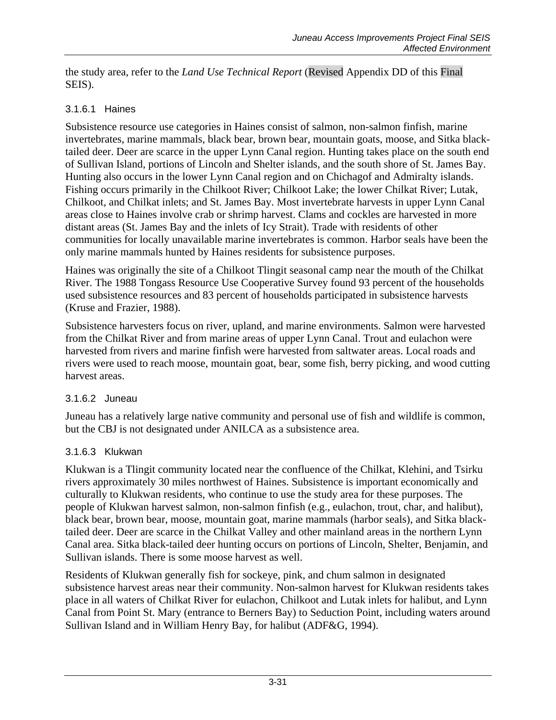the study area, refer to the *Land Use Technical Report* (Revised Appendix DD of this Final SEIS).

## 3.1.6.1 Haines

Subsistence resource use categories in Haines consist of salmon, non-salmon finfish, marine invertebrates, marine mammals, black bear, brown bear, mountain goats, moose, and Sitka blacktailed deer. Deer are scarce in the upper Lynn Canal region. Hunting takes place on the south end of Sullivan Island, portions of Lincoln and Shelter islands, and the south shore of St. James Bay. Hunting also occurs in the lower Lynn Canal region and on Chichagof and Admiralty islands. Fishing occurs primarily in the Chilkoot River; Chilkoot Lake; the lower Chilkat River; Lutak, Chilkoot, and Chilkat inlets; and St. James Bay. Most invertebrate harvests in upper Lynn Canal areas close to Haines involve crab or shrimp harvest. Clams and cockles are harvested in more distant areas (St. James Bay and the inlets of Icy Strait). Trade with residents of other communities for locally unavailable marine invertebrates is common. Harbor seals have been the only marine mammals hunted by Haines residents for subsistence purposes.

Haines was originally the site of a Chilkoot Tlingit seasonal camp near the mouth of the Chilkat River. The 1988 Tongass Resource Use Cooperative Survey found 93 percent of the households used subsistence resources and 83 percent of households participated in subsistence harvests (Kruse and Frazier, 1988).

Subsistence harvesters focus on river, upland, and marine environments. Salmon were harvested from the Chilkat River and from marine areas of upper Lynn Canal. Trout and eulachon were harvested from rivers and marine finfish were harvested from saltwater areas. Local roads and rivers were used to reach moose, mountain goat, bear, some fish, berry picking, and wood cutting harvest areas.

#### 3.1.6.2 Juneau

Juneau has a relatively large native community and personal use of fish and wildlife is common, but the CBJ is not designated under ANILCA as a subsistence area.

## 3.1.6.3 Klukwan

Klukwan is a Tlingit community located near the confluence of the Chilkat, Klehini, and Tsirku rivers approximately 30 miles northwest of Haines. Subsistence is important economically and culturally to Klukwan residents, who continue to use the study area for these purposes. The people of Klukwan harvest salmon, non-salmon finfish (e.g., eulachon, trout, char, and halibut), black bear, brown bear, moose, mountain goat, marine mammals (harbor seals), and Sitka blacktailed deer. Deer are scarce in the Chilkat Valley and other mainland areas in the northern Lynn Canal area. Sitka black-tailed deer hunting occurs on portions of Lincoln, Shelter, Benjamin, and Sullivan islands. There is some moose harvest as well.

Residents of Klukwan generally fish for sockeye, pink, and chum salmon in designated subsistence harvest areas near their community. Non-salmon harvest for Klukwan residents takes place in all waters of Chilkat River for eulachon, Chilkoot and Lutak inlets for halibut, and Lynn Canal from Point St. Mary (entrance to Berners Bay) to Seduction Point, including waters around Sullivan Island and in William Henry Bay, for halibut (ADF&G, 1994).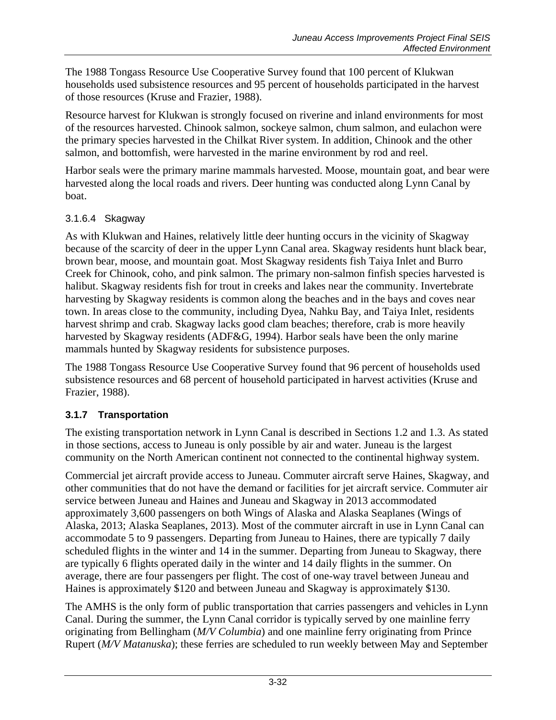The 1988 Tongass Resource Use Cooperative Survey found that 100 percent of Klukwan households used subsistence resources and 95 percent of households participated in the harvest of those resources (Kruse and Frazier, 1988).

Resource harvest for Klukwan is strongly focused on riverine and inland environments for most of the resources harvested. Chinook salmon, sockeye salmon, chum salmon, and eulachon were the primary species harvested in the Chilkat River system. In addition, Chinook and the other salmon, and bottomfish, were harvested in the marine environment by rod and reel.

Harbor seals were the primary marine mammals harvested. Moose, mountain goat, and bear were harvested along the local roads and rivers. Deer hunting was conducted along Lynn Canal by boat.

## 3.1.6.4 Skagway

As with Klukwan and Haines, relatively little deer hunting occurs in the vicinity of Skagway because of the scarcity of deer in the upper Lynn Canal area. Skagway residents hunt black bear, brown bear, moose, and mountain goat. Most Skagway residents fish Taiya Inlet and Burro Creek for Chinook, coho, and pink salmon. The primary non-salmon finfish species harvested is halibut. Skagway residents fish for trout in creeks and lakes near the community. Invertebrate harvesting by Skagway residents is common along the beaches and in the bays and coves near town. In areas close to the community, including Dyea, Nahku Bay, and Taiya Inlet, residents harvest shrimp and crab. Skagway lacks good clam beaches; therefore, crab is more heavily harvested by Skagway residents (ADF&G, 1994). Harbor seals have been the only marine mammals hunted by Skagway residents for subsistence purposes.

The 1988 Tongass Resource Use Cooperative Survey found that 96 percent of households used subsistence resources and 68 percent of household participated in harvest activities (Kruse and Frazier, 1988).

# **3.1.7 Transportation**

The existing transportation network in Lynn Canal is described in Sections 1.2 and 1.3. As stated in those sections, access to Juneau is only possible by air and water. Juneau is the largest community on the North American continent not connected to the continental highway system.

Commercial jet aircraft provide access to Juneau. Commuter aircraft serve Haines, Skagway, and other communities that do not have the demand or facilities for jet aircraft service. Commuter air service between Juneau and Haines and Juneau and Skagway in 2013 accommodated approximately 3,600 passengers on both Wings of Alaska and Alaska Seaplanes (Wings of Alaska, 2013; Alaska Seaplanes, 2013). Most of the commuter aircraft in use in Lynn Canal can accommodate 5 to 9 passengers. Departing from Juneau to Haines, there are typically 7 daily scheduled flights in the winter and 14 in the summer. Departing from Juneau to Skagway, there are typically 6 flights operated daily in the winter and 14 daily flights in the summer. On average, there are four passengers per flight. The cost of one-way travel between Juneau and Haines is approximately \$120 and between Juneau and Skagway is approximately \$130.

The AMHS is the only form of public transportation that carries passengers and vehicles in Lynn Canal. During the summer, the Lynn Canal corridor is typically served by one mainline ferry originating from Bellingham (*M/V Columbia*) and one mainline ferry originating from Prince Rupert (*M/V Matanuska*); these ferries are scheduled to run weekly between May and September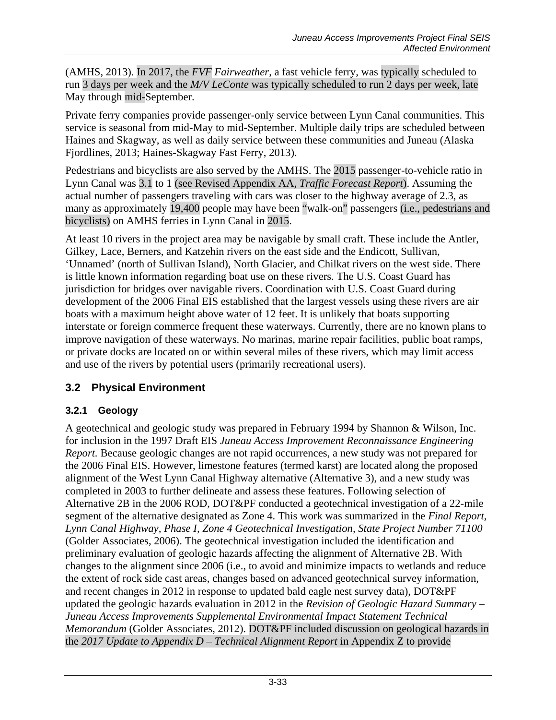(AMHS, 2013). In 2017, the *FVF Fairweather*, a fast vehicle ferry, was typically scheduled to run 3 days per week and the *M/V LeConte* was typically scheduled to run 2 days per week, late May through mid-September.

Private ferry companies provide passenger-only service between Lynn Canal communities. This service is seasonal from mid-May to mid-September. Multiple daily trips are scheduled between Haines and Skagway, as well as daily service between these communities and Juneau (Alaska Fjordlines, 2013; Haines-Skagway Fast Ferry, 2013).

Pedestrians and bicyclists are also served by the AMHS. The 2015 passenger-to-vehicle ratio in Lynn Canal was 3.1 to 1 (see Revised Appendix AA, *Traffic Forecast Report*). Assuming the actual number of passengers traveling with cars was closer to the highway average of 2.3, as many as approximately 19,400 people may have been "walk-on" passengers (i.e., pedestrians and bicyclists) on AMHS ferries in Lynn Canal in 2015.

At least 10 rivers in the project area may be navigable by small craft. These include the Antler, Gilkey, Lace, Berners, and Katzehin rivers on the east side and the Endicott, Sullivan, 'Unnamed' (north of Sullivan Island), North Glacier, and Chilkat rivers on the west side. There is little known information regarding boat use on these rivers. The U.S. Coast Guard has jurisdiction for bridges over navigable rivers. Coordination with U.S. Coast Guard during development of the 2006 Final EIS established that the largest vessels using these rivers are air boats with a maximum height above water of 12 feet. It is unlikely that boats supporting interstate or foreign commerce frequent these waterways. Currently, there are no known plans to improve navigation of these waterways. No marinas, marine repair facilities, public boat ramps, or private docks are located on or within several miles of these rivers, which may limit access and use of the rivers by potential users (primarily recreational users).

# **3.2 Physical Environment**

# **3.2.1 Geology**

A geotechnical and geologic study was prepared in February 1994 by Shannon & Wilson, Inc. for inclusion in the 1997 Draft EIS *Juneau Access Improvement Reconnaissance Engineering Report.* Because geologic changes are not rapid occurrences, a new study was not prepared for the 2006 Final EIS. However, limestone features (termed karst) are located along the proposed alignment of the West Lynn Canal Highway alternative (Alternative 3), and a new study was completed in 2003 to further delineate and assess these features. Following selection of Alternative 2B in the 2006 ROD, DOT&PF conducted a geotechnical investigation of a 22-mile segment of the alternative designated as Zone 4. This work was summarized in the *Final Report, Lynn Canal Highway, Phase I, Zone 4 Geotechnical Investigation, State Project Number 71100* (Golder Associates, 2006). The geotechnical investigation included the identification and preliminary evaluation of geologic hazards affecting the alignment of Alternative 2B. With changes to the alignment since 2006 (i.e., to avoid and minimize impacts to wetlands and reduce the extent of rock side cast areas, changes based on advanced geotechnical survey information, and recent changes in 2012 in response to updated bald eagle nest survey data), DOT&PF updated the geologic hazards evaluation in 2012 in the *Revision of Geologic Hazard Summary – Juneau Access Improvements Supplemental Environmental Impact Statement Technical Memorandum* (Golder Associates, 2012). DOT&PF included discussion on geological hazards in the *2017 Update to Appendix D – Technical Alignment Report* in Appendix Z to provide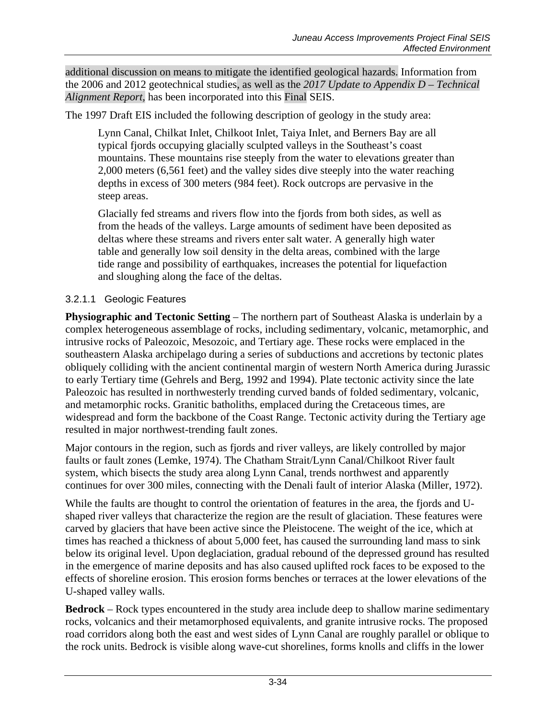additional discussion on means to mitigate the identified geological hazards. Information from the 2006 and 2012 geotechnical studies, as well as the *2017 Update to Appendix D – Technical Alignment Report,* has been incorporated into this Final SEIS.

The 1997 Draft EIS included the following description of geology in the study area:

Lynn Canal, Chilkat Inlet, Chilkoot Inlet, Taiya Inlet, and Berners Bay are all typical fjords occupying glacially sculpted valleys in the Southeast's coast mountains. These mountains rise steeply from the water to elevations greater than 2,000 meters (6,561 feet) and the valley sides dive steeply into the water reaching depths in excess of 300 meters (984 feet). Rock outcrops are pervasive in the steep areas.

Glacially fed streams and rivers flow into the fjords from both sides, as well as from the heads of the valleys. Large amounts of sediment have been deposited as deltas where these streams and rivers enter salt water. A generally high water table and generally low soil density in the delta areas, combined with the large tide range and possibility of earthquakes, increases the potential for liquefaction and sloughing along the face of the deltas.

## <span id="page-33-0"></span>3.2.1.1 Geologic Features

**Physiographic and Tectonic Setting – The northern part of Southeast Alaska is underlain by a** complex heterogeneous assemblage of rocks, including sedimentary, volcanic, metamorphic, and intrusive rocks of Paleozoic, Mesozoic, and Tertiary age. These rocks were emplaced in the southeastern Alaska archipelago during a series of subductions and accretions by tectonic plates obliquely colliding with the ancient continental margin of western North America during Jurassic to early Tertiary time (Gehrels and Berg, 1992 and 1994). Plate tectonic activity since the late Paleozoic has resulted in northwesterly trending curved bands of folded sedimentary, volcanic, and metamorphic rocks. Granitic batholiths, emplaced during the Cretaceous times, are widespread and form the backbone of the Coast Range. Tectonic activity during the Tertiary age resulted in major northwest-trending fault zones.

Major contours in the region, such as fjords and river valleys, are likely controlled by major faults or fault zones (Lemke, 1974). The Chatham Strait/Lynn Canal/Chilkoot River fault system, which bisects the study area along Lynn Canal, trends northwest and apparently continues for over 300 miles, connecting with the Denali fault of interior Alaska (Miller, 1972).

While the faults are thought to control the orientation of features in the area, the fjords and Ushaped river valleys that characterize the region are the result of glaciation. These features were carved by glaciers that have been active since the Pleistocene. The weight of the ice, which at times has reached a thickness of about 5,000 feet, has caused the surrounding land mass to sink below its original level. Upon deglaciation, gradual rebound of the depressed ground has resulted in the emergence of marine deposits and has also caused uplifted rock faces to be exposed to the effects of shoreline erosion. This erosion forms benches or terraces at the lower elevations of the U-shaped valley walls.

**Bedrock** – Rock types encountered in the study area include deep to shallow marine sedimentary rocks, volcanics and their metamorphosed equivalents, and granite intrusive rocks. The proposed road corridors along both the east and west sides of Lynn Canal are roughly parallel or oblique to the rock units. Bedrock is visible along wave-cut shorelines, forms knolls and cliffs in the lower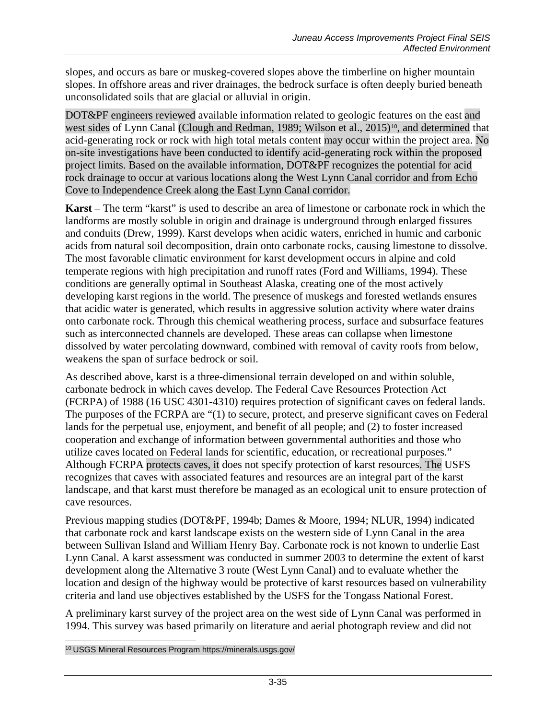slopes, and occurs as bare or muskeg-covered slopes above the timberline on higher mountain slopes. In offshore areas and river drainages, the bedrock surface is often deeply buried beneath unconsolidated soils that are glacial or alluvial in origin.

DOT&PF engineers reviewed available information related to geologic features on the east and west sides of Lynn Canal (Clough and Redman, 1989; Wilson et al., 2015)<sup>[10](#page-34-0)</sup>, and determined that acid-generating rock or rock with high total metals content may occur within the project area. No on-site investigations have been conducted to identify acid-generating rock within the proposed project limits. Based on the available information, DOT&PF recognizes the potential for acid rock drainage to occur at various locations along the West Lynn Canal corridor and from Echo Cove to Independence Creek along the East Lynn Canal corridor.

**Karst** – The term "karst" is used to describe an area of limestone or carbonate rock in which the landforms are mostly soluble in origin and drainage is underground through enlarged fissures and conduits (Drew, 1999). Karst develops when acidic waters, enriched in humic and carbonic acids from natural soil decomposition, drain onto carbonate rocks, causing limestone to dissolve. The most favorable climatic environment for karst development occurs in alpine and cold temperate regions with high precipitation and runoff rates (Ford and Williams, 1994). These conditions are generally optimal in Southeast Alaska, creating one of the most actively developing karst regions in the world. The presence of muskegs and forested wetlands ensures that acidic water is generated, which results in aggressive solution activity where water drains onto carbonate rock. Through this chemical weathering process, surface and subsurface features such as interconnected channels are developed. These areas can collapse when limestone dissolved by water percolating downward, combined with removal of cavity roofs from below, weakens the span of surface bedrock or soil.

As described above, karst is a three-dimensional terrain developed on and within soluble, carbonate bedrock in which caves develop. The Federal Cave Resources Protection Act (FCRPA) of 1988 (16 USC 4301-4310) requires protection of significant caves on federal lands. The purposes of the FCRPA are "(1) to secure, protect, and preserve significant caves on Federal lands for the perpetual use, enjoyment, and benefit of all people; and (2) to foster increased cooperation and exchange of information between governmental authorities and those who utilize caves located on Federal lands for scientific, education, or recreational purposes." Although FCRPA protects caves, it does not specify protection of karst resources. The USFS recognizes that caves with associated features and resources are an integral part of the karst landscape, and that karst must therefore be managed as an ecological unit to ensure protection of cave resources.

Previous mapping studies (DOT&PF, 1994b; Dames & Moore, 1994; NLUR, 1994) indicated that carbonate rock and karst landscape exists on the western side of Lynn Canal in the area between Sullivan Island and William Henry Bay. Carbonate rock is not known to underlie East Lynn Canal. A karst assessment was conducted in summer 2003 to determine the extent of karst development along the Alternative 3 route (West Lynn Canal) and to evaluate whether the location and design of the highway would be protective of karst resources based on vulnerability criteria and land use objectives established by the USFS for the Tongass National Forest.

A preliminary karst survey of the project area on the west side of Lynn Canal was performed in 1994. This survey was based primarily on literature and aerial photograph review and did not

<span id="page-34-0"></span> $\overline{a}$ <sup>10</sup> USGS Mineral Resources Program https://minerals.usgs.gov/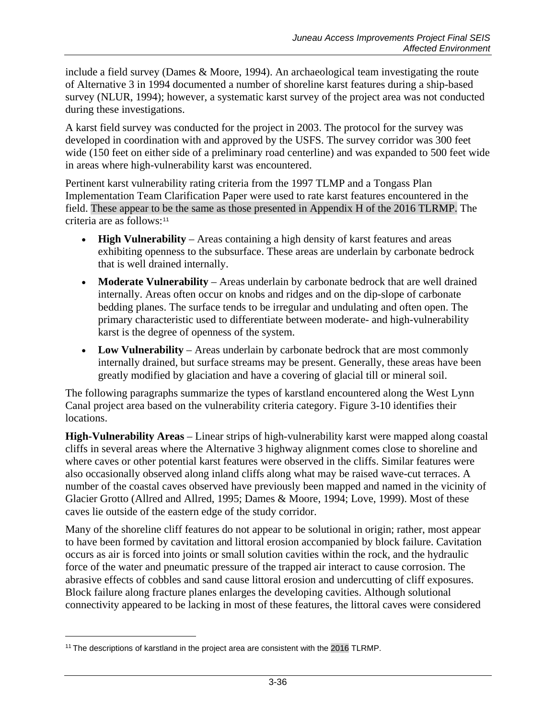include a field survey (Dames & Moore, 1994). An archaeological team investigating the route of Alternative 3 in 1994 documented a number of shoreline karst features during a ship-based survey (NLUR, 1994); however, a systematic karst survey of the project area was not conducted during these investigations.

A karst field survey was conducted for the project in 2003. The protocol for the survey was developed in coordination with and approved by the USFS. The survey corridor was 300 feet wide (150 feet on either side of a preliminary road centerline) and was expanded to 500 feet wide in areas where high-vulnerability karst was encountered.

Pertinent karst vulnerability rating criteria from the 1997 TLMP and a Tongass Plan Implementation Team Clarification Paper were used to rate karst features encountered in the field. These appear to be the same as those presented in Appendix H of the 2016 TLRMP. The criteria are as follows:[11](#page-35-0)

- **High Vulnerability** Areas containing a high density of karst features and areas exhibiting openness to the subsurface. These areas are underlain by carbonate bedrock that is well drained internally.
- **Moderate Vulnerability** Areas underlain by carbonate bedrock that are well drained internally. Areas often occur on knobs and ridges and on the dip-slope of carbonate bedding planes. The surface tends to be irregular and undulating and often open. The primary characteristic used to differentiate between moderate- and high-vulnerability karst is the degree of openness of the system.
- **Low Vulnerability** Areas underlain by carbonate bedrock that are most commonly internally drained, but surface streams may be present. Generally, these areas have been greatly modified by glaciation and have a covering of glacial till or mineral soil.

The following paragraphs summarize the types of karstland encountered along the West Lynn Canal project area based on the vulnerability criteria category. Figure 3-10 identifies their locations.

**High-Vulnerability Areas** – Linear strips of high-vulnerability karst were mapped along coastal cliffs in several areas where the Alternative 3 highway alignment comes close to shoreline and where caves or other potential karst features were observed in the cliffs. Similar features were also occasionally observed along inland cliffs along what may be raised wave-cut terraces. A number of the coastal caves observed have previously been mapped and named in the vicinity of Glacier Grotto (Allred and Allred, 1995; Dames & Moore, 1994; Love, 1999). Most of these caves lie outside of the eastern edge of the study corridor.

Many of the shoreline cliff features do not appear to be solutional in origin; rather, most appear to have been formed by cavitation and littoral erosion accompanied by block failure. Cavitation occurs as air is forced into joints or small solution cavities within the rock, and the hydraulic force of the water and pneumatic pressure of the trapped air interact to cause corrosion. The abrasive effects of cobbles and sand cause littoral erosion and undercutting of cliff exposures. Block failure along fracture planes enlarges the developing cavities. Although solutional connectivity appeared to be lacking in most of these features, the littoral caves were considered

 $\overline{a}$ 

<span id="page-35-0"></span><sup>&</sup>lt;sup>11</sup> The descriptions of karstland in the project area are consistent with the 2016 TLRMP.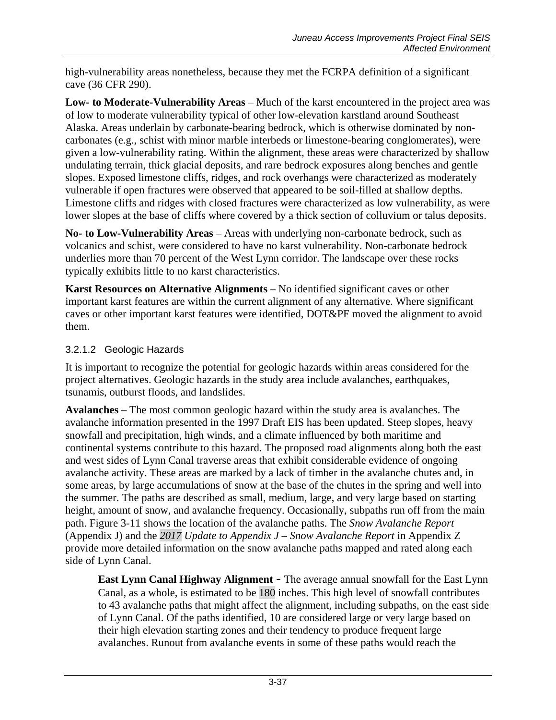high-vulnerability areas nonetheless, because they met the FCRPA definition of a significant cave (36 CFR 290).

**Low- to Moderate-Vulnerability Areas** – Much of the karst encountered in the project area was of low to moderate vulnerability typical of other low-elevation karstland around Southeast Alaska. Areas underlain by carbonate-bearing bedrock, which is otherwise dominated by noncarbonates (e.g., schist with minor marble interbeds or limestone-bearing conglomerates), were given a low-vulnerability rating. Within the alignment, these areas were characterized by shallow undulating terrain, thick glacial deposits, and rare bedrock exposures along benches and gentle slopes. Exposed limestone cliffs, ridges, and rock overhangs were characterized as moderately vulnerable if open fractures were observed that appeared to be soil-filled at shallow depths. Limestone cliffs and ridges with closed fractures were characterized as low vulnerability, as were lower slopes at the base of cliffs where covered by a thick section of colluvium or talus deposits.

**No- to Low-Vulnerability Areas** – Areas with underlying non-carbonate bedrock, such as volcanics and schist, were considered to have no karst vulnerability. Non-carbonate bedrock underlies more than 70 percent of the West Lynn corridor. The landscape over these rocks typically exhibits little to no karst characteristics.

**Karst Resources on Alternative Alignments** – No identified significant caves or other important karst features are within the current alignment of any alternative. Where significant caves or other important karst features were identified, DOT&PF moved the alignment to avoid them.

### 3.2.1.2 Geologic Hazards

It is important to recognize the potential for geologic hazards within areas considered for the project alternatives. Geologic hazards in the study area include avalanches, earthquakes, tsunamis, outburst floods, and landslides.

**Avalanches** – The most common geologic hazard within the study area is avalanches. The avalanche information presented in the 1997 Draft EIS has been updated. Steep slopes, heavy snowfall and precipitation, high winds, and a climate influenced by both maritime and continental systems contribute to this hazard. The proposed road alignments along both the east and west sides of Lynn Canal traverse areas that exhibit considerable evidence of ongoing avalanche activity. These areas are marked by a lack of timber in the avalanche chutes and, in some areas, by large accumulations of snow at the base of the chutes in the spring and well into the summer. The paths are described as small, medium, large, and very large based on starting height, amount of snow, and avalanche frequency. Occasionally, subpaths run off from the main path. Figure 3-11 shows the location of the avalanche paths. The *Snow Avalanche Report*  (Appendix J) and the *2017 Update to Appendix J – Snow Avalanche Report* in Appendix Z provide more detailed information on the snow avalanche paths mapped and rated along each side of Lynn Canal.

**East Lynn Canal Highway Alignment** – The average annual snowfall for the East Lynn Canal, as a whole, is estimated to be 180 inches. This high level of snowfall contributes to 43 avalanche paths that might affect the alignment, including subpaths, on the east side of Lynn Canal. Of the paths identified, 10 are considered large or very large based on their high elevation starting zones and their tendency to produce frequent large avalanches. Runout from avalanche events in some of these paths would reach the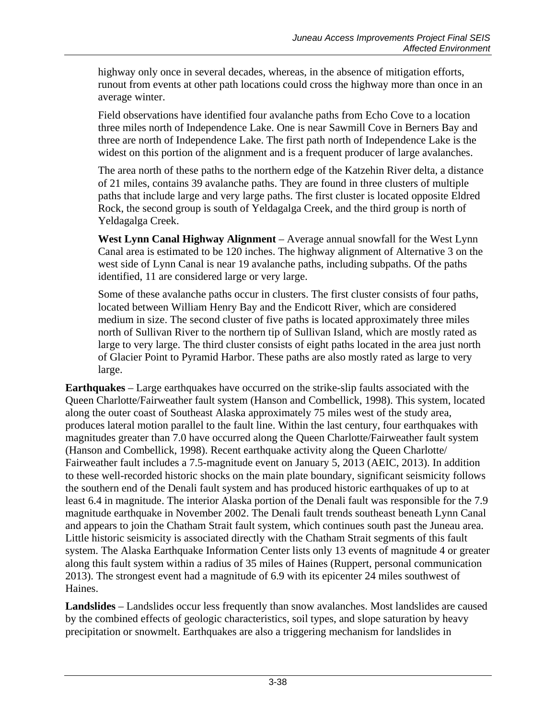highway only once in several decades, whereas, in the absence of mitigation efforts, runout from events at other path locations could cross the highway more than once in an average winter.

Field observations have identified four avalanche paths from Echo Cove to a location three miles north of Independence Lake. One is near Sawmill Cove in Berners Bay and three are north of Independence Lake. The first path north of Independence Lake is the widest on this portion of the alignment and is a frequent producer of large avalanches.

The area north of these paths to the northern edge of the Katzehin River delta, a distance of 21 miles, contains 39 avalanche paths. They are found in three clusters of multiple paths that include large and very large paths. The first cluster is located opposite Eldred Rock, the second group is south of Yeldagalga Creek, and the third group is north of Yeldagalga Creek.

**West Lynn Canal Highway Alignment** – Average annual snowfall for the West Lynn Canal area is estimated to be 120 inches. The highway alignment of Alternative 3 on the west side of Lynn Canal is near 19 avalanche paths, including subpaths. Of the paths identified, 11 are considered large or very large.

Some of these avalanche paths occur in clusters. The first cluster consists of four paths, located between William Henry Bay and the Endicott River, which are considered medium in size. The second cluster of five paths is located approximately three miles north of Sullivan River to the northern tip of Sullivan Island, which are mostly rated as large to very large. The third cluster consists of eight paths located in the area just north of Glacier Point to Pyramid Harbor. These paths are also mostly rated as large to very large.

**Earthquakes** – Large earthquakes have occurred on the strike-slip faults associated with the Queen Charlotte/Fairweather fault system (Hanson and Combellick, 1998). This system, located along the outer coast of Southeast Alaska approximately 75 miles west of the study area, produces lateral motion parallel to the fault line. Within the last century, four earthquakes with magnitudes greater than 7.0 have occurred along the Queen Charlotte/Fairweather fault system (Hanson and Combellick, 1998). Recent earthquake activity along the Queen Charlotte/ Fairweather fault includes a 7.5-magnitude event on January 5, 2013 (AEIC, 2013). In addition to these well-recorded historic shocks on the main plate boundary, significant seismicity follows the southern end of the Denali fault system and has produced historic earthquakes of up to at least 6.4 in magnitude. The interior Alaska portion of the Denali fault was responsible for the 7.9 magnitude earthquake in November 2002. The Denali fault trends southeast beneath Lynn Canal and appears to join the Chatham Strait fault system, which continues south past the Juneau area. Little historic seismicity is associated directly with the Chatham Strait segments of this fault system. The Alaska Earthquake Information Center lists only 13 events of magnitude 4 or greater along this fault system within a radius of 35 miles of Haines (Ruppert, personal communication 2013). The strongest event had a magnitude of 6.9 with its epicenter 24 miles southwest of Haines.

**Landslides** – Landslides occur less frequently than snow avalanches. Most landslides are caused by the combined effects of geologic characteristics, soil types, and slope saturation by heavy precipitation or snowmelt. Earthquakes are also a triggering mechanism for landslides in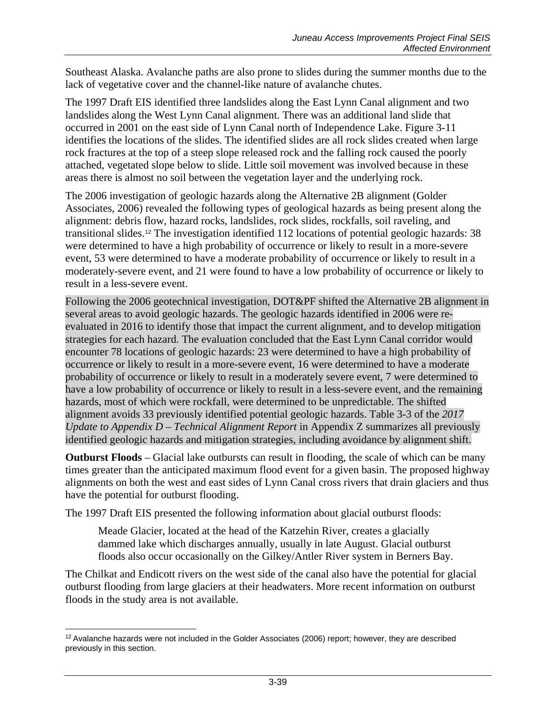Southeast Alaska. Avalanche paths are also prone to slides during the summer months due to the lack of vegetative cover and the channel-like nature of avalanche chutes.

The 1997 Draft EIS identified three landslides along the East Lynn Canal alignment and two landslides along the West Lynn Canal alignment. There was an additional land slide that occurred in 2001 on the east side of Lynn Canal north of Independence Lake. Figure 3-11 identifies the locations of the slides. The identified slides are all rock slides created when large rock fractures at the top of a steep slope released rock and the falling rock caused the poorly attached, vegetated slope below to slide. Little soil movement was involved because in these areas there is almost no soil between the vegetation layer and the underlying rock.

The 2006 investigation of geologic hazards along the Alternative 2B alignment (Golder Associates, 2006) revealed the following types of geological hazards as being present along the alignment: debris flow, hazard rocks, landslides, rock slides, rockfalls, soil raveling, and transitional slides.[12](#page-38-0) The investigation identified 112 locations of potential geologic hazards: 38 were determined to have a high probability of occurrence or likely to result in a more-severe event, 53 were determined to have a moderate probability of occurrence or likely to result in a moderately-severe event, and 21 were found to have a low probability of occurrence or likely to result in a less-severe event.

Following the 2006 geotechnical investigation, DOT&PF shifted the Alternative 2B alignment in several areas to avoid geologic hazards. The geologic hazards identified in 2006 were reevaluated in 2016 to identify those that impact the current alignment, and to develop mitigation strategies for each hazard. The evaluation concluded that the East Lynn Canal corridor would encounter 78 locations of geologic hazards: 23 were determined to have a high probability of occurrence or likely to result in a more-severe event, 16 were determined to have a moderate probability of occurrence or likely to result in a moderately severe event, 7 were determined to have a low probability of occurrence or likely to result in a less-severe event, and the remaining hazards, most of which were rockfall, were determined to be unpredictable. The shifted alignment avoids 33 previously identified potential geologic hazards. Table 3-3 of the *2017 Update to Appendix D – Technical Alignment Report* in Appendix Z summarizes all previously identified geologic hazards and mitigation strategies, including avoidance by alignment shift.

**Outburst Floods** – Glacial lake outbursts can result in flooding, the scale of which can be many times greater than the anticipated maximum flood event for a given basin. The proposed highway alignments on both the west and east sides of Lynn Canal cross rivers that drain glaciers and thus have the potential for outburst flooding.

The 1997 Draft EIS presented the following information about glacial outburst floods:

Meade Glacier, located at the head of the Katzehin River, creates a glacially dammed lake which discharges annually, usually in late August. Glacial outburst floods also occur occasionally on the Gilkey/Antler River system in Berners Bay.

The Chilkat and Endicott rivers on the west side of the canal also have the potential for glacial outburst flooding from large glaciers at their headwaters. More recent information on outburst floods in the study area is not available.

<span id="page-38-0"></span> $\overline{a}$ <sup>12</sup> Avalanche hazards were not included in the Golder Associates (2006) report; however, they are described previously in this section.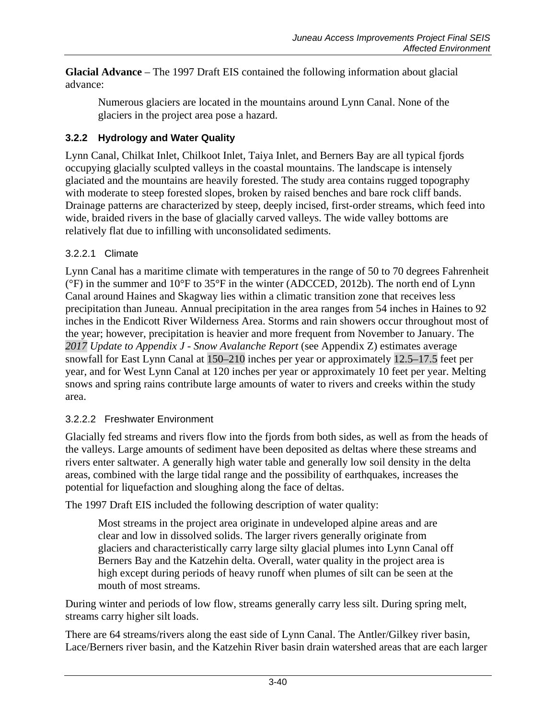**Glacial Advance** – The 1997 Draft EIS contained the following information about glacial advance:

Numerous glaciers are located in the mountains around Lynn Canal. None of the glaciers in the project area pose a hazard.

### **3.2.2 Hydrology and Water Quality**

Lynn Canal, Chilkat Inlet, Chilkoot Inlet, Taiya Inlet, and Berners Bay are all typical fjords occupying glacially sculpted valleys in the coastal mountains. The landscape is intensely glaciated and the mountains are heavily forested. The study area contains rugged topography with moderate to steep forested slopes, broken by raised benches and bare rock cliff bands. Drainage patterns are characterized by steep, deeply incised, first-order streams, which feed into wide, braided rivers in the base of glacially carved valleys. The wide valley bottoms are relatively flat due to infilling with unconsolidated sediments.

### 3.2.2.1 Climate

Lynn Canal has a maritime climate with temperatures in the range of 50 to 70 degrees Fahrenheit (°F) in the summer and 10°F to 35°F in the winter (ADCCED, 2012b). The north end of Lynn Canal around Haines and Skagway lies within a climatic transition zone that receives less precipitation than Juneau. Annual precipitation in the area ranges from 54 inches in Haines to 92 inches in the Endicott River Wilderness Area. Storms and rain showers occur throughout most of the year; however, precipitation is heavier and more frequent from November to January. The *2017 Update to Appendix J - Snow Avalanche Report* (see Appendix Z) estimates average snowfall for East Lynn Canal at 150–210 inches per year or approximately 12.5–17.5 feet per year, and for West Lynn Canal at 120 inches per year or approximately 10 feet per year. Melting snows and spring rains contribute large amounts of water to rivers and creeks within the study area.

### 3.2.2.2 Freshwater Environment

Glacially fed streams and rivers flow into the fjords from both sides, as well as from the heads of the valleys. Large amounts of sediment have been deposited as deltas where these streams and rivers enter saltwater. A generally high water table and generally low soil density in the delta areas, combined with the large tidal range and the possibility of earthquakes, increases the potential for liquefaction and sloughing along the face of deltas.

The 1997 Draft EIS included the following description of water quality:

Most streams in the project area originate in undeveloped alpine areas and are clear and low in dissolved solids. The larger rivers generally originate from glaciers and characteristically carry large silty glacial plumes into Lynn Canal off Berners Bay and the Katzehin delta. Overall, water quality in the project area is high except during periods of heavy runoff when plumes of silt can be seen at the mouth of most streams.

During winter and periods of low flow, streams generally carry less silt. During spring melt, streams carry higher silt loads.

There are 64 streams/rivers along the east side of Lynn Canal. The Antler/Gilkey river basin, Lace/Berners river basin, and the Katzehin River basin drain watershed areas that are each larger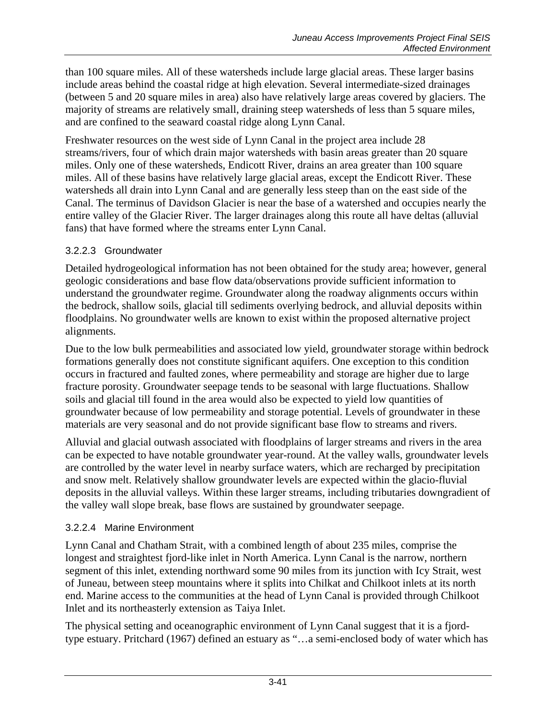than 100 square miles. All of these watersheds include large glacial areas. These larger basins include areas behind the coastal ridge at high elevation. Several intermediate-sized drainages (between 5 and 20 square miles in area) also have relatively large areas covered by glaciers. The majority of streams are relatively small, draining steep watersheds of less than 5 square miles, and are confined to the seaward coastal ridge along Lynn Canal.

Freshwater resources on the west side of Lynn Canal in the project area include 28 streams/rivers, four of which drain major watersheds with basin areas greater than 20 square miles. Only one of these watersheds, Endicott River, drains an area greater than 100 square miles. All of these basins have relatively large glacial areas, except the Endicott River. These watersheds all drain into Lynn Canal and are generally less steep than on the east side of the Canal. The terminus of Davidson Glacier is near the base of a watershed and occupies nearly the entire valley of the Glacier River. The larger drainages along this route all have deltas (alluvial fans) that have formed where the streams enter Lynn Canal.

#### 3.2.2.3 Groundwater

Detailed hydrogeological information has not been obtained for the study area; however, general geologic considerations and base flow data/observations provide sufficient information to understand the groundwater regime. Groundwater along the roadway alignments occurs within the bedrock, shallow soils, glacial till sediments overlying bedrock, and alluvial deposits within floodplains. No groundwater wells are known to exist within the proposed alternative project alignments.

Due to the low bulk permeabilities and associated low yield, groundwater storage within bedrock formations generally does not constitute significant aquifers. One exception to this condition occurs in fractured and faulted zones, where permeability and storage are higher due to large fracture porosity. Groundwater seepage tends to be seasonal with large fluctuations. Shallow soils and glacial till found in the area would also be expected to yield low quantities of groundwater because of low permeability and storage potential. Levels of groundwater in these materials are very seasonal and do not provide significant base flow to streams and rivers.

Alluvial and glacial outwash associated with floodplains of larger streams and rivers in the area can be expected to have notable groundwater year-round. At the valley walls, groundwater levels are controlled by the water level in nearby surface waters, which are recharged by precipitation and snow melt. Relatively shallow groundwater levels are expected within the glacio-fluvial deposits in the alluvial valleys. Within these larger streams, including tributaries downgradient of the valley wall slope break, base flows are sustained by groundwater seepage.

### 3.2.2.4 Marine Environment

Lynn Canal and Chatham Strait, with a combined length of about 235 miles, comprise the longest and straightest fjord-like inlet in North America. Lynn Canal is the narrow, northern segment of this inlet, extending northward some 90 miles from its junction with Icy Strait, west of Juneau, between steep mountains where it splits into Chilkat and Chilkoot inlets at its north end. Marine access to the communities at the head of Lynn Canal is provided through Chilkoot Inlet and its northeasterly extension as Taiya Inlet.

The physical setting and oceanographic environment of Lynn Canal suggest that it is a fjordtype estuary. Pritchard (1967) defined an estuary as "…a semi-enclosed body of water which has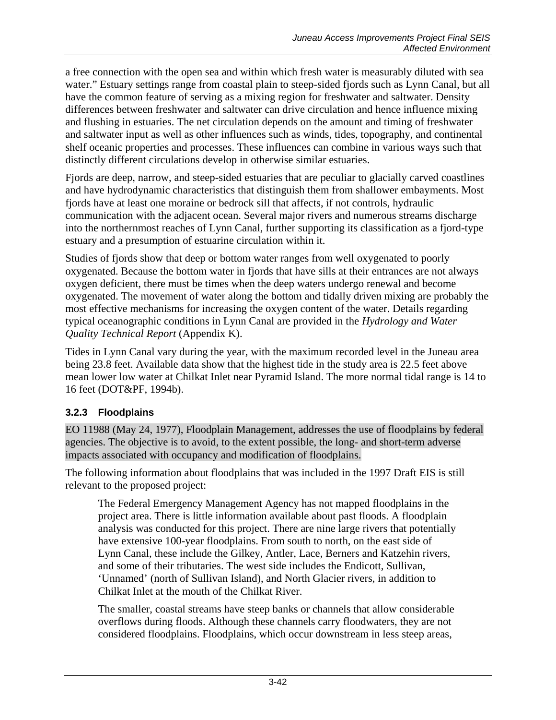a free connection with the open sea and within which fresh water is measurably diluted with sea water." Estuary settings range from coastal plain to steep-sided fjords such as Lynn Canal, but all have the common feature of serving as a mixing region for freshwater and saltwater. Density differences between freshwater and saltwater can drive circulation and hence influence mixing and flushing in estuaries. The net circulation depends on the amount and timing of freshwater and saltwater input as well as other influences such as winds, tides, topography, and continental shelf oceanic properties and processes. These influences can combine in various ways such that distinctly different circulations develop in otherwise similar estuaries.

Fjords are deep, narrow, and steep-sided estuaries that are peculiar to glacially carved coastlines and have hydrodynamic characteristics that distinguish them from shallower embayments. Most fjords have at least one moraine or bedrock sill that affects, if not controls, hydraulic communication with the adjacent ocean. Several major rivers and numerous streams discharge into the northernmost reaches of Lynn Canal, further supporting its classification as a fjord-type estuary and a presumption of estuarine circulation within it.

Studies of fjords show that deep or bottom water ranges from well oxygenated to poorly oxygenated. Because the bottom water in fjords that have sills at their entrances are not always oxygen deficient, there must be times when the deep waters undergo renewal and become oxygenated. The movement of water along the bottom and tidally driven mixing are probably the most effective mechanisms for increasing the oxygen content of the water. Details regarding typical oceanographic conditions in Lynn Canal are provided in the *Hydrology and Water Quality Technical Report* (Appendix K).

Tides in Lynn Canal vary during the year, with the maximum recorded level in the Juneau area being 23.8 feet. Available data show that the highest tide in the study area is 22.5 feet above mean lower low water at Chilkat Inlet near Pyramid Island. The more normal tidal range is 14 to 16 feet (DOT&PF, 1994b).

### **3.2.3 Floodplains**

EO 11988 (May 24, 1977), Floodplain Management, addresses the use of floodplains by federal agencies. The objective is to avoid, to the extent possible, the long- and short-term adverse impacts associated with occupancy and modification of floodplains.

The following information about floodplains that was included in the 1997 Draft EIS is still relevant to the proposed project:

The Federal Emergency Management Agency has not mapped floodplains in the project area. There is little information available about past floods. A floodplain analysis was conducted for this project. There are nine large rivers that potentially have extensive 100-year floodplains. From south to north, on the east side of Lynn Canal, these include the Gilkey, Antler, Lace, Berners and Katzehin rivers, and some of their tributaries. The west side includes the Endicott, Sullivan, 'Unnamed' (north of Sullivan Island), and North Glacier rivers, in addition to Chilkat Inlet at the mouth of the Chilkat River.

The smaller, coastal streams have steep banks or channels that allow considerable overflows during floods. Although these channels carry floodwaters, they are not considered floodplains. Floodplains, which occur downstream in less steep areas,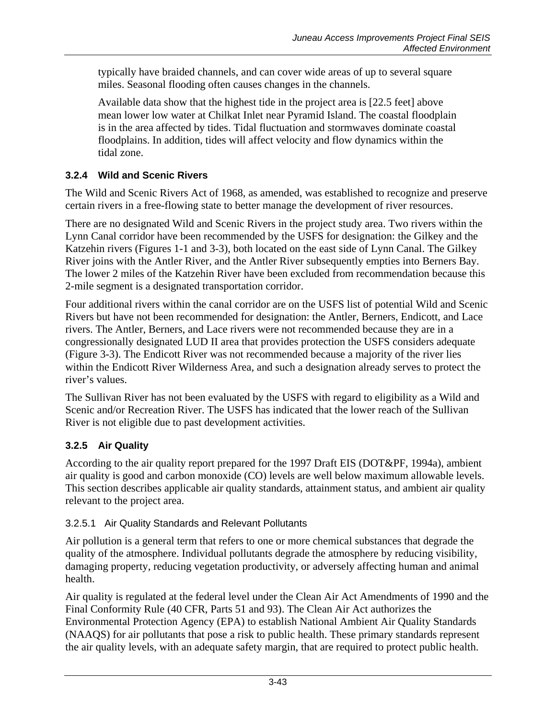typically have braided channels, and can cover wide areas of up to several square miles. Seasonal flooding often causes changes in the channels.

Available data show that the highest tide in the project area is [22.5 feet] above mean lower low water at Chilkat Inlet near Pyramid Island. The coastal floodplain is in the area affected by tides. Tidal fluctuation and stormwaves dominate coastal floodplains. In addition, tides will affect velocity and flow dynamics within the tidal zone.

# **3.2.4 Wild and Scenic Rivers**

The Wild and Scenic Rivers Act of 1968, as amended, was established to recognize and preserve certain rivers in a free-flowing state to better manage the development of river resources.

There are no designated Wild and Scenic Rivers in the project study area. Two rivers within the Lynn Canal corridor have been recommended by the USFS for designation: the Gilkey and the Katzehin rivers (Figures 1-1 and 3-3), both located on the east side of Lynn Canal. The Gilkey River joins with the Antler River, and the Antler River subsequently empties into Berners Bay. The lower 2 miles of the Katzehin River have been excluded from recommendation because this 2-mile segment is a designated transportation corridor.

Four additional rivers within the canal corridor are on the USFS list of potential Wild and Scenic Rivers but have not been recommended for designation: the Antler, Berners, Endicott, and Lace rivers. The Antler, Berners, and Lace rivers were not recommended because they are in a congressionally designated LUD II area that provides protection the USFS considers adequate (Figure 3-3). The Endicott River was not recommended because a majority of the river lies within the Endicott River Wilderness Area, and such a designation already serves to protect the river's values.

The Sullivan River has not been evaluated by the USFS with regard to eligibility as a Wild and Scenic and/or Recreation River. The USFS has indicated that the lower reach of the Sullivan River is not eligible due to past development activities.

# **3.2.5 Air Quality**

According to the air quality report prepared for the 1997 Draft EIS (DOT&PF, 1994a), ambient air quality is good and carbon monoxide (CO) levels are well below maximum allowable levels. This section describes applicable air quality standards, attainment status, and ambient air quality relevant to the project area.

# 3.2.5.1 Air Quality Standards and Relevant Pollutants

Air pollution is a general term that refers to one or more chemical substances that degrade the quality of the atmosphere. Individual pollutants degrade the atmosphere by reducing visibility, damaging property, reducing vegetation productivity, or adversely affecting human and animal health.

Air quality is regulated at the federal level under the Clean Air Act Amendments of 1990 and the Final Conformity Rule (40 CFR, Parts 51 and 93). The Clean Air Act authorizes the Environmental Protection Agency (EPA) to establish National Ambient Air Quality Standards (NAAQS) for air pollutants that pose a risk to public health. These primary standards represent the air quality levels, with an adequate safety margin, that are required to protect public health.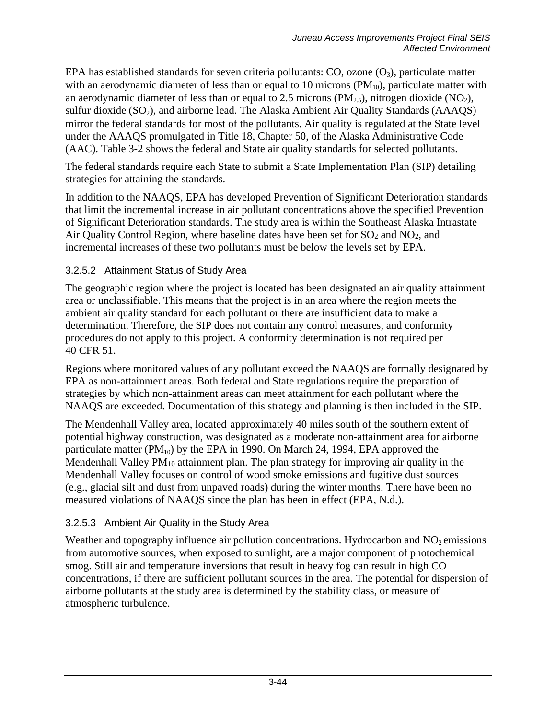EPA has established standards for seven criteria pollutants:  $CO$ , ozone  $(O_3)$ , particulate matter with an aerodynamic diameter of less than or equal to 10 microns  $(PM_{10})$ , particulate matter with an aerodynamic diameter of less than or equal to 2.5 microns ( $PM_{2.5}$ ), nitrogen dioxide (NO<sub>2</sub>), sulfur dioxide (SO<sub>2</sub>), and airborne lead. The Alaska Ambient Air Quality Standards (AAAQS) mirror the federal standards for most of the pollutants. Air quality is regulated at the State level under the AAAQS promulgated in Title 18, Chapter 50, of the Alaska Administrative Code (AAC). [Table 3-2](#page-44-0) shows the federal and State air quality standards for selected pollutants.

The federal standards require each State to submit a State Implementation Plan (SIP) detailing strategies for attaining the standards.

In addition to the NAAQS, EPA has developed Prevention of Significant Deterioration standards that limit the incremental increase in air pollutant concentrations above the specified Prevention of Significant Deterioration standards. The study area is within the Southeast Alaska Intrastate Air Quality Control Region, where baseline dates have been set for SO<sub>2</sub> and NO<sub>2</sub>, and incremental increases of these two pollutants must be below the levels set by EPA.

### 3.2.5.2 Attainment Status of Study Area

The geographic region where the project is located has been designated an air quality attainment area or unclassifiable. This means that the project is in an area where the region meets the ambient air quality standard for each pollutant or there are insufficient data to make a determination. Therefore, the SIP does not contain any control measures, and conformity procedures do not apply to this project. A conformity determination is not required per 40 CFR 51.

Regions where monitored values of any pollutant exceed the NAAQS are formally designated by EPA as non-attainment areas. Both federal and State regulations require the preparation of strategies by which non-attainment areas can meet attainment for each pollutant where the NAAQS are exceeded. Documentation of this strategy and planning is then included in the SIP.

The Mendenhall Valley area, located approximately 40 miles south of the southern extent of potential highway construction, was designated as a moderate non-attainment area for airborne particulate matter ( $PM_{10}$ ) by the EPA in 1990. On March 24, 1994, EPA approved the Mendenhall Valley PM<sub>10</sub> attainment plan. The plan strategy for improving air quality in the Mendenhall Valley focuses on control of wood smoke emissions and fugitive dust sources (e.g., glacial silt and dust from unpaved roads) during the winter months. There have been no measured violations of NAAQS since the plan has been in effect (EPA, N.d.).

### 3.2.5.3 Ambient Air Quality in the Study Area

Weather and topography influence air pollution concentrations. Hydrocarbon and  $NO<sub>2</sub>$  emissions from automotive sources, when exposed to sunlight, are a major component of photochemical smog. Still air and temperature inversions that result in heavy fog can result in high CO concentrations, if there are sufficient pollutant sources in the area. The potential for dispersion of airborne pollutants at the study area is determined by the stability class, or measure of atmospheric turbulence.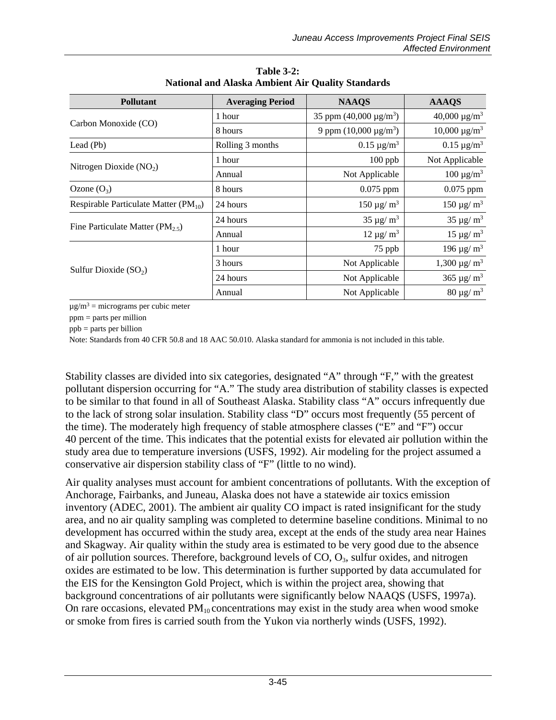<span id="page-44-0"></span>

| <b>Pollutant</b>                          | <b>Averaging Period</b> | <b>NAAQS</b>                       | <b>AAAQS</b>                   |
|-------------------------------------------|-------------------------|------------------------------------|--------------------------------|
|                                           | 1 hour                  | 35 ppm $(40,000 \mu g/m^3)$        | $40,000 \mu g/m^3$             |
| Carbon Monoxide (CO)                      | 8 hours                 | 9 ppm $(10,000 \,\mu\text{g/m}^3)$ | $10,000 \mu g/m^3$             |
| Lead (Pb)                                 | Rolling 3 months        | $0.15 \,\mathrm{\mu g/m^3}$        | $0.15 \,\mathrm{\mu g/m^3}$    |
| Nitrogen Dioxide $(NO2)$                  | 1 hour                  | $100$ ppb                          | Not Applicable                 |
|                                           | Annual                  | Not Applicable                     | $100 \mu g/m^3$                |
| Ozone $(O_3)$                             | 8 hours                 | $0.075$ ppm                        | $0.075$ ppm                    |
| Respirable Particulate Matter $(PM_{10})$ | 24 hours                | $150 \,\mathrm{\mu g/m^3}$         | $150 \,\mathrm{\mu g/m^3}$     |
| Fine Particulate Matter ( $PM_{2.5}$ )    | 24 hours                | $35 \,\mathrm{\mu g/m^3}$          | $35 \,\mathrm{\mu g/m^3}$      |
|                                           | Annual                  | $12 \mu g/m^3$                     | $15 \mu g/m^3$                 |
|                                           | 1 hour                  | 75 ppb                             | $196 \,\mathrm{\mu g/m^3}$     |
| Sulfur Dioxide $(SO_2)$                   | 3 hours                 | Not Applicable                     | $1,300 \,\mathrm{\upmu g/m^3}$ |
|                                           | 24 hours                | Not Applicable                     | $365 \,\mathrm{\mu g/m^3}$     |
|                                           | Annual                  | Not Applicable                     | $80 \mu g/m^3$                 |

**Table 3-2: National and Alaska Ambient Air Quality Standards**

 $\mu$ g/m<sup>3</sup> = micrograms per cubic meter

ppm = parts per million

ppb = parts per billion

Note: Standards from 40 CFR 50.8 and 18 AAC 50.010. Alaska standard for ammonia is not included in this table.

Stability classes are divided into six categories, designated "A" through "F," with the greatest pollutant dispersion occurring for "A." The study area distribution of stability classes is expected to be similar to that found in all of Southeast Alaska. Stability class "A" occurs infrequently due to the lack of strong solar insulation. Stability class "D" occurs most frequently (55 percent of the time). The moderately high frequency of stable atmosphere classes ("E" and "F") occur 40 percent of the time. This indicates that the potential exists for elevated air pollution within the study area due to temperature inversions (USFS, 1992). Air modeling for the project assumed a conservative air dispersion stability class of "F" (little to no wind).

Air quality analyses must account for ambient concentrations of pollutants. With the exception of Anchorage, Fairbanks, and Juneau, Alaska does not have a statewide air toxics emission inventory (ADEC, 2001). The ambient air quality CO impact is rated insignificant for the study area, and no air quality sampling was completed to determine baseline conditions. Minimal to no development has occurred within the study area, except at the ends of the study area near Haines and Skagway. Air quality within the study area is estimated to be very good due to the absence of air pollution sources. Therefore, background levels of  $CO$ ,  $O<sub>3</sub>$ , sulfur oxides, and nitrogen oxides are estimated to be low. This determination is further supported by data accumulated for the EIS for the Kensington Gold Project, which is within the project area, showing that background concentrations of air pollutants were significantly below NAAQS (USFS, 1997a). On rare occasions, elevated  $PM_{10}$  concentrations may exist in the study area when wood smoke or smoke from fires is carried south from the Yukon via northerly winds (USFS, 1992).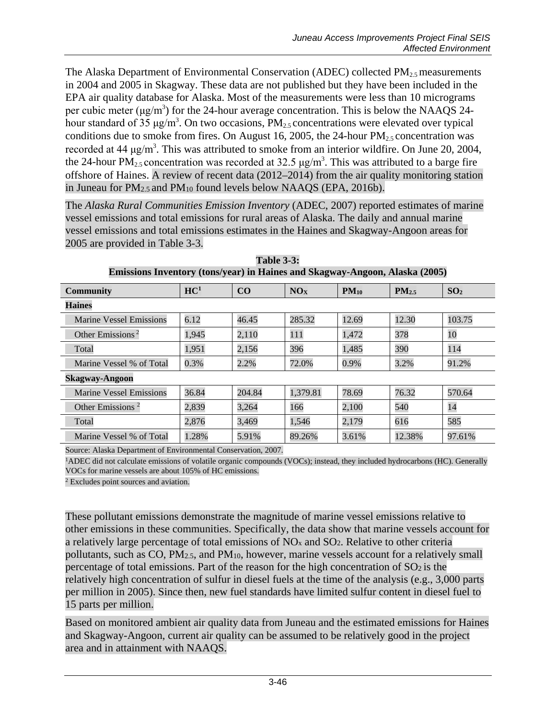The Alaska Department of Environmental Conservation (ADEC) collected  $PM_{2.5}$  measurements in 2004 and 2005 in Skagway. These data are not published but they have been included in the EPA air quality database for Alaska. Most of the measurements were less than 10 micrograms per cubic meter ( $\mu$ g/m<sup>3</sup>) for the 24-hour average concentration. This is below the NAAQS 24hour standard of 35  $\mu$ g/m<sup>3</sup>. On two occasions, PM<sub>2.5</sub> concentrations were elevated over typical conditions due to smoke from fires. On August 16, 2005, the 24-hour  $PM_{2.5}$  concentration was recorded at 44  $\mu$ g/m<sup>3</sup>. This was attributed to smoke from an interior wildfire. On June 20, 2004, the 24-hour PM<sub>2.5</sub> concentration was recorded at 32.5  $\mu$ g/m<sup>3</sup>. This was attributed to a barge fire offshore of Haines. A review of recent data (2012–2014) from the air quality monitoring station in Juneau for PM2.5 and PM10 found levels below NAAQS (EPA, 2016b).

The *Alaska Rural Communities Emission Inventory* (ADEC, 2007) reported estimates of marine vessel emissions and total emissions for rural areas of Alaska. The daily and annual marine vessel emissions and total emissions estimates in the Haines and Skagway-Angoon areas for 2005 are provided in [Table 3-3.](#page-45-0)

<span id="page-45-0"></span>

| <u>EHIISSIVIIS HIVEIIUI Y (WIIS/YEAL) III LIAHIES AHU DKAZWAY-AHZUUII, AIASKA (2005)</u> |                 |        |                 |           |                   |                 |  |
|------------------------------------------------------------------------------------------|-----------------|--------|-----------------|-----------|-------------------|-----------------|--|
| <b>Community</b>                                                                         | HC <sup>1</sup> | CO     | NO <sub>X</sub> | $PM_{10}$ | PM <sub>2.5</sub> | SO <sub>2</sub> |  |
| <b>Haines</b>                                                                            |                 |        |                 |           |                   |                 |  |
| <b>Marine Vessel Emissions</b>                                                           | 6.12            | 46.45  | 285.32          | 12.69     | 12.30             | 103.75          |  |
| Other Emissions <sup>2</sup>                                                             | 1,945           | 2,110  | 111             | 1,472     | 378               | 10              |  |
| Total                                                                                    | 1,951           | 2,156  | 396             | 1,485     | 390               | 114             |  |
| Marine Vessel % of Total                                                                 | 0.3%            | 2.2%   | 72.0%           | 0.9%      | 3.2%              | 91.2%           |  |
| <b>Skagway-Angoon</b>                                                                    |                 |        |                 |           |                   |                 |  |
| <b>Marine Vessel Emissions</b>                                                           | 36.84           | 204.84 | 1,379.81        | 78.69     | 76.32             | 570.64          |  |
| Other Emissions <sup>2</sup>                                                             | 2,839           | 3,264  | 166             | 2,100     | 540               | 14              |  |
| Total                                                                                    | 2,876           | 3,469  | 1,546           | 2,179     | 616               | 585             |  |
| Marine Vessel % of Total                                                                 | 1.28%           | 5.91%  | 89.26%          | 3.61%     | 12.38%            | 97.61%          |  |

**Table 3-3: Emissions Inventory (tons/year) in Haines and Skagway-Angoon, Alaska (2005)**

Source: Alaska Department of Environmental Conservation, 2007.

1ADEC did not calculate emissions of volatile organic compounds (VOCs); instead, they included hydrocarbons (HC). Generally VOCs for marine vessels are about 105% of HC emissions.

<sup>2</sup> Excludes point sources and aviation.

These pollutant emissions demonstrate the magnitude of marine vessel emissions relative to other emissions in these communities. Specifically, the data show that marine vessels account for a relatively large percentage of total emissions of  $NO<sub>x</sub>$  and  $SO<sub>2</sub>$ . Relative to other criteria pollutants, such as  $CO$ ,  $PM<sub>2.5</sub>$ , and  $PM<sub>10</sub>$ , however, marine vessels account for a relatively small percentage of total emissions. Part of the reason for the high concentration of  $SO<sub>2</sub>$  is the relatively high concentration of sulfur in diesel fuels at the time of the analysis (e.g., 3,000 parts per million in 2005). Since then, new fuel standards have limited sulfur content in diesel fuel to 15 parts per million.

Based on monitored ambient air quality data from Juneau and the estimated emissions for Haines and Skagway-Angoon, current air quality can be assumed to be relatively good in the project area and in attainment with NAAQS.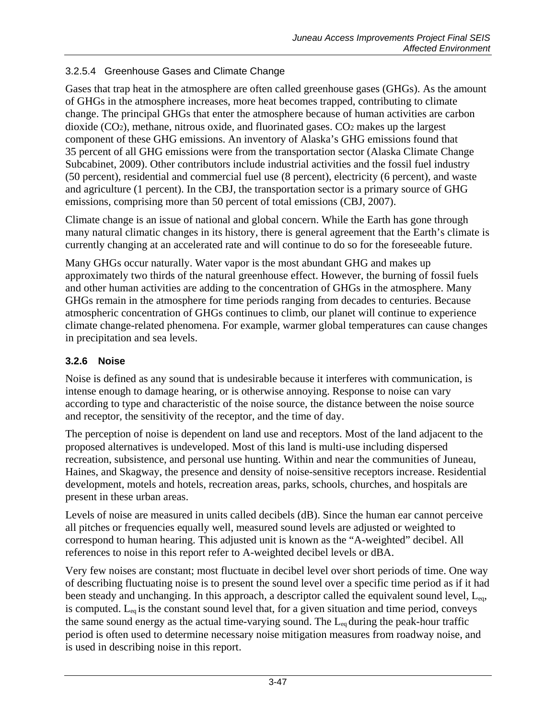### 3.2.5.4 Greenhouse Gases and Climate Change

Gases that trap heat in the atmosphere are often called greenhouse gases (GHGs). As the amount of GHGs in the atmosphere increases, more heat becomes trapped, contributing to climate change. The principal GHGs that enter the atmosphere because of human activities are carbon dioxide (CO2), methane, nitrous oxide, and fluorinated gases. CO2 makes up the largest component of these GHG emissions. An inventory of Alaska's GHG emissions found that 35 percent of all GHG emissions were from the transportation sector (Alaska Climate Change Subcabinet, 2009). Other contributors include industrial activities and the fossil fuel industry (50 percent), residential and commercial fuel use (8 percent), electricity (6 percent), and waste and agriculture (1 percent). In the CBJ, the transportation sector is a primary source of GHG emissions, comprising more than 50 percent of total emissions (CBJ, 2007).

Climate change is an issue of national and global concern. While the Earth has gone through many natural climatic changes in its history, there is general agreement that the Earth's climate is currently changing at an accelerated rate and will continue to do so for the foreseeable future.

Many GHGs occur naturally. Water vapor is the most abundant GHG and makes up approximately two thirds of the natural greenhouse effect. However, the burning of fossil fuels and other human activities are adding to the concentration of GHGs in the atmosphere. Many GHGs remain in the atmosphere for time periods ranging from decades to centuries. Because atmospheric concentration of GHGs continues to climb, our planet will continue to experience climate change-related phenomena. For example, warmer global temperatures can cause changes in precipitation and sea levels.

#### **3.2.6 Noise**

Noise is defined as any sound that is undesirable because it interferes with communication, is intense enough to damage hearing, or is otherwise annoying. Response to noise can vary according to type and characteristic of the noise source, the distance between the noise source and receptor, the sensitivity of the receptor, and the time of day.

The perception of noise is dependent on land use and receptors. Most of the land adjacent to the proposed alternatives is undeveloped. Most of this land is multi-use including dispersed recreation, subsistence, and personal use hunting. Within and near the communities of Juneau, Haines, and Skagway, the presence and density of noise-sensitive receptors increase. Residential development, motels and hotels, recreation areas, parks, schools, churches, and hospitals are present in these urban areas.

Levels of noise are measured in units called decibels (dB). Since the human ear cannot perceive all pitches or frequencies equally well, measured sound levels are adjusted or weighted to correspond to human hearing. This adjusted unit is known as the "A-weighted" decibel. All references to noise in this report refer to A-weighted decibel levels or dBA.

Very few noises are constant; most fluctuate in decibel level over short periods of time. One way of describing fluctuating noise is to present the sound level over a specific time period as if it had been steady and unchanging. In this approach, a descriptor called the equivalent sound level, L<sub>eq</sub>, is computed.  $L_{eq}$  is the constant sound level that, for a given situation and time period, conveys the same sound energy as the actual time-varying sound. The  $L_{eq}$  during the peak-hour traffic period is often used to determine necessary noise mitigation measures from roadway noise, and is used in describing noise in this report.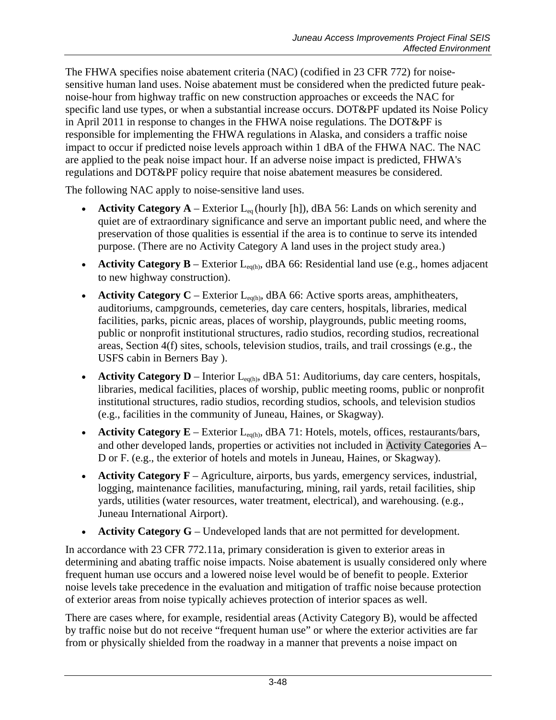The FHWA specifies noise abatement criteria (NAC) (codified in 23 CFR 772) for noisesensitive human land uses. Noise abatement must be considered when the predicted future peaknoise-hour from highway traffic on new construction approaches or exceeds the NAC for specific land use types, or when a substantial increase occurs. DOT&PF updated its Noise Policy in April 2011 in response to changes in the FHWA noise regulations. The DOT&PF is responsible for implementing the FHWA regulations in Alaska, and considers a traffic noise impact to occur if predicted noise levels approach within 1 dBA of the FHWA NAC. The NAC are applied to the peak noise impact hour. If an adverse noise impact is predicted, FHWA's regulations and DOT&PF policy require that noise abatement measures be considered.

The following NAC apply to noise-sensitive land uses.

- **Activity Category A** Exterior  $L_{eq}$  (hourly [h]), dBA 56: Lands on which serenity and quiet are of extraordinary significance and serve an important public need, and where the preservation of those qualities is essential if the area is to continue to serve its intended purpose. (There are no Activity Category A land uses in the project study area.)
- **Activity Category B** Exterior  $L_{eq(h)}$ , dBA 66: Residential land use (e.g., homes adjacent to new highway construction).
- Activity Category C Exterior L<sub>eq(h)</sub>, dBA 66: Active sports areas, amphitheaters, auditoriums, campgrounds, cemeteries, day care centers, hospitals, libraries, medical facilities, parks, picnic areas, places of worship, playgrounds, public meeting rooms, public or nonprofit institutional structures, radio studios, recording studios, recreational areas, Section 4(f) sites, schools, television studios, trails, and trail crossings (e.g., the USFS cabin in Berners Bay ).
- **Activity Category D** Interior L<sub>eq(h)</sub>, dBA 51: Auditoriums, day care centers, hospitals, libraries, medical facilities, places of worship, public meeting rooms, public or nonprofit institutional structures, radio studios, recording studios, schools, and television studios (e.g., facilities in the community of Juneau, Haines, or Skagway).
- **Activity Category E** Exterior  $L_{eq(h)}$ , dBA 71: Hotels, motels, offices, restaurants/bars, and other developed lands, properties or activities not included in Activity Categories A– D or F. (e.g., the exterior of hotels and motels in Juneau, Haines, or Skagway).
- **Activity Category F** Agriculture, airports, bus yards, emergency services, industrial, logging, maintenance facilities, manufacturing, mining, rail yards, retail facilities, ship yards, utilities (water resources, water treatment, electrical), and warehousing. (e.g., Juneau International Airport).
- **Activity Category G** Undeveloped lands that are not permitted for development.

In accordance with 23 CFR 772.11a, primary consideration is given to exterior areas in determining and abating traffic noise impacts. Noise abatement is usually considered only where frequent human use occurs and a lowered noise level would be of benefit to people. Exterior noise levels take precedence in the evaluation and mitigation of traffic noise because protection of exterior areas from noise typically achieves protection of interior spaces as well.

There are cases where, for example, residential areas (Activity Category B), would be affected by traffic noise but do not receive "frequent human use" or where the exterior activities are far from or physically shielded from the roadway in a manner that prevents a noise impact on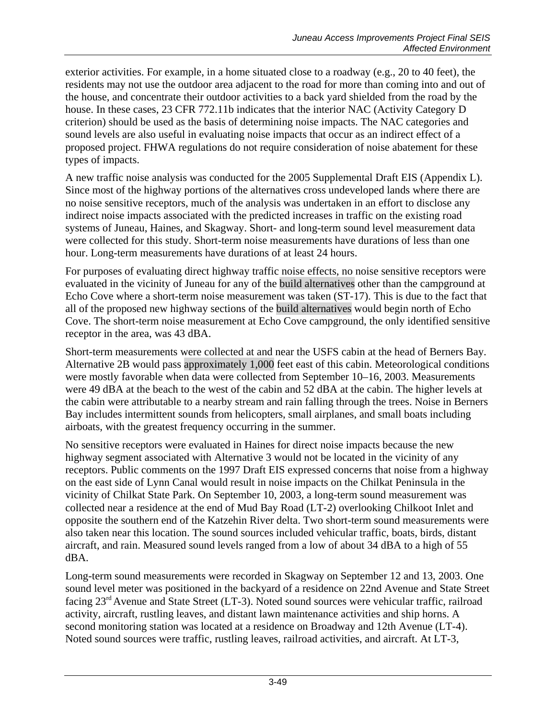exterior activities. For example, in a home situated close to a roadway (e.g., 20 to 40 feet), the residents may not use the outdoor area adjacent to the road for more than coming into and out of the house, and concentrate their outdoor activities to a back yard shielded from the road by the house. In these cases, 23 CFR 772.11b indicates that the interior NAC (Activity Category D criterion) should be used as the basis of determining noise impacts. The NAC categories and sound levels are also useful in evaluating noise impacts that occur as an indirect effect of a proposed project. FHWA regulations do not require consideration of noise abatement for these types of impacts.

A new traffic noise analysis was conducted for the 2005 Supplemental Draft EIS (Appendix L). Since most of the highway portions of the alternatives cross undeveloped lands where there are no noise sensitive receptors, much of the analysis was undertaken in an effort to disclose any indirect noise impacts associated with the predicted increases in traffic on the existing road systems of Juneau, Haines, and Skagway. Short- and long-term sound level measurement data were collected for this study. Short-term noise measurements have durations of less than one hour. Long-term measurements have durations of at least 24 hours.

For purposes of evaluating direct highway traffic noise effects, no noise sensitive receptors were evaluated in the vicinity of Juneau for any of the build alternatives other than the campground at Echo Cove where a short-term noise measurement was taken (ST-17). This is due to the fact that all of the proposed new highway sections of the build alternatives would begin north of Echo Cove. The short-term noise measurement at Echo Cove campground, the only identified sensitive receptor in the area, was 43 dBA.

Short-term measurements were collected at and near the USFS cabin at the head of Berners Bay. Alternative 2B would pass approximately 1,000 feet east of this cabin. Meteorological conditions were mostly favorable when data were collected from September 10–16, 2003. Measurements were 49 dBA at the beach to the west of the cabin and 52 dBA at the cabin. The higher levels at the cabin were attributable to a nearby stream and rain falling through the trees. Noise in Berners Bay includes intermittent sounds from helicopters, small airplanes, and small boats including airboats, with the greatest frequency occurring in the summer.

No sensitive receptors were evaluated in Haines for direct noise impacts because the new highway segment associated with Alternative 3 would not be located in the vicinity of any receptors. Public comments on the 1997 Draft EIS expressed concerns that noise from a highway on the east side of Lynn Canal would result in noise impacts on the Chilkat Peninsula in the vicinity of Chilkat State Park. On September 10, 2003, a long-term sound measurement was collected near a residence at the end of Mud Bay Road (LT-2) overlooking Chilkoot Inlet and opposite the southern end of the Katzehin River delta. Two short-term sound measurements were also taken near this location. The sound sources included vehicular traffic, boats, birds, distant aircraft, and rain. Measured sound levels ranged from a low of about 34 dBA to a high of 55 dBA.

Long-term sound measurements were recorded in Skagway on September 12 and 13, 2003. One sound level meter was positioned in the backyard of a residence on 22nd Avenue and State Street facing 23rd Avenue and State Street (LT-3). Noted sound sources were vehicular traffic, railroad activity, aircraft, rustling leaves, and distant lawn maintenance activities and ship horns. A second monitoring station was located at a residence on Broadway and 12th Avenue (LT-4). Noted sound sources were traffic, rustling leaves, railroad activities, and aircraft. At LT-3,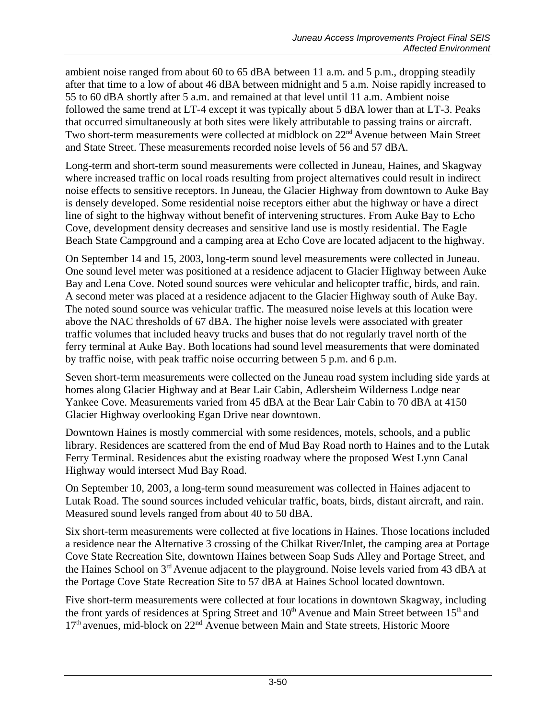ambient noise ranged from about 60 to 65 dBA between 11 a.m. and 5 p.m., dropping steadily after that time to a low of about 46 dBA between midnight and 5 a.m. Noise rapidly increased to 55 to 60 dBA shortly after 5 a.m. and remained at that level until 11 a.m. Ambient noise followed the same trend at LT-4 except it was typically about 5 dBA lower than at LT-3. Peaks that occurred simultaneously at both sites were likely attributable to passing trains or aircraft. Two short-term measurements were collected at midblock on 22<sup>nd</sup> Avenue between Main Street and State Street. These measurements recorded noise levels of 56 and 57 dBA.

Long-term and short-term sound measurements were collected in Juneau, Haines, and Skagway where increased traffic on local roads resulting from project alternatives could result in indirect noise effects to sensitive receptors. In Juneau, the Glacier Highway from downtown to Auke Bay is densely developed. Some residential noise receptors either abut the highway or have a direct line of sight to the highway without benefit of intervening structures. From Auke Bay to Echo Cove, development density decreases and sensitive land use is mostly residential. The Eagle Beach State Campground and a camping area at Echo Cove are located adjacent to the highway.

On September 14 and 15, 2003, long-term sound level measurements were collected in Juneau. One sound level meter was positioned at a residence adjacent to Glacier Highway between Auke Bay and Lena Cove. Noted sound sources were vehicular and helicopter traffic, birds, and rain. A second meter was placed at a residence adjacent to the Glacier Highway south of Auke Bay. The noted sound source was vehicular traffic. The measured noise levels at this location were above the NAC thresholds of 67 dBA. The higher noise levels were associated with greater traffic volumes that included heavy trucks and buses that do not regularly travel north of the ferry terminal at Auke Bay. Both locations had sound level measurements that were dominated by traffic noise, with peak traffic noise occurring between 5 p.m. and 6 p.m.

Seven short-term measurements were collected on the Juneau road system including side yards at homes along Glacier Highway and at Bear Lair Cabin, Adlersheim Wilderness Lodge near Yankee Cove. Measurements varied from 45 dBA at the Bear Lair Cabin to 70 dBA at 4150 Glacier Highway overlooking Egan Drive near downtown.

Downtown Haines is mostly commercial with some residences, motels, schools, and a public library. Residences are scattered from the end of Mud Bay Road north to Haines and to the Lutak Ferry Terminal. Residences abut the existing roadway where the proposed West Lynn Canal Highway would intersect Mud Bay Road.

On September 10, 2003, a long-term sound measurement was collected in Haines adjacent to Lutak Road. The sound sources included vehicular traffic, boats, birds, distant aircraft, and rain. Measured sound levels ranged from about 40 to 50 dBA.

Six short-term measurements were collected at five locations in Haines. Those locations included a residence near the Alternative 3 crossing of the Chilkat River/Inlet, the camping area at Portage Cove State Recreation Site, downtown Haines between Soap Suds Alley and Portage Street, and the Haines School on 3<sup>rd</sup> Avenue adjacent to the playground. Noise levels varied from 43 dBA at the Portage Cove State Recreation Site to 57 dBA at Haines School located downtown.

Five short-term measurements were collected at four locations in downtown Skagway, including the front yards of residences at Spring Street and 10<sup>th</sup> Avenue and Main Street between 15<sup>th</sup> and  $17<sup>th</sup>$  avenues, mid-block on  $22<sup>nd</sup>$  Avenue between Main and State streets, Historic Moore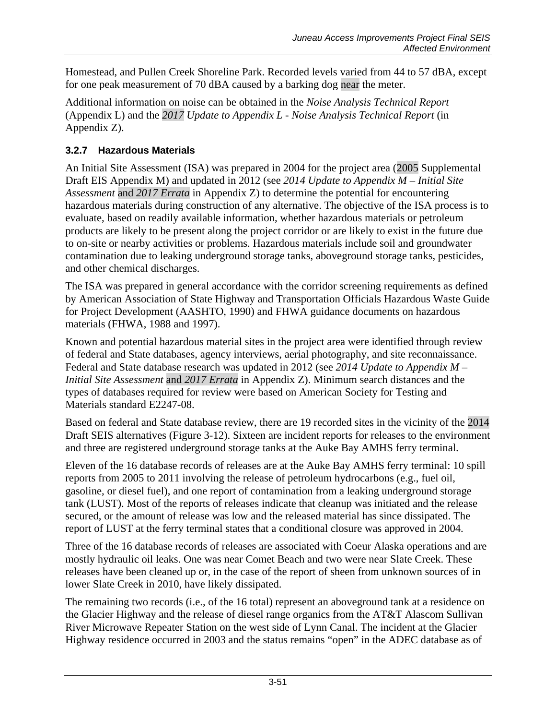Homestead, and Pullen Creek Shoreline Park. Recorded levels varied from 44 to 57 dBA, except for one peak measurement of 70 dBA caused by a barking dog near the meter.

Additional information on noise can be obtained in the *Noise Analysis Technical Report*  (Appendix L) and the *2017 Update to Appendix L - Noise Analysis Technical Report* (in Appendix Z).

# **3.2.7 Hazardous Materials**

An Initial Site Assessment (ISA) was prepared in 2004 for the project area (2005 Supplemental Draft EIS Appendix M) and updated in 2012 (see *2014 Update to Appendix M – Initial Site Assessment* and *2017 Errata* in Appendix Z) to determine the potential for encountering hazardous materials during construction of any alternative. The objective of the ISA process is to evaluate, based on readily available information, whether hazardous materials or petroleum products are likely to be present along the project corridor or are likely to exist in the future due to on-site or nearby activities or problems. Hazardous materials include soil and groundwater contamination due to leaking underground storage tanks, aboveground storage tanks, pesticides, and other chemical discharges.

The ISA was prepared in general accordance with the corridor screening requirements as defined by American Association of State Highway and Transportation Officials Hazardous Waste Guide for Project Development (AASHTO, 1990) and FHWA guidance documents on hazardous materials (FHWA, 1988 and 1997).

Known and potential hazardous material sites in the project area were identified through review of federal and State databases, agency interviews, aerial photography, and site reconnaissance. Federal and State database research was updated in 2012 (see *2014 Update to Appendix M – Initial Site Assessment* and *2017 Errata* in Appendix Z). Minimum search distances and the types of databases required for review were based on American Society for Testing and Materials standard E2247-08.

Based on federal and State database review, there are 19 recorded sites in the vicinity of the 2014 Draft SEIS alternatives (Figure 3-12). Sixteen are incident reports for releases to the environment and three are registered underground storage tanks at the Auke Bay AMHS ferry terminal.

Eleven of the 16 database records of releases are at the Auke Bay AMHS ferry terminal: 10 spill reports from 2005 to 2011 involving the release of petroleum hydrocarbons (e.g., fuel oil, gasoline, or diesel fuel), and one report of contamination from a leaking underground storage tank (LUST). Most of the reports of releases indicate that cleanup was initiated and the release secured, or the amount of release was low and the released material has since dissipated. The report of LUST at the ferry terminal states that a conditional closure was approved in 2004.

Three of the 16 database records of releases are associated with Coeur Alaska operations and are mostly hydraulic oil leaks. One was near Comet Beach and two were near Slate Creek. These releases have been cleaned up or, in the case of the report of sheen from unknown sources of in lower Slate Creek in 2010, have likely dissipated.

The remaining two records (i.e., of the 16 total) represent an aboveground tank at a residence on the Glacier Highway and the release of diesel range organics from the AT&T Alascom Sullivan River Microwave Repeater Station on the west side of Lynn Canal. The incident at the Glacier Highway residence occurred in 2003 and the status remains "open" in the ADEC database as of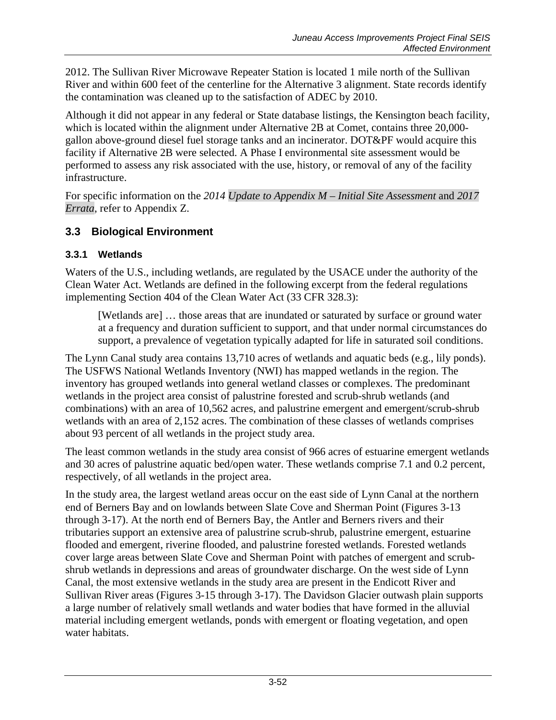2012. The Sullivan River Microwave Repeater Station is located 1 mile north of the Sullivan River and within 600 feet of the centerline for the Alternative 3 alignment. State records identify the contamination was cleaned up to the satisfaction of ADEC by 2010.

Although it did not appear in any federal or State database listings, the Kensington beach facility, which is located within the alignment under Alternative 2B at Comet, contains three 20,000 gallon above-ground diesel fuel storage tanks and an incinerator. DOT&PF would acquire this facility if Alternative 2B were selected. A Phase I environmental site assessment would be performed to assess any risk associated with the use, history, or removal of any of the facility infrastructure.

For specific information on the *2014 Update to Appendix M – Initial Site Assessment* and *2017 Errata*, refer to Appendix Z.

# **3.3 Biological Environment**

### <span id="page-51-0"></span>**3.3.1 Wetlands**

Waters of the U.S., including wetlands, are regulated by the USACE under the authority of the Clean Water Act. Wetlands are defined in the following excerpt from the federal regulations implementing Section 404 of the Clean Water Act (33 CFR 328.3):

[Wetlands are] ... those areas that are inundated or saturated by surface or ground water at a frequency and duration sufficient to support, and that under normal circumstances do support, a prevalence of vegetation typically adapted for life in saturated soil conditions.

The Lynn Canal study area contains 13,710 acres of wetlands and aquatic beds (e.g., lily ponds). The USFWS National Wetlands Inventory (NWI) has mapped wetlands in the region. The inventory has grouped wetlands into general wetland classes or complexes. The predominant wetlands in the project area consist of palustrine forested and scrub-shrub wetlands (and combinations) with an area of 10,562 acres, and palustrine emergent and emergent/scrub-shrub wetlands with an area of 2,152 acres. The combination of these classes of wetlands comprises about 93 percent of all wetlands in the project study area.

The least common wetlands in the study area consist of 966 acres of estuarine emergent wetlands and 30 acres of palustrine aquatic bed/open water. These wetlands comprise 7.1 and 0.2 percent, respectively, of all wetlands in the project area.

In the study area, the largest wetland areas occur on the east side of Lynn Canal at the northern end of Berners Bay and on lowlands between Slate Cove and Sherman Point (Figures 3-13 through 3-17). At the north end of Berners Bay, the Antler and Berners rivers and their tributaries support an extensive area of palustrine scrub-shrub, palustrine emergent, estuarine flooded and emergent, riverine flooded, and palustrine forested wetlands. Forested wetlands cover large areas between Slate Cove and Sherman Point with patches of emergent and scrubshrub wetlands in depressions and areas of groundwater discharge. On the west side of Lynn Canal, the most extensive wetlands in the study area are present in the Endicott River and Sullivan River areas (Figures 3-15 through 3-17). The Davidson Glacier outwash plain supports a large number of relatively small wetlands and water bodies that have formed in the alluvial material including emergent wetlands, ponds with emergent or floating vegetation, and open water habitats.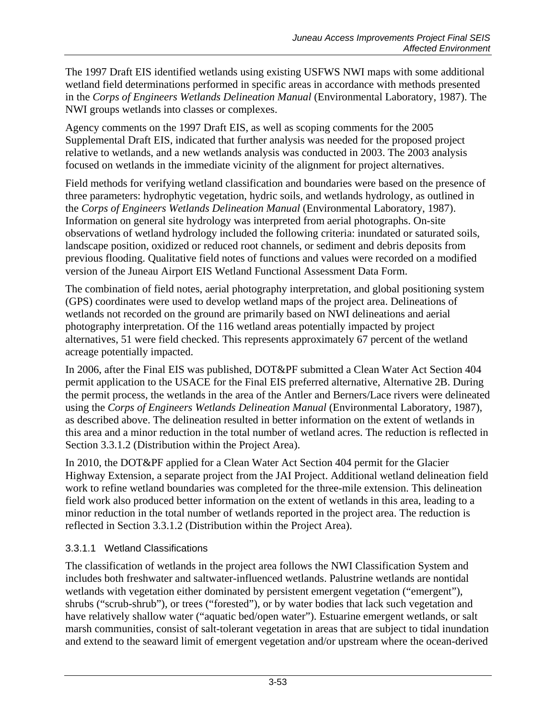The 1997 Draft EIS identified wetlands using existing USFWS NWI maps with some additional wetland field determinations performed in specific areas in accordance with methods presented in the *Corps of Engineers Wetlands Delineation Manual* (Environmental Laboratory, 1987). The NWI groups wetlands into classes or complexes.

Agency comments on the 1997 Draft EIS, as well as scoping comments for the 2005 Supplemental Draft EIS, indicated that further analysis was needed for the proposed project relative to wetlands, and a new wetlands analysis was conducted in 2003. The 2003 analysis focused on wetlands in the immediate vicinity of the alignment for project alternatives.

Field methods for verifying wetland classification and boundaries were based on the presence of three parameters: hydrophytic vegetation, hydric soils, and wetlands hydrology, as outlined in the *Corps of Engineers Wetlands Delineation Manual* (Environmental Laboratory, 1987). Information on general site hydrology was interpreted from aerial photographs. On-site observations of wetland hydrology included the following criteria: inundated or saturated soils, landscape position, oxidized or reduced root channels, or sediment and debris deposits from previous flooding. Qualitative field notes of functions and values were recorded on a modified version of the Juneau Airport EIS Wetland Functional Assessment Data Form.

The combination of field notes, aerial photography interpretation, and global positioning system (GPS) coordinates were used to develop wetland maps of the project area. Delineations of wetlands not recorded on the ground are primarily based on NWI delineations and aerial photography interpretation. Of the 116 wetland areas potentially impacted by project alternatives, 51 were field checked. This represents approximately 67 percent of the wetland acreage potentially impacted.

In 2006, after the Final EIS was published, DOT&PF submitted a Clean Water Act Section 404 permit application to the USACE for the Final EIS preferred alternative, Alternative 2B. During the permit process, the wetlands in the area of the Antler and Berners/Lace rivers were delineated using the *Corps of Engineers Wetlands Delineation Manual* (Environmental Laboratory, 1987), as described above. The delineation resulted in better information on the extent of wetlands in this area and a minor reduction in the total number of wetland acres. The reduction is reflected in Section [3.3.1.2](#page-54-0) (Distribution within the Project Area).

In 2010, the DOT&PF applied for a Clean Water Act Section 404 permit for the Glacier Highway Extension, a separate project from the JAI Project. Additional wetland delineation field work to refine wetland boundaries was completed for the three-mile extension. This delineation field work also produced better information on the extent of wetlands in this area, leading to a minor reduction in the total number of wetlands reported in the project area. The reduction is reflected in Section [3.3.1.2](#page-54-0) (Distribution within the Project Area).

### 3.3.1.1 Wetland Classifications

The classification of wetlands in the project area follows the NWI Classification System and includes both freshwater and saltwater-influenced wetlands. Palustrine wetlands are nontidal wetlands with vegetation either dominated by persistent emergent vegetation ("emergent"), shrubs ("scrub-shrub"), or trees ("forested"), or by water bodies that lack such vegetation and have relatively shallow water ("aquatic bed/open water"). Estuarine emergent wetlands, or salt marsh communities, consist of salt-tolerant vegetation in areas that are subject to tidal inundation and extend to the seaward limit of emergent vegetation and/or upstream where the ocean-derived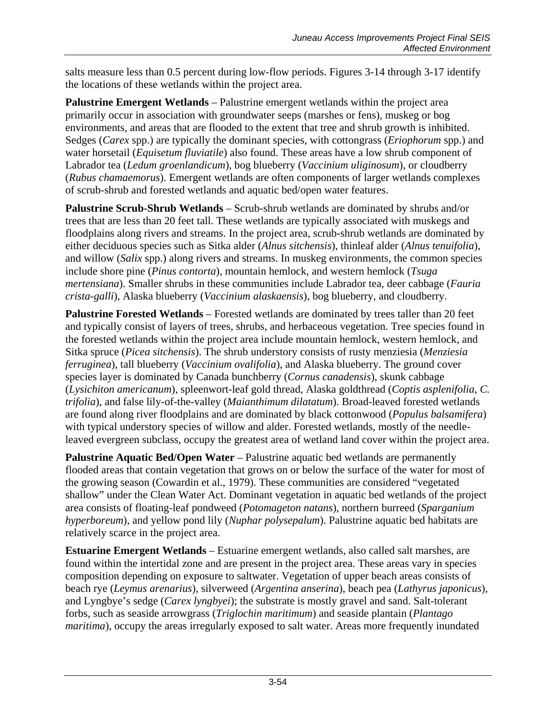salts measure less than 0.5 percent during low-flow periods. Figures 3-14 through 3-17 identify the locations of these wetlands within the project area.

**Palustrine Emergent Wetlands** – Palustrine emergent wetlands within the project area primarily occur in association with groundwater seeps (marshes or fens), muskeg or bog environments, and areas that are flooded to the extent that tree and shrub growth is inhibited. Sedges (*Carex* spp.) are typically the dominant species, with cottongrass (*Eriophorum* spp.) and water horsetail (*Equisetum fluviatile*) also found. These areas have a low shrub component of Labrador tea (*Ledum groenlandicum*), bog blueberry (*Vaccinium uliginosum*), or cloudberry (*Rubus chamaemorus*). Emergent wetlands are often components of larger wetlands complexes of scrub-shrub and forested wetlands and aquatic bed/open water features.

**Palustrine Scrub-Shrub Wetlands** – Scrub-shrub wetlands are dominated by shrubs and/or trees that are less than 20 feet tall. These wetlands are typically associated with muskegs and floodplains along rivers and streams. In the project area, scrub-shrub wetlands are dominated by either deciduous species such as Sitka alder (*Alnus sitchensis*), thinleaf alder (*Alnus tenuifolia*), and willow (*Salix* spp.) along rivers and streams. In muskeg environments, the common species include shore pine (*Pinus contorta*), mountain hemlock, and western hemlock (*Tsuga mertensiana*). Smaller shrubs in these communities include Labrador tea, deer cabbage (*Fauria crista-galli*), Alaska blueberry (*Vaccinium alaskaensis*), bog blueberry, and cloudberry.

**Palustrine Forested Wetlands** – Forested wetlands are dominated by trees taller than 20 feet and typically consist of layers of trees, shrubs, and herbaceous vegetation. Tree species found in the forested wetlands within the project area include mountain hemlock, western hemlock, and Sitka spruce (*Picea sitchensis*). The shrub understory consists of rusty menziesia (*Menziesia ferruginea*), tall blueberry (*Vaccinium ovalifolia*), and Alaska blueberry. The ground cover species layer is dominated by Canada bunchberry (*Cornus canadensis*), skunk cabbage (*Lysichiton americanum*), spleenwort-leaf gold thread, Alaska goldthread (*Coptis asplenifolia, C. trifolia*), and false lily-of-the-valley (*Maianthimum dilatatum*). Broad-leaved forested wetlands are found along river floodplains and are dominated by black cottonwood (*Populus balsamifera*) with typical understory species of willow and alder. Forested wetlands, mostly of the needleleaved evergreen subclass, occupy the greatest area of wetland land cover within the project area.

**Palustrine Aquatic Bed/Open Water** – Palustrine aquatic bed wetlands are permanently flooded areas that contain vegetation that grows on or below the surface of the water for most of the growing season (Cowardin et al., 1979). These communities are considered "vegetated shallow" under the Clean Water Act. Dominant vegetation in aquatic bed wetlands of the project area consists of floating-leaf pondweed (*Potomageton natans*), northern burreed (*Sparganium hyperboreum*), and yellow pond lily (*Nuphar polysepalum*). Palustrine aquatic bed habitats are relatively scarce in the project area.

**Estuarine Emergent Wetlands** – Estuarine emergent wetlands, also called salt marshes, are found within the intertidal zone and are present in the project area. These areas vary in species composition depending on exposure to saltwater. Vegetation of upper beach areas consists of beach rye (*Leymus arenarius*), silverweed (*Argentina anserina*), beach pea (*Lathyrus japonicus*), and Lyngbye's sedge (*Carex lyngbyei*); the substrate is mostly gravel and sand. Salt-tolerant forbs, such as seaside arrowgrass (*Triglochin maritimum*) and seaside plantain (*Plantago maritima*), occupy the areas irregularly exposed to salt water. Areas more frequently inundated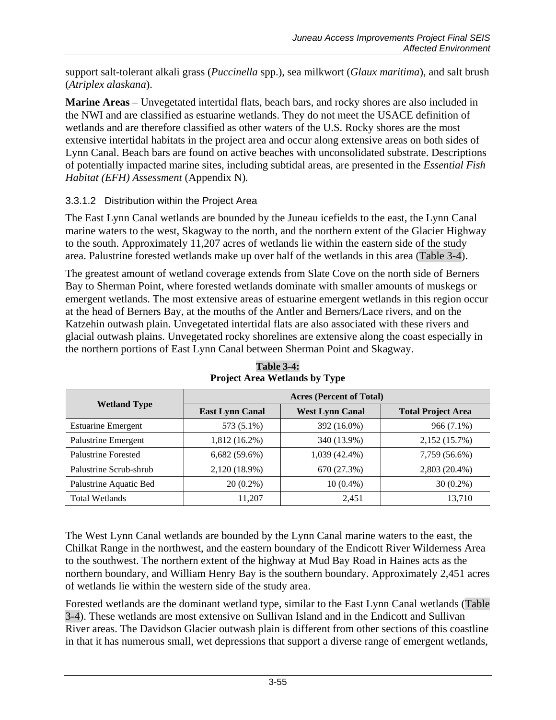support salt-tolerant alkali grass (*Puccinella* spp.), sea milkwort (*Glaux maritima*), and salt brush (*Atriplex alaskana*).

**Marine Areas** – Unvegetated intertidal flats, beach bars, and rocky shores are also included in the NWI and are classified as estuarine wetlands. They do not meet the USACE definition of wetlands and are therefore classified as other waters of the U.S. Rocky shores are the most extensive intertidal habitats in the project area and occur along extensive areas on both sides of Lynn Canal. Beach bars are found on active beaches with unconsolidated substrate. Descriptions of potentially impacted marine sites, including subtidal areas, are presented in the *Essential Fish Habitat (EFH) Assessment* (Appendix N)*.*

### <span id="page-54-0"></span>3.3.1.2 Distribution within the Project Area

The East Lynn Canal wetlands are bounded by the Juneau icefields to the east, the Lynn Canal marine waters to the west, Skagway to the north, and the northern extent of the Glacier Highway to the south. Approximately 11,207 acres of wetlands lie within the eastern side of the study area. Palustrine forested wetlands make up over half of the wetlands in this area [\(Table 3-4\)](#page-54-1).

The greatest amount of wetland coverage extends from Slate Cove on the north side of Berners Bay to Sherman Point, where forested wetlands dominate with smaller amounts of muskegs or emergent wetlands. The most extensive areas of estuarine emergent wetlands in this region occur at the head of Berners Bay, at the mouths of the Antler and Berners/Lace rivers, and on the Katzehin outwash plain. Unvegetated intertidal flats are also associated with these rivers and glacial outwash plains. Unvegetated rocky shorelines are extensive along the coast especially in the northern portions of East Lynn Canal between Sherman Point and Skagway.

<span id="page-54-1"></span>

| <b>Wetland Type</b>        | <b>Acres (Percent of Total)</b> |                        |                           |  |  |
|----------------------------|---------------------------------|------------------------|---------------------------|--|--|
|                            | <b>East Lynn Canal</b>          | <b>West Lynn Canal</b> | <b>Total Project Area</b> |  |  |
| <b>Estuarine Emergent</b>  | 573 (5.1%)                      | 392 (16.0%)            | 966 (7.1%)                |  |  |
| Palustrine Emergent        | 1,812 (16.2%)                   | 340 (13.9%)            | 2,152 (15.7%)             |  |  |
| <b>Palustrine Forested</b> | $6,682(59.6\%)$                 | 1,039 (42.4%)          | 7,759 (56.6%)             |  |  |
| Palustrine Scrub-shrub     | 2,120 (18.9%)                   | 670 (27.3%)            | 2,803 (20.4%)             |  |  |
| Palustrine Aquatic Bed     | $20(0.2\%)$                     | $10(0.4\%)$            | $30(0.2\%)$               |  |  |
| <b>Total Wetlands</b>      | 11.207                          | 2.451                  | 13,710                    |  |  |

**Table 3-4: Project Area Wetlands by Type**

The West Lynn Canal wetlands are bounded by the Lynn Canal marine waters to the east, the Chilkat Range in the northwest, and the eastern boundary of the Endicott River Wilderness Area to the southwest. The northern extent of the highway at Mud Bay Road in Haines acts as the northern boundary, and William Henry Bay is the southern boundary. Approximately 2,451 acres of wetlands lie within the western side of the study area.

Forested wetlands are the dominant wetland type, similar to the East Lynn Canal wetlands [\(Table](#page-54-1)  [3-4\)](#page-54-1). These wetlands are most extensive on Sullivan Island and in the Endicott and Sullivan River areas. The Davidson Glacier outwash plain is different from other sections of this coastline in that it has numerous small, wet depressions that support a diverse range of emergent wetlands,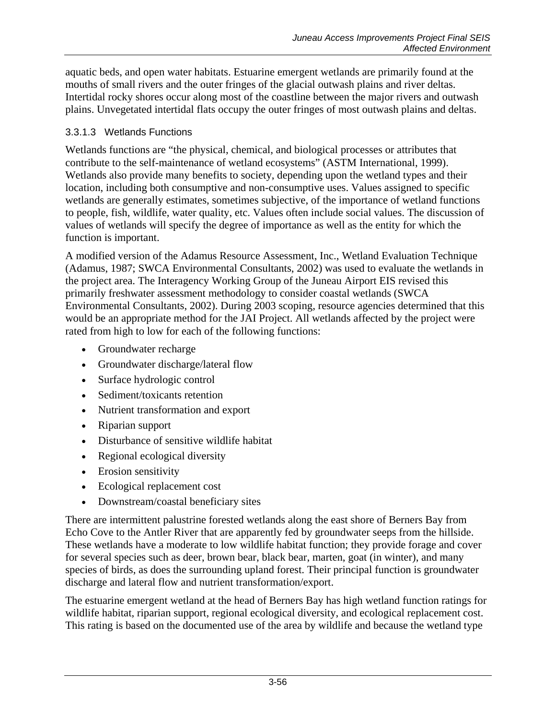aquatic beds, and open water habitats. Estuarine emergent wetlands are primarily found at the mouths of small rivers and the outer fringes of the glacial outwash plains and river deltas. Intertidal rocky shores occur along most of the coastline between the major rivers and outwash plains. Unvegetated intertidal flats occupy the outer fringes of most outwash plains and deltas.

#### 3.3.1.3 Wetlands Functions

Wetlands functions are "the physical, chemical, and biological processes or attributes that contribute to the self-maintenance of wetland ecosystems" (ASTM International, 1999). Wetlands also provide many benefits to society, depending upon the wetland types and their location, including both consumptive and non-consumptive uses. Values assigned to specific wetlands are generally estimates, sometimes subjective, of the importance of wetland functions to people, fish, wildlife, water quality, etc. Values often include social values. The discussion of values of wetlands will specify the degree of importance as well as the entity for which the function is important.

A modified version of the Adamus Resource Assessment, Inc., Wetland Evaluation Technique (Adamus, 1987; SWCA Environmental Consultants, 2002) was used to evaluate the wetlands in the project area. The Interagency Working Group of the Juneau Airport EIS revised this primarily freshwater assessment methodology to consider coastal wetlands (SWCA Environmental Consultants, 2002). During 2003 scoping, resource agencies determined that this would be an appropriate method for the JAI Project. All wetlands affected by the project were rated from high to low for each of the following functions:

- Groundwater recharge
- Groundwater discharge/lateral flow
- Surface hydrologic control
- Sediment/toxicants retention
- Nutrient transformation and export
- Riparian support
- Disturbance of sensitive wildlife habitat
- Regional ecological diversity
- Erosion sensitivity
- Ecological replacement cost
- Downstream/coastal beneficiary sites

There are intermittent palustrine forested wetlands along the east shore of Berners Bay from Echo Cove to the Antler River that are apparently fed by groundwater seeps from the hillside. These wetlands have a moderate to low wildlife habitat function; they provide forage and cover for several species such as deer, brown bear, black bear, marten, goat (in winter), and many species of birds, as does the surrounding upland forest. Their principal function is groundwater discharge and lateral flow and nutrient transformation/export.

The estuarine emergent wetland at the head of Berners Bay has high wetland function ratings for wildlife habitat, riparian support, regional ecological diversity, and ecological replacement cost. This rating is based on the documented use of the area by wildlife and because the wetland type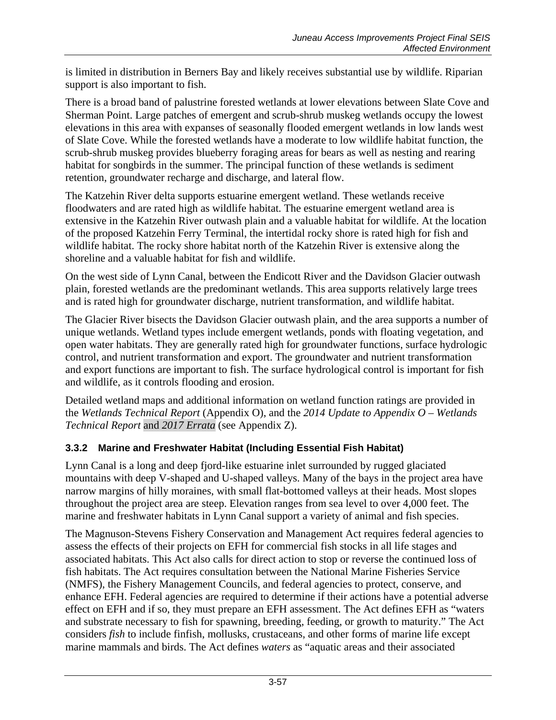is limited in distribution in Berners Bay and likely receives substantial use by wildlife. Riparian support is also important to fish.

There is a broad band of palustrine forested wetlands at lower elevations between Slate Cove and Sherman Point. Large patches of emergent and scrub-shrub muskeg wetlands occupy the lowest elevations in this area with expanses of seasonally flooded emergent wetlands in low lands west of Slate Cove. While the forested wetlands have a moderate to low wildlife habitat function, the scrub-shrub muskeg provides blueberry foraging areas for bears as well as nesting and rearing habitat for songbirds in the summer. The principal function of these wetlands is sediment retention, groundwater recharge and discharge, and lateral flow.

The Katzehin River delta supports estuarine emergent wetland. These wetlands receive floodwaters and are rated high as wildlife habitat. The estuarine emergent wetland area is extensive in the Katzehin River outwash plain and a valuable habitat for wildlife. At the location of the proposed Katzehin Ferry Terminal, the intertidal rocky shore is rated high for fish and wildlife habitat. The rocky shore habitat north of the Katzehin River is extensive along the shoreline and a valuable habitat for fish and wildlife.

On the west side of Lynn Canal, between the Endicott River and the Davidson Glacier outwash plain, forested wetlands are the predominant wetlands. This area supports relatively large trees and is rated high for groundwater discharge, nutrient transformation, and wildlife habitat.

The Glacier River bisects the Davidson Glacier outwash plain, and the area supports a number of unique wetlands. Wetland types include emergent wetlands, ponds with floating vegetation, and open water habitats. They are generally rated high for groundwater functions, surface hydrologic control, and nutrient transformation and export. The groundwater and nutrient transformation and export functions are important to fish. The surface hydrological control is important for fish and wildlife, as it controls flooding and erosion.

Detailed wetland maps and additional information on wetland function ratings are provided in the *Wetlands Technical Report* (Appendix O), and the *2014 Update to Appendix O – Wetlands Technical Report* and *2017 Errata* (see Appendix Z).

# <span id="page-56-0"></span>**3.3.2 Marine and Freshwater Habitat (Including Essential Fish Habitat)**

Lynn Canal is a long and deep fjord-like estuarine inlet surrounded by rugged glaciated mountains with deep V-shaped and U-shaped valleys. Many of the bays in the project area have narrow margins of hilly moraines, with small flat-bottomed valleys at their heads. Most slopes throughout the project area are steep. Elevation ranges from sea level to over 4,000 feet. The marine and freshwater habitats in Lynn Canal support a variety of animal and fish species.

The Magnuson-Stevens Fishery Conservation and Management Act requires federal agencies to assess the effects of their projects on EFH for commercial fish stocks in all life stages and associated habitats. This Act also calls for direct action to stop or reverse the continued loss of fish habitats. The Act requires consultation between the National Marine Fisheries Service (NMFS), the Fishery Management Councils, and federal agencies to protect, conserve, and enhance EFH. Federal agencies are required to determine if their actions have a potential adverse effect on EFH and if so, they must prepare an EFH assessment. The Act defines EFH as "waters and substrate necessary to fish for spawning, breeding, feeding, or growth to maturity." The Act considers *fish* to include finfish, mollusks, crustaceans, and other forms of marine life except marine mammals and birds. The Act defines *waters* as "aquatic areas and their associated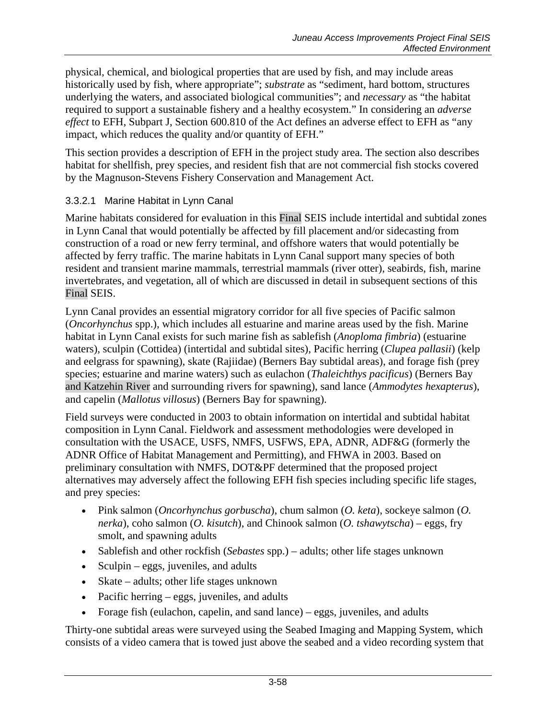physical, chemical, and biological properties that are used by fish, and may include areas historically used by fish, where appropriate"; *substrate* as "sediment, hard bottom, structures underlying the waters, and associated biological communities"; and *necessary* as "the habitat required to support a sustainable fishery and a healthy ecosystem." In considering an *adverse effect* to EFH, Subpart J, Section 600.810 of the Act defines an adverse effect to EFH as "any impact, which reduces the quality and/or quantity of EFH."

This section provides a description of EFH in the project study area. The section also describes habitat for shellfish, prey species, and resident fish that are not commercial fish stocks covered by the Magnuson-Stevens Fishery Conservation and Management Act.

### 3.3.2.1 Marine Habitat in Lynn Canal

Marine habitats considered for evaluation in this Final SEIS include intertidal and subtidal zones in Lynn Canal that would potentially be affected by fill placement and/or sidecasting from construction of a road or new ferry terminal, and offshore waters that would potentially be affected by ferry traffic. The marine habitats in Lynn Canal support many species of both resident and transient marine mammals, terrestrial mammals (river otter), seabirds, fish, marine invertebrates, and vegetation, all of which are discussed in detail in subsequent sections of this Final SEIS.

Lynn Canal provides an essential migratory corridor for all five species of Pacific salmon (*Oncorhynchus* spp.), which includes all estuarine and marine areas used by the fish. Marine habitat in Lynn Canal exists for such marine fish as sablefish (*Anoploma fimbria*) (estuarine waters), sculpin (Cottidea) (intertidal and subtidal sites), Pacific herring (*Clupea pallasii*) (kelp and eelgrass for spawning), skate (Rajiidae) (Berners Bay subtidal areas), and forage fish (prey species; estuarine and marine waters) such as eulachon (*Thaleichthys pacificus*) (Berners Bay and Katzehin River and surrounding rivers for spawning), sand lance (*Ammodytes hexapterus*), and capelin (*Mallotus villosus*) (Berners Bay for spawning).

Field surveys were conducted in 2003 to obtain information on intertidal and subtidal habitat composition in Lynn Canal. Fieldwork and assessment methodologies were developed in consultation with the USACE, USFS, NMFS, USFWS, EPA, ADNR, ADF&G (formerly the ADNR Office of Habitat Management and Permitting), and FHWA in 2003. Based on preliminary consultation with NMFS, DOT&PF determined that the proposed project alternatives may adversely affect the following EFH fish species including specific life stages, and prey species:

- Pink salmon (*Oncorhynchus gorbuscha*), chum salmon (*O. keta*), sockeye salmon (*O. nerka*), coho salmon (*O. kisutch*), and Chinook salmon (*O. tshawytscha*) – eggs, fry smolt, and spawning adults
- Sablefish and other rockfish (*Sebastes* spp.) adults; other life stages unknown
- Sculpin eggs, juveniles, and adults
- Skate adults; other life stages unknown
- Pacific herring eggs, juveniles, and adults
- Forage fish (eulachon, capelin, and sand lance) eggs, juveniles, and adults

Thirty-one subtidal areas were surveyed using the Seabed Imaging and Mapping System, which consists of a video camera that is towed just above the seabed and a video recording system that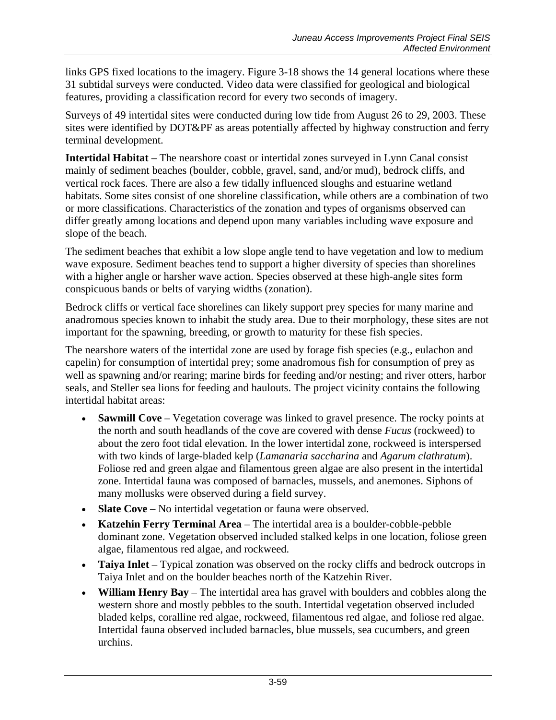links GPS fixed locations to the imagery. Figure 3-18 shows the 14 general locations where these 31 subtidal surveys were conducted. Video data were classified for geological and biological features, providing a classification record for every two seconds of imagery.

Surveys of 49 intertidal sites were conducted during low tide from August 26 to 29, 2003. These sites were identified by DOT&PF as areas potentially affected by highway construction and ferry terminal development.

Intertidal Habitat – The nearshore coast or intertidal zones surveyed in Lynn Canal consist mainly of sediment beaches (boulder, cobble, gravel, sand, and/or mud), bedrock cliffs, and vertical rock faces. There are also a few tidally influenced sloughs and estuarine wetland habitats. Some sites consist of one shoreline classification, while others are a combination of two or more classifications. Characteristics of the zonation and types of organisms observed can differ greatly among locations and depend upon many variables including wave exposure and slope of the beach.

The sediment beaches that exhibit a low slope angle tend to have vegetation and low to medium wave exposure. Sediment beaches tend to support a higher diversity of species than shorelines with a higher angle or harsher wave action. Species observed at these high-angle sites form conspicuous bands or belts of varying widths (zonation).

Bedrock cliffs or vertical face shorelines can likely support prey species for many marine and anadromous species known to inhabit the study area. Due to their morphology, these sites are not important for the spawning, breeding, or growth to maturity for these fish species.

The nearshore waters of the intertidal zone are used by forage fish species (e.g., eulachon and capelin) for consumption of intertidal prey; some anadromous fish for consumption of prey as well as spawning and/or rearing; marine birds for feeding and/or nesting; and river otters, harbor seals, and Steller sea lions for feeding and haulouts. The project vicinity contains the following intertidal habitat areas:

- **Sawmill Cove** Vegetation coverage was linked to gravel presence. The rocky points at the north and south headlands of the cove are covered with dense *Fucus* (rockweed) to about the zero foot tidal elevation. In the lower intertidal zone, rockweed is interspersed with two kinds of large-bladed kelp (*Lamanaria saccharina* and *Agarum clathratum*). Foliose red and green algae and filamentous green algae are also present in the intertidal zone. Intertidal fauna was composed of barnacles, mussels, and anemones. Siphons of many mollusks were observed during a field survey.
- **Slate Cove** No intertidal vegetation or fauna were observed.
- **Katzehin Ferry Terminal Area**  The intertidal area is a boulder-cobble-pebble dominant zone. Vegetation observed included stalked kelps in one location, foliose green algae, filamentous red algae, and rockweed.
- **Taiya Inlet** Typical zonation was observed on the rocky cliffs and bedrock outcrops in Taiya Inlet and on the boulder beaches north of the Katzehin River.
- **William Henry Bay** The intertidal area has gravel with boulders and cobbles along the western shore and mostly pebbles to the south. Intertidal vegetation observed included bladed kelps, coralline red algae, rockweed, filamentous red algae, and foliose red algae. Intertidal fauna observed included barnacles, blue mussels, sea cucumbers, and green urchins.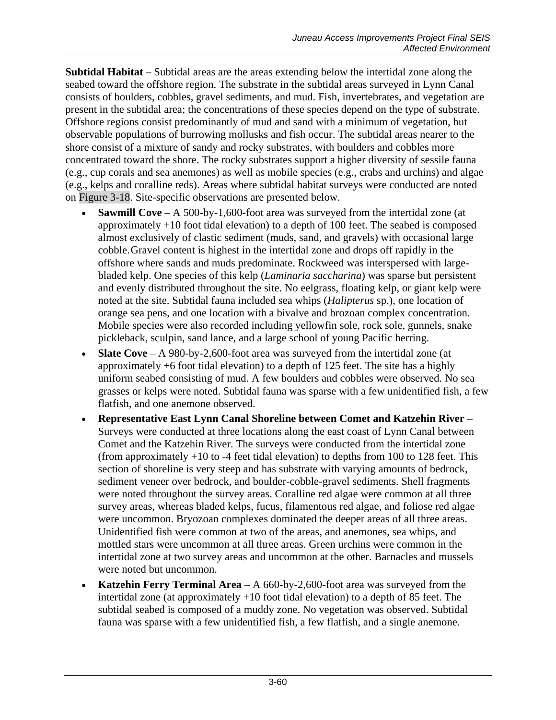**Subtidal Habitat** – Subtidal areas are the areas extending below the intertidal zone along the seabed toward the offshore region. The substrate in the subtidal areas surveyed in Lynn Canal consists of boulders, cobbles, gravel sediments, and mud. Fish, invertebrates, and vegetation are present in the subtidal area; the concentrations of these species depend on the type of substrate. Offshore regions consist predominantly of mud and sand with a minimum of vegetation, but observable populations of burrowing mollusks and fish occur. The subtidal areas nearer to the shore consist of a mixture of sandy and rocky substrates, with boulders and cobbles more concentrated toward the shore. The rocky substrates support a higher diversity of sessile fauna (e.g., cup corals and sea anemones) as well as mobile species (e.g., crabs and urchins) and algae (e.g., kelps and coralline reds). Areas where subtidal habitat surveys were conducted are noted on Figure 3-18. Site-specific observations are presented below.

- **Sawmill Cove** A 500-by-1,600-foot area was surveyed from the intertidal zone (at approximately +10 foot tidal elevation) to a depth of 100 feet. The seabed is composed almost exclusively of clastic sediment (muds, sand, and gravels) with occasional large cobble.Gravel content is highest in the intertidal zone and drops off rapidly in the offshore where sands and muds predominate. Rockweed was interspersed with largebladed kelp. One species of this kelp (*Laminaria saccharina*) was sparse but persistent and evenly distributed throughout the site. No eelgrass, floating kelp, or giant kelp were noted at the site. Subtidal fauna included sea whips (*Halipterus* sp.), one location of orange sea pens, and one location with a bivalve and brozoan complex concentration. Mobile species were also recorded including yellowfin sole, rock sole, gunnels, snake pickleback, sculpin, sand lance, and a large school of young Pacific herring.
- **Slate Cove** A 980-by-2,600-foot area was surveyed from the intertidal zone (at approximately +6 foot tidal elevation) to a depth of 125 feet. The site has a highly uniform seabed consisting of mud. A few boulders and cobbles were observed. No sea grasses or kelps were noted. Subtidal fauna was sparse with a few unidentified fish, a few flatfish, and one anemone observed.
- **Representative East Lynn Canal Shoreline between Comet and Katzehin River** Surveys were conducted at three locations along the east coast of Lynn Canal between Comet and the Katzehin River. The surveys were conducted from the intertidal zone (from approximately  $+10$  to  $-4$  feet tidal elevation) to depths from 100 to 128 feet. This section of shoreline is very steep and has substrate with varying amounts of bedrock, sediment veneer over bedrock, and boulder-cobble-gravel sediments. Shell fragments were noted throughout the survey areas. Coralline red algae were common at all three survey areas, whereas bladed kelps, fucus, filamentous red algae, and foliose red algae were uncommon. Bryozoan complexes dominated the deeper areas of all three areas. Unidentified fish were common at two of the areas, and anemones, sea whips, and mottled stars were uncommon at all three areas. Green urchins were common in the intertidal zone at two survey areas and uncommon at the other. Barnacles and mussels were noted but uncommon.
- **Katzehin Ferry Terminal Area**  A 660-by-2,600-foot area was surveyed from the intertidal zone (at approximately +10 foot tidal elevation) to a depth of 85 feet. The subtidal seabed is composed of a muddy zone. No vegetation was observed. Subtidal fauna was sparse with a few unidentified fish, a few flatfish, and a single anemone.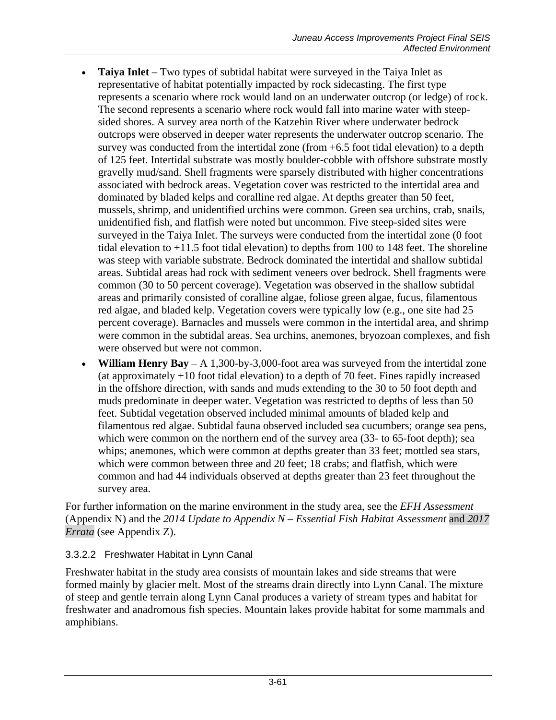- **Taiya Inlet** Two types of subtidal habitat were surveyed in the Taiya Inlet as representative of habitat potentially impacted by rock sidecasting. The first type represents a scenario where rock would land on an underwater outcrop (or ledge) of rock. The second represents a scenario where rock would fall into marine water with steepsided shores. A survey area north of the Katzehin River where underwater bedrock outcrops were observed in deeper water represents the underwater outcrop scenario. The survey was conducted from the intertidal zone (from +6.5 foot tidal elevation) to a depth of 125 feet. Intertidal substrate was mostly boulder-cobble with offshore substrate mostly gravelly mud/sand. Shell fragments were sparsely distributed with higher concentrations associated with bedrock areas. Vegetation cover was restricted to the intertidal area and dominated by bladed kelps and coralline red algae. At depths greater than 50 feet, mussels, shrimp, and unidentified urchins were common. Green sea urchins, crab, snails, unidentified fish, and flatfish were noted but uncommon. Five steep-sided sites were surveyed in the Taiya Inlet. The surveys were conducted from the intertidal zone (0 foot tidal elevation to +11.5 foot tidal elevation) to depths from 100 to 148 feet. The shoreline was steep with variable substrate. Bedrock dominated the intertidal and shallow subtidal areas. Subtidal areas had rock with sediment veneers over bedrock. Shell fragments were common (30 to 50 percent coverage). Vegetation was observed in the shallow subtidal areas and primarily consisted of coralline algae, foliose green algae, fucus, filamentous red algae, and bladed kelp. Vegetation covers were typically low (e.g., one site had 25 percent coverage). Barnacles and mussels were common in the intertidal area, and shrimp were common in the subtidal areas. Sea urchins, anemones, bryozoan complexes, and fish were observed but were not common.
- **William Henry Bay** A 1,300-by-3,000-foot area was surveyed from the intertidal zone (at approximately +10 foot tidal elevation) to a depth of 70 feet. Fines rapidly increased in the offshore direction, with sands and muds extending to the 30 to 50 foot depth and muds predominate in deeper water. Vegetation was restricted to depths of less than 50 feet. Subtidal vegetation observed included minimal amounts of bladed kelp and filamentous red algae. Subtidal fauna observed included sea cucumbers; orange sea pens, which were common on the northern end of the survey area (33- to 65-foot depth); sea whips; anemones, which were common at depths greater than 33 feet; mottled sea stars, which were common between three and 20 feet; 18 crabs; and flatfish, which were common and had 44 individuals observed at depths greater than 23 feet throughout the survey area.

For further information on the marine environment in the study area, see the *EFH Assessment*  (Appendix N) and the *2014 Update to Appendix N – Essential Fish Habitat Assessment* and *2017 Errata* (see Appendix Z).

#### 3.3.2.2 Freshwater Habitat in Lynn Canal

Freshwater habitat in the study area consists of mountain lakes and side streams that were formed mainly by glacier melt. Most of the streams drain directly into Lynn Canal. The mixture of steep and gentle terrain along Lynn Canal produces a variety of stream types and habitat for freshwater and anadromous fish species. Mountain lakes provide habitat for some mammals and amphibians.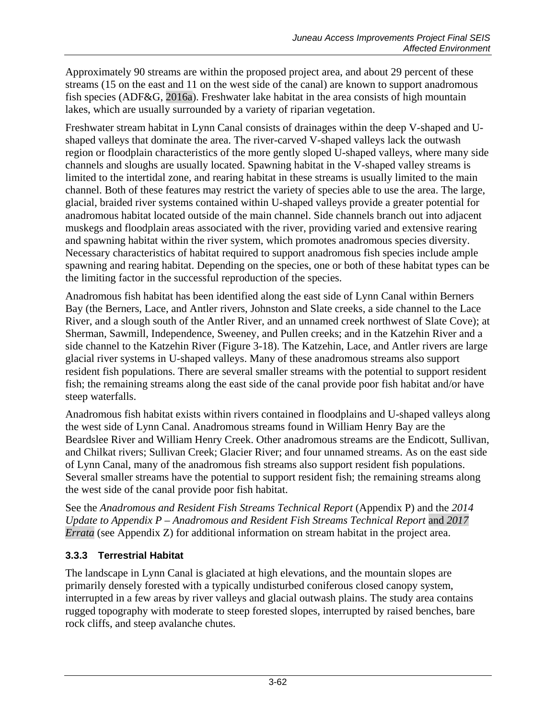Approximately 90 streams are within the proposed project area, and about 29 percent of these streams (15 on the east and 11 on the west side of the canal) are known to support anadromous fish species (ADF&G, 2016a). Freshwater lake habitat in the area consists of high mountain lakes, which are usually surrounded by a variety of riparian vegetation.

Freshwater stream habitat in Lynn Canal consists of drainages within the deep V-shaped and Ushaped valleys that dominate the area. The river-carved V-shaped valleys lack the outwash region or floodplain characteristics of the more gently sloped U-shaped valleys, where many side channels and sloughs are usually located. Spawning habitat in the V-shaped valley streams is limited to the intertidal zone, and rearing habitat in these streams is usually limited to the main channel. Both of these features may restrict the variety of species able to use the area. The large, glacial, braided river systems contained within U-shaped valleys provide a greater potential for anadromous habitat located outside of the main channel. Side channels branch out into adjacent muskegs and floodplain areas associated with the river, providing varied and extensive rearing and spawning habitat within the river system, which promotes anadromous species diversity. Necessary characteristics of habitat required to support anadromous fish species include ample spawning and rearing habitat. Depending on the species, one or both of these habitat types can be the limiting factor in the successful reproduction of the species.

Anadromous fish habitat has been identified along the east side of Lynn Canal within Berners Bay (the Berners, Lace, and Antler rivers, Johnston and Slate creeks, a side channel to the Lace River, and a slough south of the Antler River, and an unnamed creek northwest of Slate Cove); at Sherman, Sawmill, Independence, Sweeney, and Pullen creeks; and in the Katzehin River and a side channel to the Katzehin River (Figure 3-18). The Katzehin, Lace, and Antler rivers are large glacial river systems in U-shaped valleys. Many of these anadromous streams also support resident fish populations. There are several smaller streams with the potential to support resident fish; the remaining streams along the east side of the canal provide poor fish habitat and/or have steep waterfalls.

Anadromous fish habitat exists within rivers contained in floodplains and U-shaped valleys along the west side of Lynn Canal. Anadromous streams found in William Henry Bay are the Beardslee River and William Henry Creek. Other anadromous streams are the Endicott, Sullivan, and Chilkat rivers; Sullivan Creek; Glacier River; and four unnamed streams. As on the east side of Lynn Canal, many of the anadromous fish streams also support resident fish populations. Several smaller streams have the potential to support resident fish; the remaining streams along the west side of the canal provide poor fish habitat.

See the *Anadromous and Resident Fish Streams Technical Report* (Appendix P) and the *2014 Update to Appendix P – Anadromous and Resident Fish Streams Technical Report* and *2017 Errata* (see Appendix Z) for additional information on stream habitat in the project area.

### **3.3.3 Terrestrial Habitat**

The landscape in Lynn Canal is glaciated at high elevations, and the mountain slopes are primarily densely forested with a typically undisturbed coniferous closed canopy system, interrupted in a few areas by river valleys and glacial outwash plains. The study area contains rugged topography with moderate to steep forested slopes, interrupted by raised benches, bare rock cliffs, and steep avalanche chutes.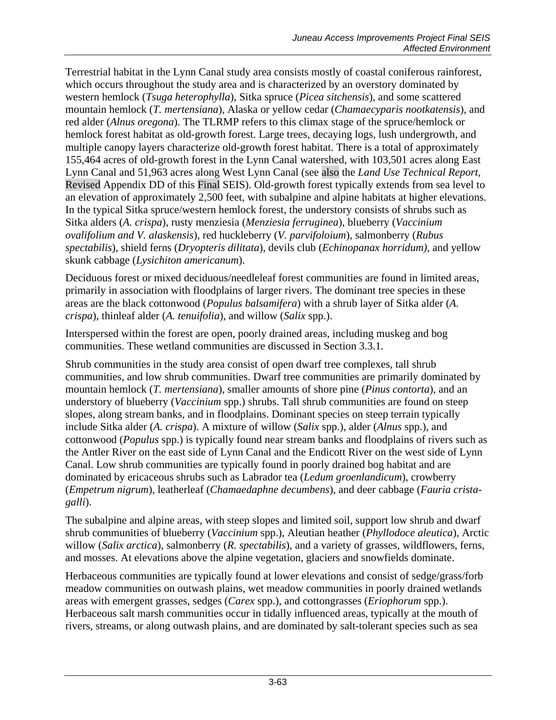Terrestrial habitat in the Lynn Canal study area consists mostly of coastal coniferous rainforest, which occurs throughout the study area and is characterized by an overstory dominated by western hemlock (*Tsuga heterophylla*), Sitka spruce (*Picea sitchensis*), and some scattered mountain hemlock (*T. mertensiana*), Alaska or yellow cedar (*Chamaecyparis nootkatensis*), and red alder (*Alnus oregona*). The TLRMP refers to this climax stage of the spruce/hemlock or hemlock forest habitat as old-growth forest. Large trees, decaying logs, lush undergrowth, and multiple canopy layers characterize old-growth forest habitat. There is a total of approximately 155,464 acres of old-growth forest in the Lynn Canal watershed, with 103,501 acres along East Lynn Canal and 51,963 acres along West Lynn Canal (see also the *Land Use Technical Report,* Revised Appendix DD of this Final SEIS). Old-growth forest typically extends from sea level to an elevation of approximately 2,500 feet, with subalpine and alpine habitats at higher elevations. In the typical Sitka spruce/western hemlock forest, the understory consists of shrubs such as Sitka alders (*A. crispa*), rusty menziesia (*Menziesia ferruginea*), blueberry (*Vaccinium ovalifolium and V. alaskensis*), red huckleberry (*V. parvifoloium*), salmonberry (*Rubus spectabilis*), shield ferns (*Dryopteris dilitata*), devils club (*Echinopanax horridum)*, and yellow skunk cabbage (*Lysichiton americanum*).

Deciduous forest or mixed deciduous/needleleaf forest communities are found in limited areas, primarily in association with floodplains of larger rivers. The dominant tree species in these areas are the black cottonwood (*Populus balsamifera*) with a shrub layer of Sitka alder (*A. crispa*), thinleaf alder (*A. tenuifolia*), and willow (*Salix* spp.).

Interspersed within the forest are open, poorly drained areas, including muskeg and bog communities. These wetland communities are discussed in Section [3.3.1](#page-51-0)*.*

Shrub communities in the study area consist of open dwarf tree complexes, tall shrub communities, and low shrub communities. Dwarf tree communities are primarily dominated by mountain hemlock (*T. mertensiana*), smaller amounts of shore pine (*Pinus contorta*), and an understory of blueberry (*Vaccinium* spp.) shrubs. Tall shrub communities are found on steep slopes, along stream banks, and in floodplains. Dominant species on steep terrain typically include Sitka alder (*A. crispa*). A mixture of willow (*Salix* spp.), alder (*Alnus* spp.), and cottonwood (*Populus* spp.) is typically found near stream banks and floodplains of rivers such as the Antler River on the east side of Lynn Canal and the Endicott River on the west side of Lynn Canal. Low shrub communities are typically found in poorly drained bog habitat and are dominated by ericaceous shrubs such as Labrador tea (*Ledum groenlandicum*), crowberry (*Empetrum nigrum*), leatherleaf (*Chamaedaphne decumbens*), and deer cabbage (*Fauria cristagalli*).

The subalpine and alpine areas, with steep slopes and limited soil, support low shrub and dwarf shrub communities of blueberry (*Vaccinium* spp.), Aleutian heather (*Phyllodoce aleutica*), Arctic willow (*Salix arctica*), salmonberry (*R. spectabilis*), and a variety of grasses, wildflowers, ferns, and mosses. At elevations above the alpine vegetation, glaciers and snowfields dominate.

Herbaceous communities are typically found at lower elevations and consist of sedge/grass/forb meadow communities on outwash plains, wet meadow communities in poorly drained wetlands areas with emergent grasses, sedges (*Carex* spp.), and cottongrasses (*Eriophorum* spp.). Herbaceous salt marsh communities occur in tidally influenced areas, typically at the mouth of rivers, streams, or along outwash plains, and are dominated by salt-tolerant species such as sea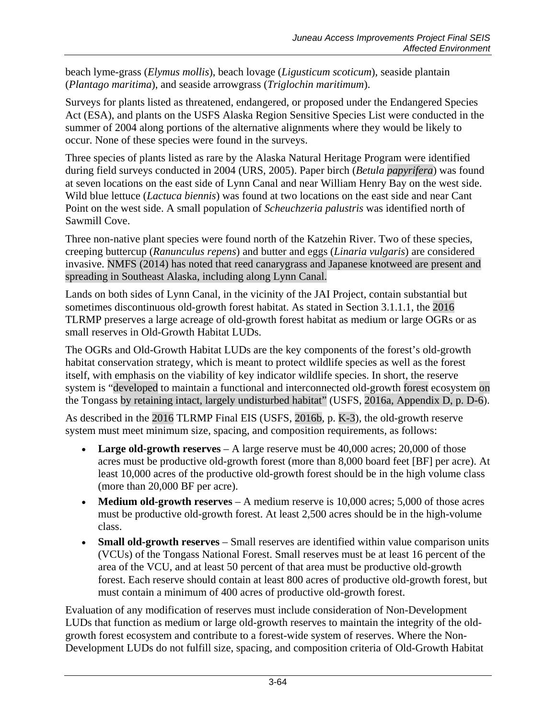beach lyme-grass (*Elymus mollis*), beach lovage (*Ligusticum scoticum*), seaside plantain (*Plantago maritima*), and seaside arrowgrass (*Triglochin maritimum*).

Surveys for plants listed as threatened, endangered, or proposed under the Endangered Species Act (ESA), and plants on the USFS Alaska Region Sensitive Species List were conducted in the summer of 2004 along portions of the alternative alignments where they would be likely to occur. None of these species were found in the surveys.

Three species of plants listed as rare by the Alaska Natural Heritage Program were identified during field surveys conducted in 2004 (URS, 2005). Paper birch (*Betula papyrifera*) was found at seven locations on the east side of Lynn Canal and near William Henry Bay on the west side. Wild blue lettuce (*Lactuca biennis*) was found at two locations on the east side and near Cant Point on the west side. A small population of *Scheuchzeria palustris* was identified north of Sawmill Cove.

Three non-native plant species were found north of the Katzehin River. Two of these species, creeping buttercup (*Ranunculus repens*) and butter and eggs (*Linaria vulgaris*) are considered invasive. NMFS (2014) has noted that reed canarygrass and Japanese knotweed are present and spreading in Southeast Alaska, including along Lynn Canal.

Lands on both sides of Lynn Canal, in the vicinity of the JAI Project, contain substantial but sometimes discontinuous old-growth forest habitat. As stated in Section [3.1.1.1,](#page-0-0) the 2016 TLRMP preserves a large acreage of old-growth forest habitat as medium or large OGRs or as small reserves in Old-Growth Habitat LUDs.

The OGRs and Old-Growth Habitat LUDs are the key components of the forest's old-growth habitat conservation strategy, which is meant to protect wildlife species as well as the forest itself, with emphasis on the viability of key indicator wildlife species. In short, the reserve system is "developed to maintain a functional and interconnected old-growth forest ecosystem on the Tongass by retaining intact, largely undisturbed habitat" (USFS, 2016a, Appendix D, p. D-6).

As described in the 2016 TLRMP Final EIS (USFS, 2016b, p. K-3), the old-growth reserve system must meet minimum size, spacing, and composition requirements, as follows:

- **Large old-growth reserves** A large reserve must be 40,000 acres; 20,000 of those acres must be productive old-growth forest (more than 8,000 board feet [BF] per acre). At least 10,000 acres of the productive old-growth forest should be in the high volume class (more than 20,000 BF per acre).
- **Medium old-growth reserves** A medium reserve is 10,000 acres; 5,000 of those acres must be productive old-growth forest. At least 2,500 acres should be in the high-volume class.
- **Small old-growth reserves** Small reserves are identified within value comparison units (VCUs) of the Tongass National Forest. Small reserves must be at least 16 percent of the area of the VCU, and at least 50 percent of that area must be productive old-growth forest. Each reserve should contain at least 800 acres of productive old-growth forest, but must contain a minimum of 400 acres of productive old-growth forest.

Evaluation of any modification of reserves must include consideration of Non-Development LUDs that function as medium or large old-growth reserves to maintain the integrity of the oldgrowth forest ecosystem and contribute to a forest-wide system of reserves. Where the Non-Development LUDs do not fulfill size, spacing, and composition criteria of Old-Growth Habitat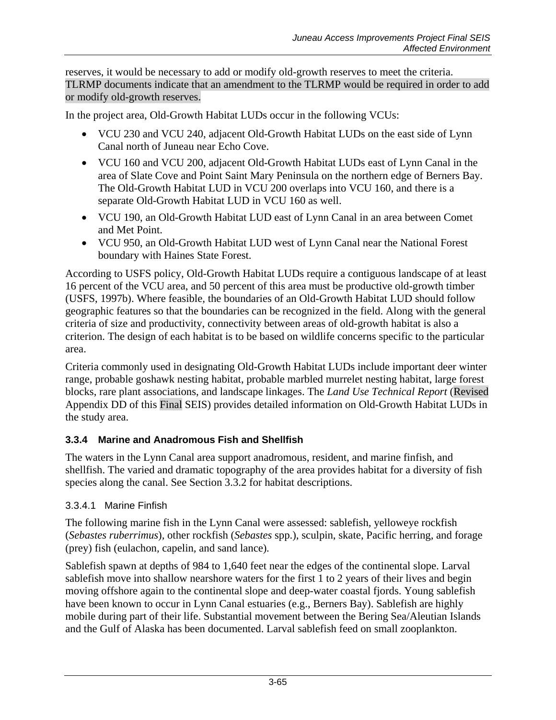reserves, it would be necessary to add or modify old-growth reserves to meet the criteria. TLRMP documents indicate that an amendment to the TLRMP would be required in order to add or modify old-growth reserves.

In the project area, Old-Growth Habitat LUDs occur in the following VCUs:

- VCU 230 and VCU 240, adjacent Old-Growth Habitat LUDs on the east side of Lynn Canal north of Juneau near Echo Cove.
- VCU 160 and VCU 200, adjacent Old-Growth Habitat LUDs east of Lynn Canal in the area of Slate Cove and Point Saint Mary Peninsula on the northern edge of Berners Bay. The Old-Growth Habitat LUD in VCU 200 overlaps into VCU 160, and there is a separate Old-Growth Habitat LUD in VCU 160 as well.
- VCU 190, an Old-Growth Habitat LUD east of Lynn Canal in an area between Comet and Met Point.
- VCU 950, an Old-Growth Habitat LUD west of Lynn Canal near the National Forest boundary with Haines State Forest.

According to USFS policy, Old-Growth Habitat LUDs require a contiguous landscape of at least 16 percent of the VCU area, and 50 percent of this area must be productive old-growth timber (USFS, 1997b). Where feasible, the boundaries of an Old-Growth Habitat LUD should follow geographic features so that the boundaries can be recognized in the field. Along with the general criteria of size and productivity, connectivity between areas of old-growth habitat is also a criterion. The design of each habitat is to be based on wildlife concerns specific to the particular area.

Criteria commonly used in designating Old-Growth Habitat LUDs include important deer winter range, probable goshawk nesting habitat, probable marbled murrelet nesting habitat, large forest blocks, rare plant associations, and landscape linkages. The *Land Use Technical Report* (Revised Appendix DD of this Final SEIS) provides detailed information on Old-Growth Habitat LUDs in the study area.

### **3.3.4 Marine and Anadromous Fish and Shellfish**

The waters in the Lynn Canal area support anadromous, resident, and marine finfish, and shellfish. The varied and dramatic topography of the area provides habitat for a diversity of fish species along the canal. See Section [3.3.2](#page-56-0) for habitat descriptions.

#### 3.3.4.1 Marine Finfish

The following marine fish in the Lynn Canal were assessed: sablefish*,* yelloweye rockfish (*Sebastes ruberrimus*)*,* other rockfish (*Sebastes* spp.), sculpin, skate, Pacific herring*,* and forage (prey) fish (eulachon*,* capelin*,* and sand lance)*.*

Sablefish spawn at depths of 984 to 1,640 feet near the edges of the continental slope. Larval sablefish move into shallow nearshore waters for the first 1 to 2 years of their lives and begin moving offshore again to the continental slope and deep-water coastal fjords. Young sablefish have been known to occur in Lynn Canal estuaries (e.g., Berners Bay). Sablefish are highly mobile during part of their life. Substantial movement between the Bering Sea/Aleutian Islands and the Gulf of Alaska has been documented. Larval sablefish feed on small zooplankton.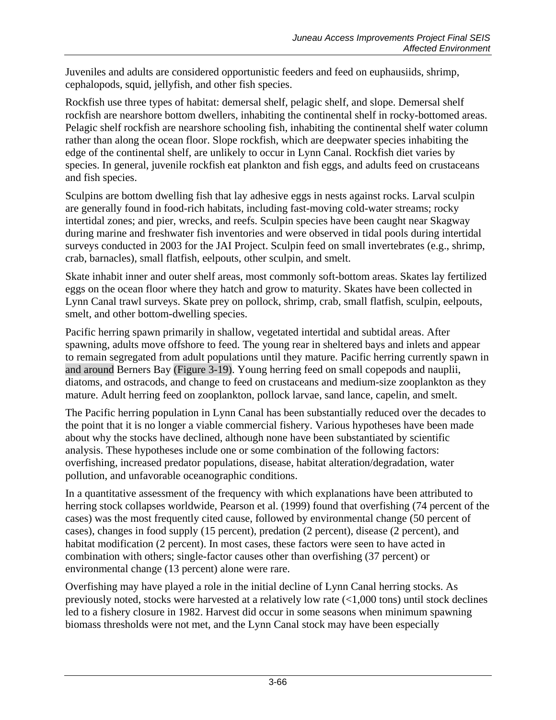Juveniles and adults are considered opportunistic feeders and feed on euphausiids, shrimp, cephalopods, squid, jellyfish, and other fish species.

Rockfish use three types of habitat: demersal shelf, pelagic shelf, and slope. Demersal shelf rockfish are nearshore bottom dwellers, inhabiting the continental shelf in rocky-bottomed areas. Pelagic shelf rockfish are nearshore schooling fish, inhabiting the continental shelf water column rather than along the ocean floor. Slope rockfish, which are deepwater species inhabiting the edge of the continental shelf, are unlikely to occur in Lynn Canal. Rockfish diet varies by species. In general, juvenile rockfish eat plankton and fish eggs, and adults feed on crustaceans and fish species.

Sculpins are bottom dwelling fish that lay adhesive eggs in nests against rocks. Larval sculpin are generally found in food-rich habitats, including fast-moving cold-water streams; rocky intertidal zones; and pier, wrecks, and reefs. Sculpin species have been caught near Skagway during marine and freshwater fish inventories and were observed in tidal pools during intertidal surveys conducted in 2003 for the JAI Project. Sculpin feed on small invertebrates (e.g., shrimp, crab, barnacles), small flatfish, eelpouts, other sculpin, and smelt.

Skate inhabit inner and outer shelf areas, most commonly soft-bottom areas. Skates lay fertilized eggs on the ocean floor where they hatch and grow to maturity. Skates have been collected in Lynn Canal trawl surveys. Skate prey on pollock, shrimp, crab, small flatfish, sculpin, eelpouts, smelt, and other bottom-dwelling species.

Pacific herring spawn primarily in shallow, vegetated intertidal and subtidal areas. After spawning, adults move offshore to feed. The young rear in sheltered bays and inlets and appear to remain segregated from adult populations until they mature. Pacific herring currently spawn in and around Berners Bay (Figure 3-19). Young herring feed on small copepods and nauplii, diatoms, and ostracods, and change to feed on crustaceans and medium-size zooplankton as they mature. Adult herring feed on zooplankton, pollock larvae, sand lance, capelin, and smelt.

The Pacific herring population in Lynn Canal has been substantially reduced over the decades to the point that it is no longer a viable commercial fishery. Various hypotheses have been made about why the stocks have declined, although none have been substantiated by scientific analysis. These hypotheses include one or some combination of the following factors: overfishing, increased predator populations, disease, habitat alteration/degradation, water pollution, and unfavorable oceanographic conditions.

In a quantitative assessment of the frequency with which explanations have been attributed to herring stock collapses worldwide, Pearson et al. (1999) found that overfishing (74 percent of the cases) was the most frequently cited cause, followed by environmental change (50 percent of cases), changes in food supply (15 percent), predation (2 percent), disease (2 percent), and habitat modification (2 percent). In most cases, these factors were seen to have acted in combination with others; single-factor causes other than overfishing (37 percent) or environmental change (13 percent) alone were rare.

Overfishing may have played a role in the initial decline of Lynn Canal herring stocks. As previously noted, stocks were harvested at a relatively low rate (<1,000 tons) until stock declines led to a fishery closure in 1982. Harvest did occur in some seasons when minimum spawning biomass thresholds were not met, and the Lynn Canal stock may have been especially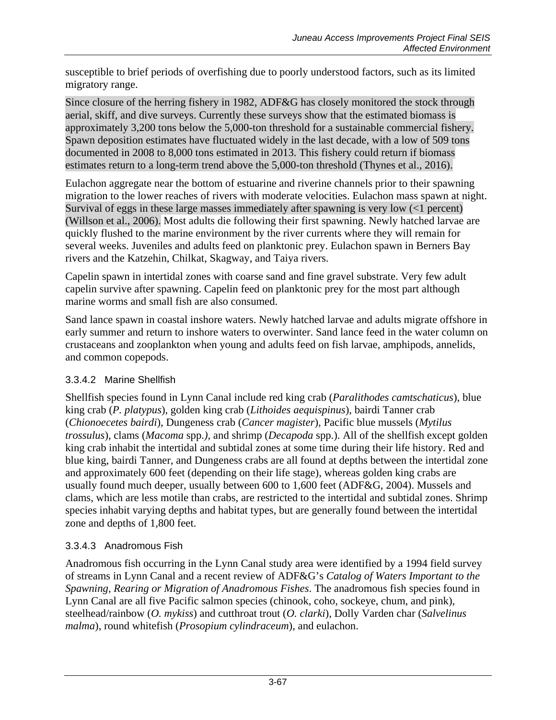susceptible to brief periods of overfishing due to poorly understood factors, such as its limited migratory range.

Since closure of the herring fishery in 1982, ADF&G has closely monitored the stock through aerial, skiff, and dive surveys. Currently these surveys show that the estimated biomass is approximately 3,200 tons below the 5,000-ton threshold for a sustainable commercial fishery. Spawn deposition estimates have fluctuated widely in the last decade, with a low of 509 tons documented in 2008 to 8,000 tons estimated in 2013. This fishery could return if biomass estimates return to a long-term trend above the 5,000-ton threshold (Thynes et al., 2016).

Eulachon aggregate near the bottom of estuarine and riverine channels prior to their spawning migration to the lower reaches of rivers with moderate velocities. Eulachon mass spawn at night. Survival of eggs in these large masses immediately after spawning is very low (<1 percent) (Willson et al., 2006). Most adults die following their first spawning. Newly hatched larvae are quickly flushed to the marine environment by the river currents where they will remain for several weeks. Juveniles and adults feed on planktonic prey. Eulachon spawn in Berners Bay rivers and the Katzehin, Chilkat, Skagway, and Taiya rivers.

Capelin spawn in intertidal zones with coarse sand and fine gravel substrate. Very few adult capelin survive after spawning. Capelin feed on planktonic prey for the most part although marine worms and small fish are also consumed.

Sand lance spawn in coastal inshore waters. Newly hatched larvae and adults migrate offshore in early summer and return to inshore waters to overwinter. Sand lance feed in the water column on crustaceans and zooplankton when young and adults feed on fish larvae, amphipods, annelids, and common copepods.

### 3.3.4.2 Marine Shellfish

Shellfish species found in Lynn Canal include red king crab (*Paralithodes camtschaticus*), blue king crab (*P. platypus*), golden king crab (*Lithoides aequispinus*), bairdi Tanner crab (*Chionoecetes bairdi*), Dungeness crab (*Cancer magister*)*,* Pacific blue mussels (*Mytilus trossulus*), clams (*Macoma* spp.*),* and shrimp (*Decapoda* spp.). All of the shellfish except golden king crab inhabit the intertidal and subtidal zones at some time during their life history. Red and blue king, bairdi Tanner, and Dungeness crabs are all found at depths between the intertidal zone and approximately 600 feet (depending on their life stage), whereas golden king crabs are usually found much deeper, usually between 600 to 1,600 feet (ADF&G, 2004). Mussels and clams, which are less motile than crabs, are restricted to the intertidal and subtidal zones. Shrimp species inhabit varying depths and habitat types, but are generally found between the intertidal zone and depths of 1,800 feet.

### 3.3.4.3 Anadromous Fish

Anadromous fish occurring in the Lynn Canal study area were identified by a 1994 field survey of streams in Lynn Canal and a recent review of ADF&G's *Catalog of Waters Important to the Spawning, Rearing or Migration of Anadromous Fishes*. The anadromous fish species found in Lynn Canal are all five Pacific salmon species (chinook, coho, sockeye, chum, and pink), steelhead/rainbow (*O. mykiss*) and cutthroat trout (*O. clarki*), Dolly Varden char (*Salvelinus malma*), round whitefish (*Prosopium cylindraceum*), and eulachon.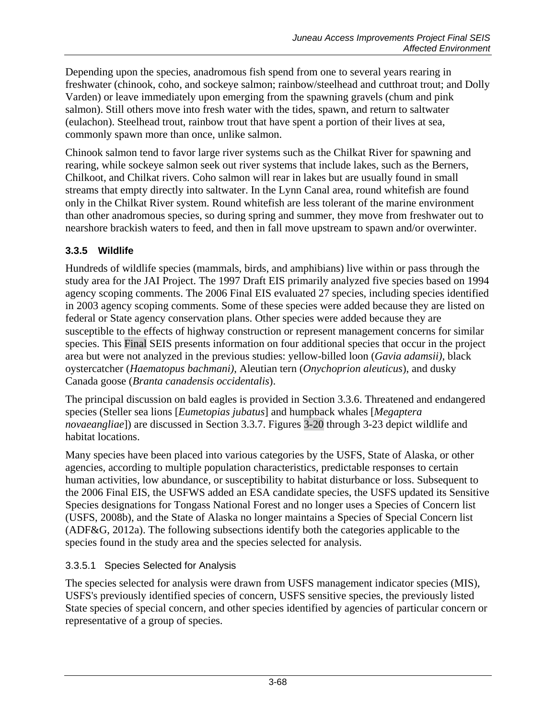Depending upon the species, anadromous fish spend from one to several years rearing in freshwater (chinook, coho, and sockeye salmon; rainbow/steelhead and cutthroat trout; and Dolly Varden) or leave immediately upon emerging from the spawning gravels (chum and pink salmon). Still others move into fresh water with the tides, spawn, and return to saltwater (eulachon). Steelhead trout, rainbow trout that have spent a portion of their lives at sea, commonly spawn more than once, unlike salmon.

Chinook salmon tend to favor large river systems such as the Chilkat River for spawning and rearing, while sockeye salmon seek out river systems that include lakes, such as the Berners, Chilkoot, and Chilkat rivers. Coho salmon will rear in lakes but are usually found in small streams that empty directly into saltwater. In the Lynn Canal area, round whitefish are found only in the Chilkat River system. Round whitefish are less tolerant of the marine environment than other anadromous species, so during spring and summer, they move from freshwater out to nearshore brackish waters to feed, and then in fall move upstream to spawn and/or overwinter.

### **3.3.5 Wildlife**

Hundreds of wildlife species (mammals, birds, and amphibians) live within or pass through the study area for the JAI Project. The 1997 Draft EIS primarily analyzed five species based on 1994 agency scoping comments. The 2006 Final EIS evaluated 27 species, including species identified in 2003 agency scoping comments. Some of these species were added because they are listed on federal or State agency conservation plans. Other species were added because they are susceptible to the effects of highway construction or represent management concerns for similar species. This Final SEIS presents information on four additional species that occur in the project area but were not analyzed in the previous studies: yellow-billed loon (*Gavia adamsii)*, black oystercatcher (*Haematopus bachmani)*, Aleutian tern (*Onychoprion aleuticus*), and dusky Canada goose (*Branta canadensis occidentalis*).

The principal discussion on bald eagles is provided in Section [3.3.6.](#page-73-0) Threatened and endangered species (Steller sea lions [*Eumetopias jubatus*] and humpback whales [*Megaptera novaeangliae*]) are discussed in Section [3.3.7.](#page-75-0) Figures 3-20 through 3-23 depict wildlife and habitat locations.

Many species have been placed into various categories by the USFS, State of Alaska, or other agencies, according to multiple population characteristics, predictable responses to certain human activities, low abundance, or susceptibility to habitat disturbance or loss. Subsequent to the 2006 Final EIS, the USFWS added an ESA candidate species, the USFS updated its Sensitive Species designations for Tongass National Forest and no longer uses a Species of Concern list (USFS, 2008b), and the State of Alaska no longer maintains a Species of Special Concern list (ADF&G, 2012a). The following subsections identify both the categories applicable to the species found in the study area and the species selected for analysis.

### 3.3.5.1 Species Selected for Analysis

The species selected for analysis were drawn from USFS management indicator species (MIS), USFS's previously identified species of concern, USFS sensitive species, the previously listed State species of special concern, and other species identified by agencies of particular concern or representative of a group of species.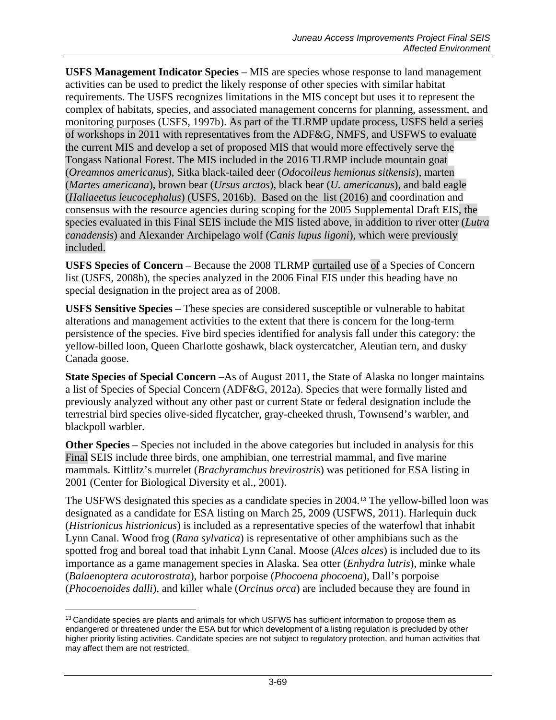**USFS Management Indicator Species** – MIS are species whose response to land management activities can be used to predict the likely response of other species with similar habitat requirements. The USFS recognizes limitations in the MIS concept but uses it to represent the complex of habitats, species, and associated management concerns for planning, assessment, and monitoring purposes (USFS, 1997b). As part of the TLRMP update process, USFS held a series of workshops in 2011 with representatives from the ADF&G, NMFS, and USFWS to evaluate the current MIS and develop a set of proposed MIS that would more effectively serve the Tongass National Forest. The MIS included in the 2016 TLRMP include mountain goat (*Oreamnos americanus*), Sitka black-tailed deer (*Odocoileus hemionus sitkensis*), marten (*Martes americana*), brown bear (*Ursus arctos*), black bear (*U. americanus*), and bald eagle (*Haliaeetus leucocephalus*) (USFS, 2016b). Based on the list (2016) and coordination and consensus with the resource agencies during scoping for the 2005 Supplemental Draft EIS, the species evaluated in this Final SEIS include the MIS listed above, in addition to river otter (*Lutra canadensis*) and Alexander Archipelago wolf (*Canis lupus ligoni*), which were previously included.

**USFS Species of Concern** – Because the 2008 TLRMP curtailed use of a Species of Concern list (USFS, 2008b), the species analyzed in the 2006 Final EIS under this heading have no special designation in the project area as of 2008.

**USFS Sensitive Species** – These species are considered susceptible or vulnerable to habitat alterations and management activities to the extent that there is concern for the long-term persistence of the species. Five bird species identified for analysis fall under this category: the yellow-billed loon, Queen Charlotte goshawk, black oystercatcher, Aleutian tern, and dusky Canada goose.

**State Species of Special Concern** –As of August 2011, the State of Alaska no longer maintains a list of Species of Special Concern (ADF&G, 2012a). Species that were formally listed and previously analyzed without any other past or current State or federal designation include the terrestrial bird species olive-sided flycatcher, gray-cheeked thrush, Townsend's warbler, and blackpoll warbler.

**Other Species** – Species not included in the above categories but included in analysis for this Final SEIS include three birds, one amphibian, one terrestrial mammal, and five marine mammals. Kittlitz's murrelet (*Brachyramchus brevirostris*) was petitioned for ESA listing in 2001 (Center for Biological Diversity et al., 2001).

The USFWS designated this species as a candidate species in 2004.[13](#page-68-0) The yellow-billed loon was designated as a candidate for ESA listing on March 25, 2009 (USFWS, 2011). Harlequin duck (*Histrionicus histrionicus*) is included as a representative species of the waterfowl that inhabit Lynn Canal. Wood frog (*Rana sylvatica*) is representative of other amphibians such as the spotted frog and boreal toad that inhabit Lynn Canal. Moose (*Alces alces*) is included due to its importance as a game management species in Alaska. Sea otter (*Enhydra lutris*), minke whale (*Balaenoptera acutorostrata*), harbor porpoise (*Phocoena phocoena*), Dall's porpoise (*Phocoenoides dalli*), and killer whale (*Orcinus orca*) are included because they are found in

<span id="page-68-0"></span> $\overline{a}$ <sup>13</sup> Candidate species are plants and animals for which USFWS has sufficient information to propose them as endangered or threatened under the ESA but for which development of a listing regulation is precluded by other higher priority listing activities. Candidate species are not subject to regulatory protection, and human activities that may affect them are not restricted.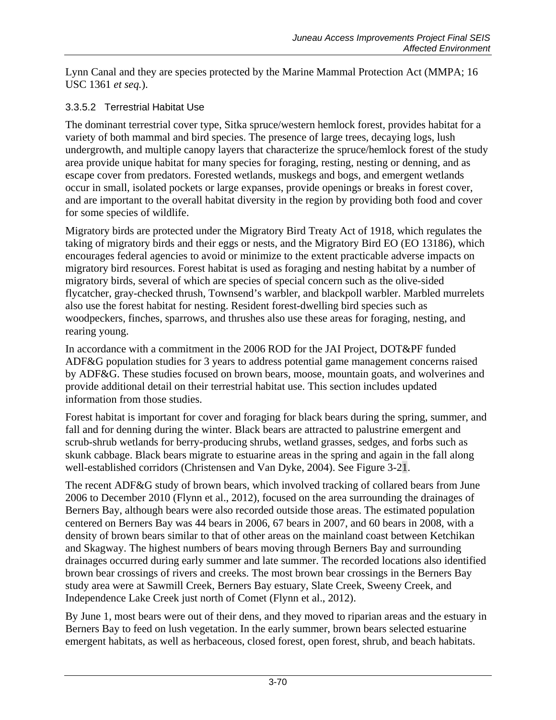Lynn Canal and they are species protected by the Marine Mammal Protection Act (MMPA; 16 USC 1361 *et seq.*).

### 3.3.5.2 Terrestrial Habitat Use

The dominant terrestrial cover type, Sitka spruce/western hemlock forest, provides habitat for a variety of both mammal and bird species. The presence of large trees, decaying logs, lush undergrowth, and multiple canopy layers that characterize the spruce/hemlock forest of the study area provide unique habitat for many species for foraging, resting, nesting or denning, and as escape cover from predators. Forested wetlands, muskegs and bogs, and emergent wetlands occur in small, isolated pockets or large expanses, provide openings or breaks in forest cover, and are important to the overall habitat diversity in the region by providing both food and cover for some species of wildlife.

Migratory birds are protected under the Migratory Bird Treaty Act of 1918, which regulates the taking of migratory birds and their eggs or nests, and the Migratory Bird EO (EO 13186), which encourages federal agencies to avoid or minimize to the extent practicable adverse impacts on migratory bird resources. Forest habitat is used as foraging and nesting habitat by a number of migratory birds, several of which are species of special concern such as the olive-sided flycatcher, gray-checked thrush, Townsend's warbler, and blackpoll warbler. Marbled murrelets also use the forest habitat for nesting. Resident forest-dwelling bird species such as woodpeckers, finches, sparrows, and thrushes also use these areas for foraging, nesting, and rearing young.

In accordance with a commitment in the 2006 ROD for the JAI Project, DOT&PF funded ADF&G population studies for 3 years to address potential game management concerns raised by ADF&G. These studies focused on brown bears, moose, mountain goats, and wolverines and provide additional detail on their terrestrial habitat use. This section includes updated information from those studies.

Forest habitat is important for cover and foraging for black bears during the spring, summer, and fall and for denning during the winter. Black bears are attracted to palustrine emergent and scrub-shrub wetlands for berry-producing shrubs, wetland grasses, sedges, and forbs such as skunk cabbage. Black bears migrate to estuarine areas in the spring and again in the fall along well-established corridors (Christensen and Van Dyke, 2004). See Figure 3-21.

The recent ADF&G study of brown bears, which involved tracking of collared bears from June 2006 to December 2010 (Flynn et al., 2012), focused on the area surrounding the drainages of Berners Bay, although bears were also recorded outside those areas. The estimated population centered on Berners Bay was 44 bears in 2006, 67 bears in 2007, and 60 bears in 2008, with a density of brown bears similar to that of other areas on the mainland coast between Ketchikan and Skagway. The highest numbers of bears moving through Berners Bay and surrounding drainages occurred during early summer and late summer. The recorded locations also identified brown bear crossings of rivers and creeks. The most brown bear crossings in the Berners Bay study area were at Sawmill Creek, Berners Bay estuary, Slate Creek, Sweeny Creek, and Independence Lake Creek just north of Comet (Flynn et al., 2012).

By June 1, most bears were out of their dens, and they moved to riparian areas and the estuary in Berners Bay to feed on lush vegetation. In the early summer, brown bears selected estuarine emergent habitats, as well as herbaceous, closed forest, open forest, shrub, and beach habitats.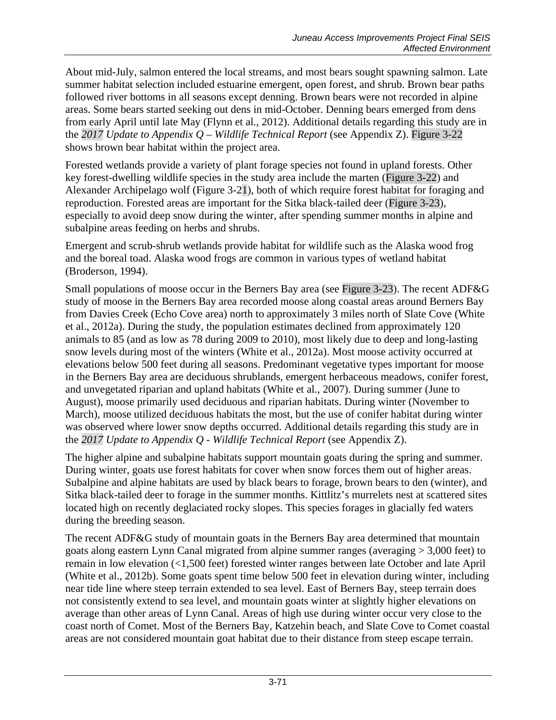About mid-July, salmon entered the local streams, and most bears sought spawning salmon. Late summer habitat selection included estuarine emergent, open forest, and shrub. Brown bear paths followed river bottoms in all seasons except denning. Brown bears were not recorded in alpine areas. Some bears started seeking out dens in mid-October. Denning bears emerged from dens from early April until late May (Flynn et al., 2012). Additional details regarding this study are in the *2017 Update to Appendix Q – Wildlife Technical Report* (see Appendix Z). Figure 3-22 shows brown bear habitat within the project area.

Forested wetlands provide a variety of plant forage species not found in upland forests. Other key forest-dwelling wildlife species in the study area include the marten (Figure 3-22) and Alexander Archipelago wolf (Figure 3-21), both of which require forest habitat for foraging and reproduction. Forested areas are important for the Sitka black-tailed deer (Figure 3-23), especially to avoid deep snow during the winter, after spending summer months in alpine and subalpine areas feeding on herbs and shrubs.

Emergent and scrub-shrub wetlands provide habitat for wildlife such as the Alaska wood frog and the boreal toad. Alaska wood frogs are common in various types of wetland habitat (Broderson, 1994).

Small populations of moose occur in the Berners Bay area (see Figure 3-23). The recent ADF&G study of moose in the Berners Bay area recorded moose along coastal areas around Berners Bay from Davies Creek (Echo Cove area) north to approximately 3 miles north of Slate Cove (White et al., 2012a). During the study, the population estimates declined from approximately 120 animals to 85 (and as low as 78 during 2009 to 2010), most likely due to deep and long-lasting snow levels during most of the winters (White et al., 2012a). Most moose activity occurred at elevations below 500 feet during all seasons. Predominant vegetative types important for moose in the Berners Bay area are deciduous shrublands, emergent herbaceous meadows, conifer forest, and unvegetated riparian and upland habitats (White et al., 2007). During summer (June to August), moose primarily used deciduous and riparian habitats. During winter (November to March), moose utilized deciduous habitats the most, but the use of conifer habitat during winter was observed where lower snow depths occurred. Additional details regarding this study are in the *2017 Update to Appendix Q - Wildlife Technical Report* (see Appendix Z).

The higher alpine and subalpine habitats support mountain goats during the spring and summer. During winter, goats use forest habitats for cover when snow forces them out of higher areas. Subalpine and alpine habitats are used by black bears to forage, brown bears to den (winter), and Sitka black-tailed deer to forage in the summer months. Kittlitz's murrelets nest at scattered sites located high on recently deglaciated rocky slopes. This species forages in glacially fed waters during the breeding season.

The recent ADF&G study of mountain goats in the Berners Bay area determined that mountain goats along eastern Lynn Canal migrated from alpine summer ranges (averaging > 3,000 feet) to remain in low elevation (<1,500 feet) forested winter ranges between late October and late April (White et al., 2012b). Some goats spent time below 500 feet in elevation during winter, including near tide line where steep terrain extended to sea level. East of Berners Bay, steep terrain does not consistently extend to sea level, and mountain goats winter at slightly higher elevations on average than other areas of Lynn Canal. Areas of high use during winter occur very close to the coast north of Comet. Most of the Berners Bay, Katzehin beach, and Slate Cove to Comet coastal areas are not considered mountain goat habitat due to their distance from steep escape terrain.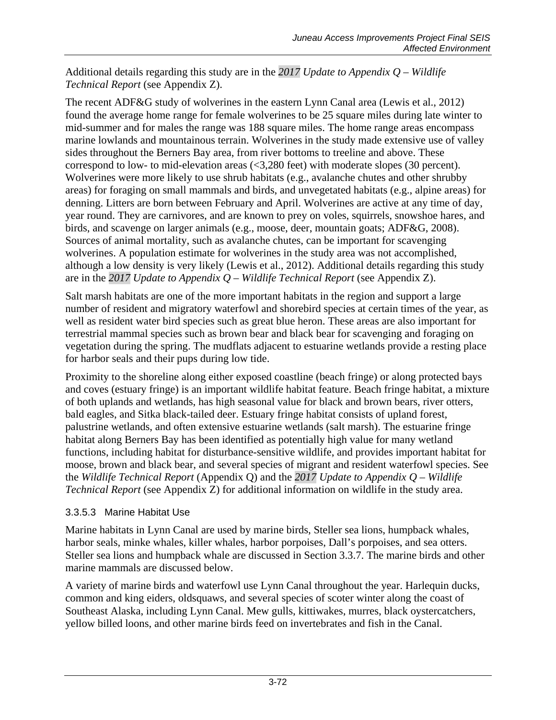Additional details regarding this study are in the *2017 Update to Appendix Q – Wildlife Technical Report* (see Appendix Z).

The recent ADF&G study of wolverines in the eastern Lynn Canal area (Lewis et al., 2012) found the average home range for female wolverines to be 25 square miles during late winter to mid-summer and for males the range was 188 square miles. The home range areas encompass marine lowlands and mountainous terrain. Wolverines in the study made extensive use of valley sides throughout the Berners Bay area, from river bottoms to treeline and above. These correspond to low- to mid-elevation areas (<3,280 feet) with moderate slopes (30 percent). Wolverines were more likely to use shrub habitats (e.g., avalanche chutes and other shrubby areas) for foraging on small mammals and birds, and unvegetated habitats (e.g., alpine areas) for denning. Litters are born between February and April. Wolverines are active at any time of day, year round. They are carnivores, and are known to prey on voles, squirrels, snowshoe hares, and birds, and scavenge on larger animals (e.g., moose, deer, mountain goats; ADF&G, 2008). Sources of animal mortality, such as avalanche chutes, can be important for scavenging wolverines. A population estimate for wolverines in the study area was not accomplished, although a low density is very likely (Lewis et al., 2012). Additional details regarding this study are in the *2017 Update to Appendix Q – Wildlife Technical Report* (see Appendix Z).

Salt marsh habitats are one of the more important habitats in the region and support a large number of resident and migratory waterfowl and shorebird species at certain times of the year, as well as resident water bird species such as great blue heron. These areas are also important for terrestrial mammal species such as brown bear and black bear for scavenging and foraging on vegetation during the spring. The mudflats adjacent to estuarine wetlands provide a resting place for harbor seals and their pups during low tide.

Proximity to the shoreline along either exposed coastline (beach fringe) or along protected bays and coves (estuary fringe) is an important wildlife habitat feature. Beach fringe habitat, a mixture of both uplands and wetlands, has high seasonal value for black and brown bears, river otters, bald eagles, and Sitka black-tailed deer. Estuary fringe habitat consists of upland forest, palustrine wetlands, and often extensive estuarine wetlands (salt marsh). The estuarine fringe habitat along Berners Bay has been identified as potentially high value for many wetland functions, including habitat for disturbance-sensitive wildlife, and provides important habitat for moose, brown and black bear, and several species of migrant and resident waterfowl species. See the *Wildlife Technical Report* (Appendix Q) and the *2017 Update to Appendix Q – Wildlife Technical Report* (see Appendix Z) for additional information on wildlife in the study area.

### 3.3.5.3 Marine Habitat Use

Marine habitats in Lynn Canal are used by marine birds, Steller sea lions, humpback whales, harbor seals, minke whales, killer whales, harbor porpoises, Dall's porpoises, and sea otters. Steller sea lions and humpback whale are discussed in Section [3.3.7.](#page-75-0) The marine birds and other marine mammals are discussed below.

A variety of marine birds and waterfowl use Lynn Canal throughout the year. Harlequin ducks, common and king eiders, oldsquaws, and several species of scoter winter along the coast of Southeast Alaska, including Lynn Canal. Mew gulls, kittiwakes, murres, black oystercatchers, yellow billed loons, and other marine birds feed on invertebrates and fish in the Canal.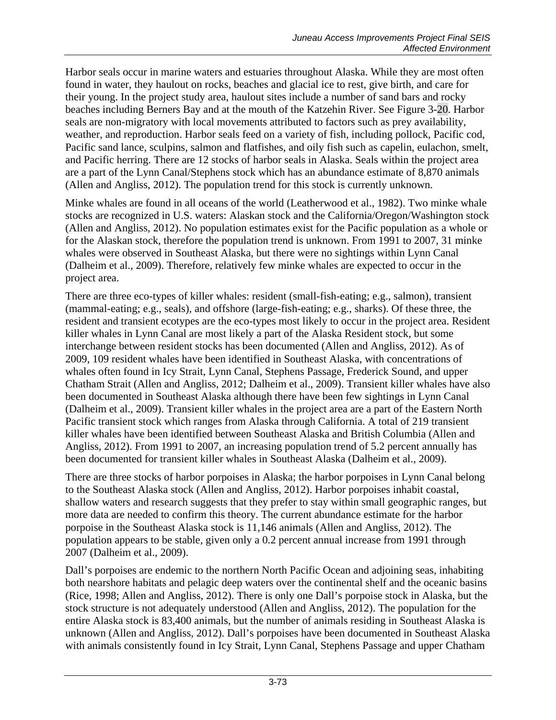Harbor seals occur in marine waters and estuaries throughout Alaska. While they are most often found in water, they haulout on rocks, beaches and glacial ice to rest, give birth, and care for their young. In the project study area, haulout sites include a number of sand bars and rocky beaches including Berners Bay and at the mouth of the Katzehin River. See Figure 3-20. Harbor seals are non-migratory with local movements attributed to factors such as prey availability, weather, and reproduction. Harbor seals feed on a variety of fish, including pollock, Pacific cod, Pacific sand lance, sculpins, salmon and flatfishes, and oily fish such as capelin, eulachon, smelt, and Pacific herring. There are 12 stocks of harbor seals in Alaska. Seals within the project area are a part of the Lynn Canal/Stephens stock which has an abundance estimate of 8,870 animals (Allen and Angliss, 2012). The population trend for this stock is currently unknown.

Minke whales are found in all oceans of the world (Leatherwood et al., 1982). Two minke whale stocks are recognized in U.S. waters: Alaskan stock and the California/Oregon/Washington stock (Allen and Angliss, 2012). No population estimates exist for the Pacific population as a whole or for the Alaskan stock, therefore the population trend is unknown. From 1991 to 2007, 31 minke whales were observed in Southeast Alaska, but there were no sightings within Lynn Canal (Dalheim et al., 2009). Therefore, relatively few minke whales are expected to occur in the project area.

There are three eco-types of killer whales: resident (small-fish-eating; e.g., salmon), transient (mammal-eating; e.g., seals), and offshore (large-fish-eating; e.g., sharks). Of these three, the resident and transient ecotypes are the eco-types most likely to occur in the project area. Resident killer whales in Lynn Canal are most likely a part of the Alaska Resident stock, but some interchange between resident stocks has been documented (Allen and Angliss, 2012). As of 2009, 109 resident whales have been identified in Southeast Alaska, with concentrations of whales often found in Icy Strait, Lynn Canal, Stephens Passage, Frederick Sound, and upper Chatham Strait (Allen and Angliss, 2012; Dalheim et al., 2009). Transient killer whales have also been documented in Southeast Alaska although there have been few sightings in Lynn Canal (Dalheim et al., 2009). Transient killer whales in the project area are a part of the Eastern North Pacific transient stock which ranges from Alaska through California. A total of 219 transient killer whales have been identified between Southeast Alaska and British Columbia (Allen and Angliss, 2012). From 1991 to 2007, an increasing population trend of 5.2 percent annually has been documented for transient killer whales in Southeast Alaska (Dalheim et al., 2009).

There are three stocks of harbor porpoises in Alaska; the harbor porpoises in Lynn Canal belong to the Southeast Alaska stock (Allen and Angliss, 2012). Harbor porpoises inhabit coastal, shallow waters and research suggests that they prefer to stay within small geographic ranges, but more data are needed to confirm this theory. The current abundance estimate for the harbor porpoise in the Southeast Alaska stock is 11,146 animals (Allen and Angliss, 2012). The population appears to be stable, given only a 0.2 percent annual increase from 1991 through 2007 (Dalheim et al., 2009).

Dall's porpoises are endemic to the northern North Pacific Ocean and adjoining seas, inhabiting both nearshore habitats and pelagic deep waters over the continental shelf and the oceanic basins (Rice, 1998; Allen and Angliss, 2012). There is only one Dall's porpoise stock in Alaska, but the stock structure is not adequately understood (Allen and Angliss, 2012). The population for the entire Alaska stock is 83,400 animals, but the number of animals residing in Southeast Alaska is unknown (Allen and Angliss, 2012). Dall's porpoises have been documented in Southeast Alaska with animals consistently found in Icy Strait, Lynn Canal, Stephens Passage and upper Chatham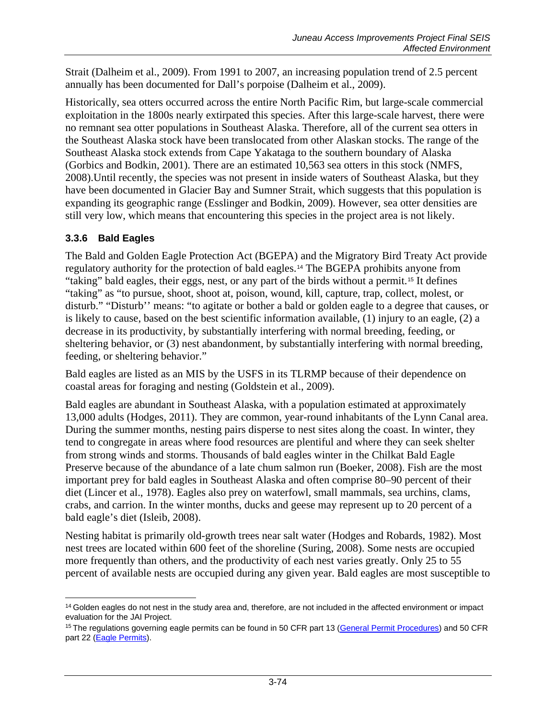Strait (Dalheim et al., 2009). From 1991 to 2007, an increasing population trend of 2.5 percent annually has been documented for Dall's porpoise (Dalheim et al., 2009).

Historically, sea otters occurred across the entire North Pacific Rim, but large-scale commercial exploitation in the 1800s nearly extirpated this species. After this large-scale harvest, there were no remnant sea otter populations in Southeast Alaska. Therefore, all of the current sea otters in the Southeast Alaska stock have been translocated from other Alaskan stocks. The range of the Southeast Alaska stock extends from Cape Yakataga to the southern boundary of Alaska (Gorbics and Bodkin, 2001). There are an estimated 10,563 sea otters in this stock (NMFS, 2008).Until recently, the species was not present in inside waters of Southeast Alaska, but they have been documented in Glacier Bay and Sumner Strait, which suggests that this population is expanding its geographic range (Esslinger and Bodkin, 2009). However, sea otter densities are still very low, which means that encountering this species in the project area is not likely.

## **3.3.6 Bald Eagles**

The Bald and Golden Eagle Protection Act (BGEPA) and the Migratory Bird Treaty Act provide regulatory authority for the protection of bald eagles.[14](#page-73-0) The BGEPA prohibits anyone from "taking" bald eagles, their eggs, nest, or any part of the birds without a permit.[15](#page-73-1) It defines "taking" as "to pursue, shoot, shoot at, poison, wound, kill, capture, trap, collect, molest, or disturb." "Disturb'' means: "to agitate or bother a bald or golden eagle to a degree that causes, or is likely to cause, based on the best scientific information available, (1) injury to an eagle, (2) a decrease in its productivity, by substantially interfering with normal breeding, feeding, or sheltering behavior, or (3) nest abandonment, by substantially interfering with normal breeding, feeding, or sheltering behavior."

Bald eagles are listed as an MIS by the USFS in its TLRMP because of their dependence on coastal areas for foraging and nesting (Goldstein et al., 2009).

Bald eagles are abundant in Southeast Alaska, with a population estimated at approximately 13,000 adults (Hodges, 2011). They are common, year-round inhabitants of the Lynn Canal area. During the summer months, nesting pairs disperse to nest sites along the coast. In winter, they tend to congregate in areas where food resources are plentiful and where they can seek shelter from strong winds and storms. Thousands of bald eagles winter in the Chilkat Bald Eagle Preserve because of the abundance of a late chum salmon run (Boeker, 2008). Fish are the most important prey for bald eagles in Southeast Alaska and often comprise 80–90 percent of their diet (Lincer et al., 1978). Eagles also prey on waterfowl, small mammals, sea urchins, clams, crabs, and carrion. In the winter months, ducks and geese may represent up to 20 percent of a bald eagle's diet (Isleib, 2008).

Nesting habitat is primarily old-growth trees near salt water (Hodges and Robards, 1982). Most nest trees are located within 600 feet of the shoreline (Suring, 2008). Some nests are occupied more frequently than others, and the productivity of each nest varies greatly. Only 25 to 55 percent of available nests are occupied during any given year. Bald eagles are most susceptible to

<span id="page-73-0"></span> $\overline{a}$  $14$  Golden eagles do not nest in the study area and, therefore, are not included in the affected environment or impact evaluation for the JAI Project.

<span id="page-73-1"></span><sup>&</sup>lt;sup>15</sup> The regulations governing eagle permits can be found in 50 CFR part 13 [\(General Permit Procedures\)](http://www.fws.gov/migratorybirds/mbpermits/regulations/regulations.html) and 50 CFR part 22 [\(Eagle Permits\)](http://www.fws.gov/migratorybirds/mbpermits/regulations/regulations.html).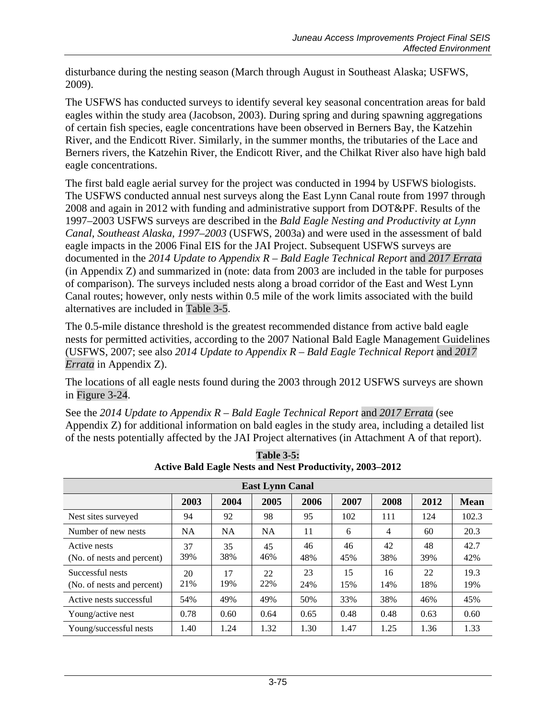disturbance during the nesting season (March through August in Southeast Alaska; USFWS, 2009).

The USFWS has conducted surveys to identify several key seasonal concentration areas for bald eagles within the study area (Jacobson, 2003). During spring and during spawning aggregations of certain fish species, eagle concentrations have been observed in Berners Bay, the Katzehin River, and the Endicott River. Similarly, in the summer months, the tributaries of the Lace and Berners rivers, the Katzehin River, the Endicott River, and the Chilkat River also have high bald eagle concentrations.

The first bald eagle aerial survey for the project was conducted in 1994 by USFWS biologists. The USFWS conducted annual nest surveys along the East Lynn Canal route from 1997 through 2008 and again in 2012 with funding and administrative support from DOT&PF. Results of the 1997–2003 USFWS surveys are described in the *Bald Eagle Nesting and Productivity at Lynn Canal, Southeast Alaska, 1997–2003* (USFWS, 2003a) and were used in the assessment of bald eagle impacts in the 2006 Final EIS for the JAI Project. Subsequent USFWS surveys are documented in the *2014 Update to Appendix R – Bald Eagle Technical Report* and *2017 Errata* (in Appendix Z) and summarized in (note: data from 2003 are included in the table for purposes of comparison). The surveys included nests along a broad corridor of the East and West Lynn Canal routes; however, only nests within 0.5 mile of the work limits associated with the build alternatives are included in [Table 3-5.](#page-74-0)

The 0.5-mile distance threshold is the greatest recommended distance from active bald eagle nests for permitted activities, according to the 2007 National Bald Eagle Management Guidelines (USFWS, 2007; see also *2014 Update to Appendix R – Bald Eagle Technical Report* and *2017 Errata* in Appendix Z).

The locations of all eagle nests found during the 2003 through 2012 USFWS surveys are shown in Figure 3-24.

See the *2014 Update to Appendix R – Bald Eagle Technical Report* and *2017 Errata* (see Appendix Z) for additional information on bald eagles in the study area, including a detailed list of the nests potentially affected by the JAI Project alternatives (in Attachment A of that report).

<span id="page-74-0"></span>

| <b>East Lynn Canal</b>                         |           |           |           |           |           |           |           |             |  |  |  |  |
|------------------------------------------------|-----------|-----------|-----------|-----------|-----------|-----------|-----------|-------------|--|--|--|--|
|                                                | 2003      | 2004      | 2005      | 2006      | 2007      | 2008      | 2012      | <b>Mean</b> |  |  |  |  |
| Nest sites surveyed                            | 94        | 92        | 98        | 95        | 102       | 111       | 124       | 102.3       |  |  |  |  |
| Number of new nests                            | <b>NA</b> | <b>NA</b> | <b>NA</b> | 11        | 6         | 4         | 60        | 20.3        |  |  |  |  |
| Active nests<br>(No. of nests and percent)     | 37<br>39% | 35<br>38% | 45<br>46% | 46<br>48% | 46<br>45% | 42<br>38% | 48<br>39% | 42.7<br>42% |  |  |  |  |
| Successful nests<br>(No. of nests and percent) | 20<br>21% | 17<br>19% | 22<br>22% | 23<br>24% | 15<br>15% | 16<br>14% | 22<br>18% | 19.3<br>19% |  |  |  |  |
| Active nests successful                        | 54%       | 49%       | 49%       | 50%       | 33%       | 38%       | 46%       | 45%         |  |  |  |  |
| Young/active nest                              | 0.78      | 0.60      | 0.64      | 0.65      | 0.48      | 0.48      | 0.63      | 0.60        |  |  |  |  |
| Young/successful nests                         | 1.40      | 1.24      | 1.32      | 1.30      | 1.47      | 1.25      | 1.36      | 1.33        |  |  |  |  |

**Table 3-5: Active Bald Eagle Nests and Nest Productivity, 2003–2012**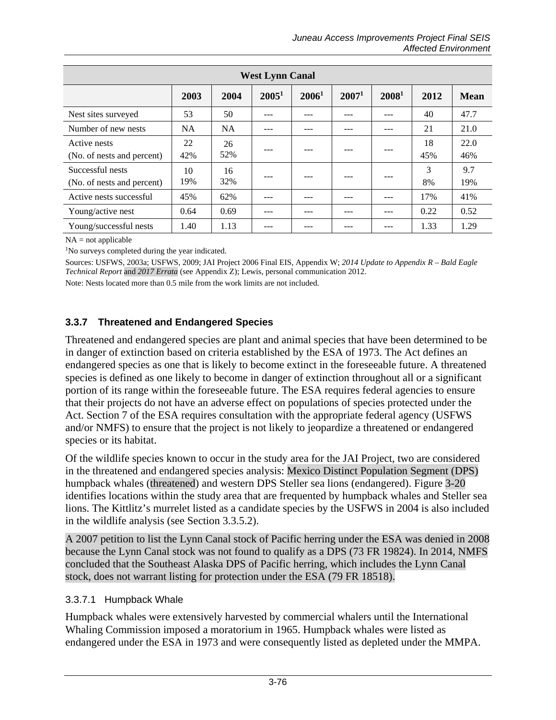| <b>West Lynn Canal</b>                         |           |           |          |                   |                   |                   |           |             |  |  |  |
|------------------------------------------------|-----------|-----------|----------|-------------------|-------------------|-------------------|-----------|-------------|--|--|--|
|                                                | 2003      | 2004      | $2005^1$ | 2006 <sup>1</sup> | 2007 <sup>1</sup> | 2008 <sup>1</sup> | 2012      | Mean        |  |  |  |
| Nest sites surveyed                            | 53        | 50        |          | ---               |                   | ---               | 40        | 47.7        |  |  |  |
| Number of new nests                            | <b>NA</b> | <b>NA</b> |          | ---               |                   | ---               | 21        | 21.0        |  |  |  |
| Active nests<br>(No. of nests and percent)     | 22<br>42% | 26<br>52% |          |                   |                   |                   | 18<br>45% | 22.0<br>46% |  |  |  |
| Successful nests<br>(No. of nests and percent) | 10<br>19% | 16<br>32% |          |                   |                   |                   | 3<br>8%   | 9.7<br>19%  |  |  |  |
| Active nests successful                        | 45%       | 62%       |          | ---               |                   | ---               | 17%       | 41%         |  |  |  |
| Young/active nest                              | 0.64      | 0.69      | ---      | ---               |                   | ---               | 0.22      | 0.52        |  |  |  |
| Young/successful nests                         | 1.40      | 1.13      |          |                   |                   |                   | 1.33      | 1.29        |  |  |  |

 $NA = not applicable$ 

<sup>1</sup>No surveys completed during the year indicated.

Sources: USFWS, 2003a; USFWS, 2009; JAI Project 2006 Final EIS, Appendix W; *2014 Update to Appendix R – Bald Eagle Technical Report* and *2017 Errata* (see Appendix Z); Lewis, personal communication 2012.

Note: Nests located more than 0.5 mile from the work limits are not included.

## **3.3.7 Threatened and Endangered Species**

Threatened and endangered species are plant and animal species that have been determined to be in danger of extinction based on criteria established by the ESA of 1973. The Act defines an endangered species as one that is likely to become extinct in the foreseeable future. A threatened species is defined as one likely to become in danger of extinction throughout all or a significant portion of its range within the foreseeable future. The ESA requires federal agencies to ensure that their projects do not have an adverse effect on populations of species protected under the Act. Section 7 of the ESA requires consultation with the appropriate federal agency (USFWS and/or NMFS) to ensure that the project is not likely to jeopardize a threatened or endangered species or its habitat.

Of the wildlife species known to occur in the study area for the JAI Project, two are considered in the threatened and endangered species analysis: Mexico Distinct Population Segment (DPS) humpback whales (threatened) and western DPS Steller sea lions (endangered). Figure 3-20 identifies locations within the study area that are frequented by humpback whales and Steller sea lions. The Kittlitz's murrelet listed as a candidate species by the USFWS in 2004 is also included in the wildlife analysis (see Section [3.3.5.2\)](#page-69-0).

A 2007 petition to list the Lynn Canal stock of Pacific herring under the ESA was denied in 2008 because the Lynn Canal stock was not found to qualify as a DPS (73 FR 19824). In 2014, NMFS concluded that the Southeast Alaska DPS of Pacific herring, which includes the Lynn Canal stock, does not warrant listing for protection under the ESA (79 FR 18518).

## 3.3.7.1 Humpback Whale

Humpback whales were extensively harvested by commercial whalers until the International Whaling Commission imposed a moratorium in 1965. Humpback whales were listed as endangered under the ESA in 1973 and were consequently listed as depleted under the MMPA.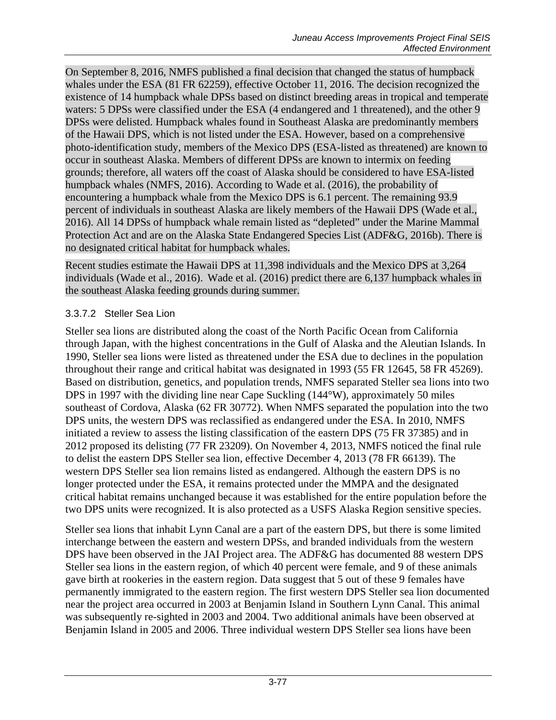On September 8, 2016, NMFS published a final decision that changed the status of humpback whales under the ESA (81 FR 62259), effective October 11, 2016. The decision recognized the existence of 14 humpback whale DPSs based on distinct breeding areas in tropical and temperate waters: 5 DPSs were classified under the ESA (4 endangered and 1 threatened), and the other 9 DPSs were delisted. Humpback whales found in Southeast Alaska are predominantly members of the Hawaii DPS, which is not listed under the ESA. However, based on a comprehensive photo-identification study, members of the Mexico DPS (ESA-listed as threatened) are known to occur in southeast Alaska. Members of different DPSs are known to intermix on feeding grounds; therefore, all waters off the coast of Alaska should be considered to have ESA-listed humpback whales (NMFS, 2016). According to Wade et al. (2016), the probability of encountering a humpback whale from the Mexico DPS is 6.1 percent. The remaining 93.9 percent of individuals in southeast Alaska are likely members of the Hawaii DPS (Wade et al., 2016). All 14 DPSs of humpback whale remain listed as "depleted" under the Marine Mammal Protection Act and are on the Alaska State Endangered Species List (ADF&G, 2016b). There is no designated critical habitat for humpback whales.

Recent studies estimate the Hawaii DPS at 11,398 individuals and the Mexico DPS at 3,264 individuals (Wade et al., 2016). Wade et al. (2016) predict there are 6,137 humpback whales in the southeast Alaska feeding grounds during summer.

## 3.3.7.2 Steller Sea Lion

Steller sea lions are distributed along the coast of the North Pacific Ocean from California through Japan, with the highest concentrations in the Gulf of Alaska and the Aleutian Islands. In 1990, Steller sea lions were listed as threatened under the ESA due to declines in the population throughout their range and critical habitat was designated in 1993 (55 FR 12645, 58 FR 45269). Based on distribution, genetics, and population trends, NMFS separated Steller sea lions into two DPS in 1997 with the dividing line near Cape Suckling (144°W), approximately 50 miles southeast of Cordova, Alaska (62 FR 30772). When NMFS separated the population into the two DPS units, the western DPS was reclassified as endangered under the ESA. In 2010, NMFS initiated a review to assess the listing classification of the eastern DPS (75 FR 37385) and in 2012 proposed its delisting (77 FR 23209). On November 4, 2013, NMFS noticed the final rule to delist the eastern DPS Steller sea lion, effective December 4, 2013 (78 FR 66139). The western DPS Steller sea lion remains listed as endangered. Although the eastern DPS is no longer protected under the ESA, it remains protected under the MMPA and the designated critical habitat remains unchanged because it was established for the entire population before the two DPS units were recognized. It is also protected as a USFS Alaska Region sensitive species.

Steller sea lions that inhabit Lynn Canal are a part of the eastern DPS, but there is some limited interchange between the eastern and western DPSs, and branded individuals from the western DPS have been observed in the JAI Project area. The ADF&G has documented 88 western DPS Steller sea lions in the eastern region, of which 40 percent were female, and 9 of these animals gave birth at rookeries in the eastern region. Data suggest that 5 out of these 9 females have permanently immigrated to the eastern region. The first western DPS Steller sea lion documented near the project area occurred in 2003 at Benjamin Island in Southern Lynn Canal. This animal was subsequently re-sighted in 2003 and 2004. Two additional animals have been observed at Benjamin Island in 2005 and 2006. Three individual western DPS Steller sea lions have been